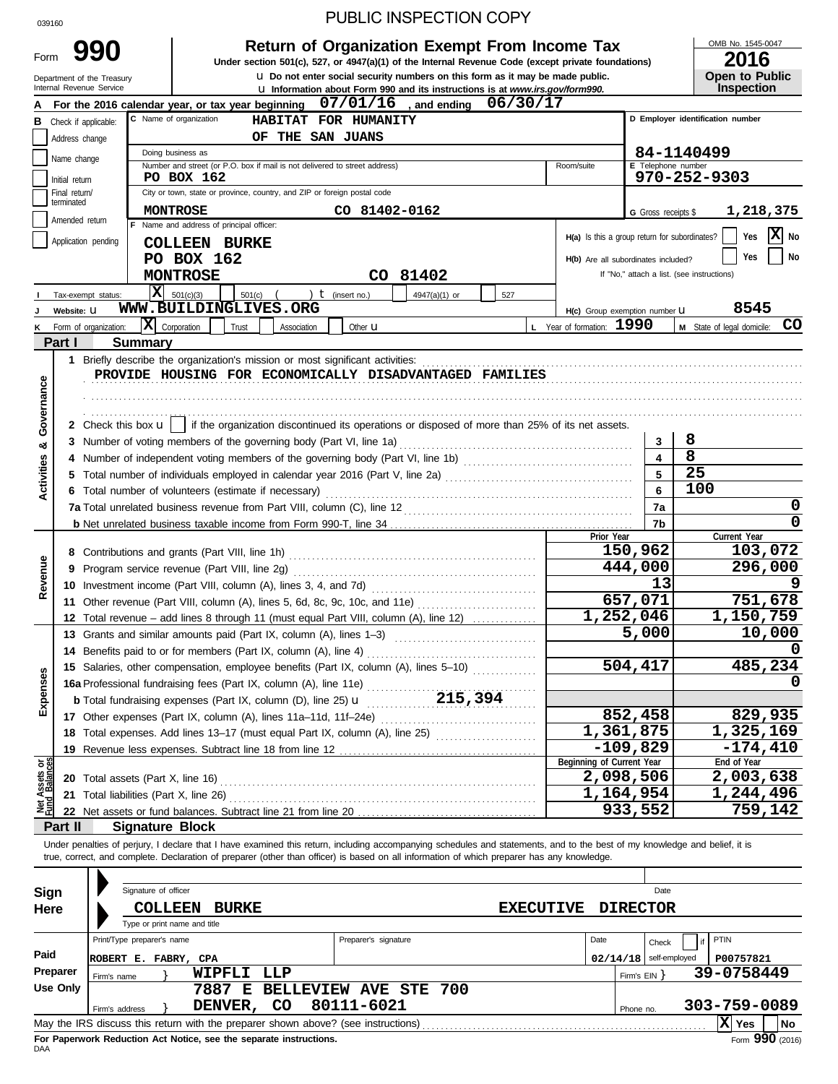| $\cdot$ . | ٠ |  |
|-----------|---|--|

| -orm | 990 |
|------|-----|
|      |     |

# 039160 039160 **PUBLIC INSPECTION COPY**

|                           |                             |                                                                                                                                                                                      |                                   |                                                                               |                      |                          | <b>Return of Organization Exempt From Income Tax</b>                                                                                                                       |                  |                           |                                               | OMB No. 1545-0047                |  |  |
|---------------------------|-----------------------------|--------------------------------------------------------------------------------------------------------------------------------------------------------------------------------------|-----------------------------------|-------------------------------------------------------------------------------|----------------------|--------------------------|----------------------------------------------------------------------------------------------------------------------------------------------------------------------------|------------------|---------------------------|-----------------------------------------------|----------------------------------|--|--|
| Form                      |                             | Under section 501(c), 527, or 4947(a)(1) of the Internal Revenue Code (except private foundations)<br>U. Do not enter social security numbers on this form as it may be made public. |                                   |                                                                               |                      |                          |                                                                                                                                                                            |                  |                           |                                               | 2016                             |  |  |
|                           |                             | Department of the Treasury<br>Internal Revenue Service                                                                                                                               |                                   |                                                                               |                      |                          | <b>u</b> Information about Form 990 and its instructions is at www.irs.gov/form990.                                                                                        |                  |                           |                                               | Open to Public<br>Inspection     |  |  |
|                           |                             |                                                                                                                                                                                      |                                   |                                                                               |                      |                          | For the 2016 calendar year, or tax year beginning $07/01/16$ , and ending                                                                                                  | 06/30/17         |                           |                                               |                                  |  |  |
| в                         |                             | Check if applicable:                                                                                                                                                                 | C Name of organization            |                                                                               | HABITAT FOR HUMANITY |                          |                                                                                                                                                                            |                  |                           |                                               | D Employer identification number |  |  |
|                           | Address change              |                                                                                                                                                                                      |                                   |                                                                               | OF THE SAN JUANS     |                          |                                                                                                                                                                            |                  |                           |                                               |                                  |  |  |
|                           |                             |                                                                                                                                                                                      | Doing business as                 |                                                                               |                      |                          |                                                                                                                                                                            |                  |                           |                                               | 84-1140499                       |  |  |
|                           | Name change                 |                                                                                                                                                                                      |                                   | Number and street (or P.O. box if mail is not delivered to street address)    |                      |                          |                                                                                                                                                                            |                  | Room/suite                | E Telephone number                            |                                  |  |  |
|                           | Initial return              |                                                                                                                                                                                      |                                   | PO BOX 162                                                                    |                      |                          |                                                                                                                                                                            |                  |                           |                                               | 970-252-9303                     |  |  |
|                           | Final return/<br>terminated |                                                                                                                                                                                      |                                   | City or town, state or province, country, and ZIP or foreign postal code      |                      |                          |                                                                                                                                                                            |                  |                           |                                               |                                  |  |  |
|                           |                             |                                                                                                                                                                                      | <b>MONTROSE</b>                   |                                                                               |                      | CO 81402-0162            |                                                                                                                                                                            |                  |                           | G Gross receipts \$                           | 1,218,375                        |  |  |
|                           | Amended return              |                                                                                                                                                                                      |                                   | F Name and address of principal officer:                                      |                      |                          |                                                                                                                                                                            |                  |                           |                                               |                                  |  |  |
|                           |                             | Application pending                                                                                                                                                                  |                                   | <b>COLLEEN BURKE</b>                                                          |                      |                          |                                                                                                                                                                            |                  |                           | H(a) Is this a group return for subordinates? | X No<br>Yes                      |  |  |
|                           |                             |                                                                                                                                                                                      |                                   | PO BOX 162                                                                    |                      |                          |                                                                                                                                                                            |                  |                           | H(b) Are all subordinates included?           | Yes<br>No                        |  |  |
|                           |                             |                                                                                                                                                                                      |                                   | <b>MONTROSE</b>                                                               |                      |                          | CO 81402                                                                                                                                                                   |                  |                           | If "No," attach a list. (see instructions)    |                                  |  |  |
|                           |                             | Tax-exempt status:                                                                                                                                                                   | $\overline{\mathbf{X}}$ 501(c)(3) |                                                                               | 501(c)               | ) $t$ (insert no.)       | 4947(a)(1) or                                                                                                                                                              | 527              |                           |                                               |                                  |  |  |
|                           | Website: U                  |                                                                                                                                                                                      |                                   | WWW.BUILDINGLIVES.ORG                                                         |                      |                          |                                                                                                                                                                            |                  |                           | H(c) Group exemption number LI                | 8545                             |  |  |
|                           |                             | Form of organization:                                                                                                                                                                | $\mathbf{X}$ Corporation          | Trust                                                                         | Association          | Other $\mathbf u$        |                                                                                                                                                                            |                  | L Year of formation: 1990 |                                               | CO<br>M State of legal domicile: |  |  |
|                           | Part I                      |                                                                                                                                                                                      | <b>Summary</b>                    |                                                                               |                      |                          |                                                                                                                                                                            |                  |                           |                                               |                                  |  |  |
|                           |                             |                                                                                                                                                                                      |                                   | 1 Briefly describe the organization's mission or most significant activities: |                      |                          |                                                                                                                                                                            |                  |                           |                                               |                                  |  |  |
|                           |                             |                                                                                                                                                                                      |                                   |                                                                               |                      |                          | PROVIDE HOUSING FOR ECONOMICALLY DISADVANTAGED FAMILIES                                                                                                                    |                  |                           |                                               |                                  |  |  |
|                           |                             |                                                                                                                                                                                      |                                   |                                                                               |                      |                          |                                                                                                                                                                            |                  |                           |                                               |                                  |  |  |
| Governance                |                             |                                                                                                                                                                                      |                                   |                                                                               |                      |                          |                                                                                                                                                                            |                  |                           |                                               |                                  |  |  |
|                           |                             |                                                                                                                                                                                      |                                   |                                                                               |                      |                          |                                                                                                                                                                            |                  |                           |                                               |                                  |  |  |
|                           |                             |                                                                                                                                                                                      |                                   |                                                                               |                      |                          | 2 Check this box $\mathbf{u}$   if the organization discontinued its operations or disposed of more than 25% of its net assets.                                            |                  |                           |                                               |                                  |  |  |
| ಯ                         |                             |                                                                                                                                                                                      |                                   |                                                                               |                      |                          | 3 Number of voting members of the governing body (Part VI, line 1a) [1] [2] Number of voting members of the governing body (Part VI, line 1a) [1] [2] $\sim$               |                  |                           | 3                                             | 8                                |  |  |
|                           |                             |                                                                                                                                                                                      |                                   |                                                                               |                      |                          |                                                                                                                                                                            |                  |                           | $\blacktriangle$                              | 8                                |  |  |
| Activities                |                             |                                                                                                                                                                                      |                                   |                                                                               |                      |                          |                                                                                                                                                                            |                  |                           | 5                                             | 25                               |  |  |
|                           |                             |                                                                                                                                                                                      |                                   | 6 Total number of volunteers (estimate if necessary)                          |                      |                          |                                                                                                                                                                            |                  |                           | 6                                             | 100                              |  |  |
|                           |                             |                                                                                                                                                                                      |                                   |                                                                               |                      |                          |                                                                                                                                                                            |                  |                           | 7a                                            | 0                                |  |  |
|                           |                             |                                                                                                                                                                                      |                                   |                                                                               |                      |                          |                                                                                                                                                                            |                  |                           | 7b                                            | 0                                |  |  |
|                           |                             |                                                                                                                                                                                      |                                   |                                                                               |                      |                          |                                                                                                                                                                            |                  | Prior Year                |                                               | Current Year                     |  |  |
|                           |                             |                                                                                                                                                                                      |                                   |                                                                               |                      |                          |                                                                                                                                                                            |                  |                           | 150,962                                       | 103,072                          |  |  |
|                           |                             |                                                                                                                                                                                      |                                   |                                                                               |                      |                          |                                                                                                                                                                            |                  |                           | 444,000                                       | 296,000                          |  |  |
| Revenue                   |                             |                                                                                                                                                                                      |                                   |                                                                               |                      |                          |                                                                                                                                                                            |                  |                           | 13                                            |                                  |  |  |
|                           |                             |                                                                                                                                                                                      |                                   |                                                                               |                      |                          |                                                                                                                                                                            |                  |                           | 657,071                                       | 751,678                          |  |  |
|                           |                             |                                                                                                                                                                                      |                                   |                                                                               |                      |                          | 12 Total revenue - add lines 8 through 11 (must equal Part VIII, column (A), line 12)                                                                                      |                  |                           | 1,252,046                                     | 1,150,759                        |  |  |
|                           |                             |                                                                                                                                                                                      |                                   | 13 Grants and similar amounts paid (Part IX, column (A), lines 1-3)           |                      |                          |                                                                                                                                                                            |                  |                           | 5,000                                         | 10,000                           |  |  |
|                           |                             |                                                                                                                                                                                      |                                   | 14 Benefits paid to or for members (Part IX, column (A), line 4)              |                      |                          |                                                                                                                                                                            |                  |                           |                                               | 0                                |  |  |
| w                         |                             |                                                                                                                                                                                      |                                   |                                                                               |                      |                          | 15 Salaries, other compensation, employee benefits (Part IX, column (A), lines 5-10)                                                                                       |                  |                           | 504,417                                       | 485,234                          |  |  |
|                           |                             |                                                                                                                                                                                      |                                   |                                                                               |                      |                          |                                                                                                                                                                            |                  |                           |                                               |                                  |  |  |
| Expense                   |                             |                                                                                                                                                                                      |                                   | <b>b</b> Total fundraising expenses (Part IX, column (D), line 25) <b>u</b>   |                      |                          | 215,394                                                                                                                                                                    |                  |                           |                                               |                                  |  |  |
|                           |                             |                                                                                                                                                                                      |                                   |                                                                               |                      |                          |                                                                                                                                                                            |                  |                           | 852,458                                       | 829,935                          |  |  |
|                           |                             |                                                                                                                                                                                      |                                   |                                                                               |                      |                          | 18 Total expenses. Add lines 13-17 (must equal Part IX, column (A), line 25)                                                                                               |                  |                           | 1,361,875                                     | 1,325,169                        |  |  |
|                           |                             |                                                                                                                                                                                      |                                   | 19 Revenue less expenses. Subtract line 18 from line 12                       |                      |                          |                                                                                                                                                                            |                  |                           | $-109,829$                                    | $-174,410$                       |  |  |
|                           |                             |                                                                                                                                                                                      |                                   |                                                                               |                      |                          |                                                                                                                                                                            |                  | Beginning of Current Year |                                               | End of Year                      |  |  |
| : Assets or<br>d Balances |                             |                                                                                                                                                                                      | 20 Total assets (Part X, line 16) |                                                                               |                      |                          |                                                                                                                                                                            |                  |                           | 2,098,506                                     | 2,003,638                        |  |  |
|                           |                             |                                                                                                                                                                                      |                                   | 21 Total liabilities (Part X, line 26)                                        |                      |                          |                                                                                                                                                                            |                  |                           | 1,164,954                                     | 1,244,496                        |  |  |
|                           |                             |                                                                                                                                                                                      |                                   |                                                                               |                      |                          |                                                                                                                                                                            |                  |                           | 933,552                                       | 759,142                          |  |  |
|                           | Part II                     |                                                                                                                                                                                      | <b>Signature Block</b>            |                                                                               |                      |                          |                                                                                                                                                                            |                  |                           |                                               |                                  |  |  |
|                           |                             |                                                                                                                                                                                      |                                   |                                                                               |                      |                          | Under penalties of perjury, I declare that I have examined this return, including accompanying schedules and statements, and to the best of my knowledge and belief, it is |                  |                           |                                               |                                  |  |  |
|                           |                             |                                                                                                                                                                                      |                                   |                                                                               |                      |                          | true, correct, and complete. Declaration of preparer (other than officer) is based on all information of which preparer has any knowledge.                                 |                  |                           |                                               |                                  |  |  |
|                           |                             |                                                                                                                                                                                      |                                   |                                                                               |                      |                          |                                                                                                                                                                            |                  |                           |                                               |                                  |  |  |
|                           |                             |                                                                                                                                                                                      | Signature of officer              |                                                                               |                      |                          |                                                                                                                                                                            |                  |                           | Date                                          |                                  |  |  |
| Sign                      |                             |                                                                                                                                                                                      |                                   |                                                                               |                      |                          |                                                                                                                                                                            |                  |                           |                                               |                                  |  |  |
| Here                      |                             |                                                                                                                                                                                      | <b>COLLEEN</b>                    | <b>BURKE</b>                                                                  |                      |                          |                                                                                                                                                                            | <b>EXECUTIVE</b> |                           | <b>DIRECTOR</b>                               |                                  |  |  |
|                           |                             |                                                                                                                                                                                      | Type or print name and title      |                                                                               |                      |                          |                                                                                                                                                                            |                  |                           |                                               |                                  |  |  |
|                           |                             |                                                                                                                                                                                      | Print/Type preparer's name        |                                                                               |                      | Preparer's signature     |                                                                                                                                                                            |                  | Date                      | Check                                         | PTIN<br>if                       |  |  |
| Paid                      |                             |                                                                                                                                                                                      | ROBERT E. FABRY, CPA              |                                                                               |                      |                          |                                                                                                                                                                            |                  |                           | $02/14/18$ self-employed                      | P00757821                        |  |  |
|                           | Preparer                    | Firm's name                                                                                                                                                                          |                                   | WIPFLI                                                                        | LLP                  |                          |                                                                                                                                                                            |                  |                           | Firm's $EIN$ }                                | 39-0758449                       |  |  |
|                           | <b>Use Only</b>             |                                                                                                                                                                                      |                                   | 7887 E                                                                        |                      | <b>BELLEVIEW AVE STE</b> | 700                                                                                                                                                                        |                  |                           |                                               |                                  |  |  |
|                           |                             | Firm's address                                                                                                                                                                       |                                   | DENVER, CO                                                                    |                      | 80111-6021               |                                                                                                                                                                            |                  |                           | Phone no.                                     | 303-759-0089                     |  |  |
|                           |                             |                                                                                                                                                                                      |                                   |                                                                               |                      |                          |                                                                                                                                                                            |                  |                           |                                               | $ \mathbf{X} $ Yes<br>  No       |  |  |

| Sign        | Signature of officer                                                              |                                     | Date      |                   |                    |  |  |  |
|-------------|-----------------------------------------------------------------------------------|-------------------------------------|-----------|-------------------|--------------------|--|--|--|
| <b>Here</b> | <b>COLLEEN</b><br><b>BURKE</b><br>Type or print name and title                    | <b>DIRECTOR</b><br><b>EXECUTIVE</b> |           |                   |                    |  |  |  |
|             | Print/Type preparer's name                                                        | Preparer's signature                | Date      | Check             | PTIN               |  |  |  |
| Paid        | ROBERT E. FABRY, CPA                                                              |                                     | 02/14/18  | self-employed     | P00757821          |  |  |  |
| Preparer    | <b>WIPFLI</b><br>LLP<br>Firm's name                                               |                                     |           | Firm's $EIN$ $\}$ | 39-0758449         |  |  |  |
| Use Only    | 7887<br>E.                                                                        | <b>BELLEVIEW AVE STE 700</b>        |           |                   |                    |  |  |  |
|             | CO.<br>DENVER,<br>Firm's address                                                  | 80111-6021                          | Phone no. |                   | $303 - 759 - 0089$ |  |  |  |
|             | May the IRS discuss this return with the preparer shown above? (see instructions) |                                     |           |                   | No<br><b>Yes</b>   |  |  |  |
| DAA         | For Paperwork Reduction Act Notice, see the separate instructions.                |                                     |           |                   | Form 990 (2016)    |  |  |  |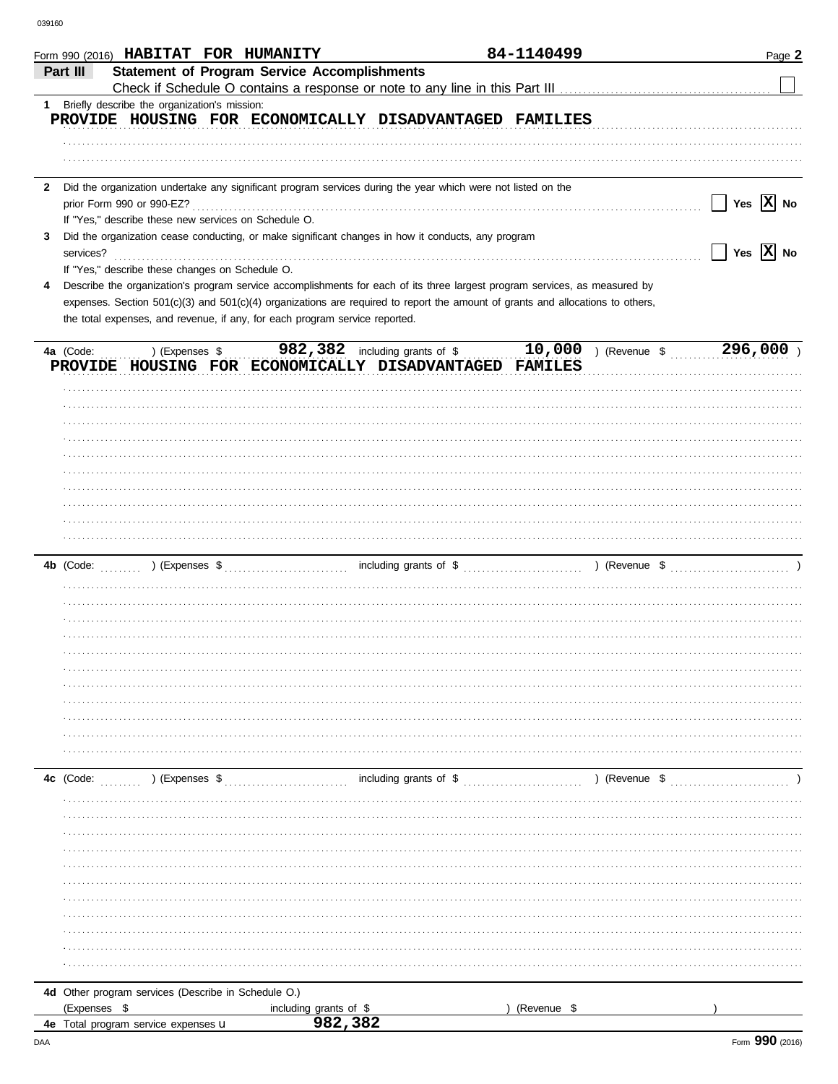|              |              | Form 990 (2016) HABITAT FOR HUMANITY                 |                |                        |                                                                                                              | 84-1140499                                                                                                                     |               | Page 2                       |
|--------------|--------------|------------------------------------------------------|----------------|------------------------|--------------------------------------------------------------------------------------------------------------|--------------------------------------------------------------------------------------------------------------------------------|---------------|------------------------------|
|              | Part III     |                                                      |                |                        | <b>Statement of Program Service Accomplishments</b>                                                          |                                                                                                                                |               |                              |
|              |              |                                                      |                |                        |                                                                                                              |                                                                                                                                |               |                              |
|              |              | 1 Briefly describe the organization's mission:       |                |                        |                                                                                                              |                                                                                                                                |               |                              |
|              |              |                                                      |                |                        |                                                                                                              | PROVIDE HOUSING FOR ECONOMICALLY DISADVANTAGED FAMILIES                                                                        |               |                              |
|              |              |                                                      |                |                        |                                                                                                              |                                                                                                                                |               |                              |
|              |              |                                                      |                |                        |                                                                                                              |                                                                                                                                |               |                              |
|              |              |                                                      |                |                        |                                                                                                              |                                                                                                                                |               |                              |
| $\mathbf{2}$ |              |                                                      |                |                        | Did the organization undertake any significant program services during the year which were not listed on the |                                                                                                                                |               |                              |
|              |              | prior Form 990 or 990-EZ?                            |                |                        |                                                                                                              |                                                                                                                                |               | Yes $ X $ No<br>$\mathbf{1}$ |
|              |              | If "Yes," describe these new services on Schedule O. |                |                        |                                                                                                              |                                                                                                                                |               |                              |
| 3            |              |                                                      |                |                        | Did the organization cease conducting, or make significant changes in how it conducts, any program           |                                                                                                                                |               |                              |
|              | services?    |                                                      |                |                        |                                                                                                              |                                                                                                                                |               | $\sqrt{}$ Yes $\sqrt{}$ No   |
|              |              | If "Yes," describe these changes on Schedule O.      |                |                        |                                                                                                              |                                                                                                                                |               |                              |
| 4            |              |                                                      |                |                        |                                                                                                              | Describe the organization's program service accomplishments for each of its three largest program services, as measured by     |               |                              |
|              |              |                                                      |                |                        |                                                                                                              | expenses. Section 501(c)(3) and 501(c)(4) organizations are required to report the amount of grants and allocations to others, |               |                              |
|              |              |                                                      |                |                        | the total expenses, and revenue, if any, for each program service reported.                                  |                                                                                                                                |               |                              |
|              |              |                                                      |                |                        | $\overline{982,382}$ including grants of \$                                                                  | $10,000$ ) (Revenue \$                                                                                                         |               | 296,000                      |
|              | 4a (Code:    |                                                      | ) (Expenses \$ |                        |                                                                                                              | PROVIDE HOUSING FOR ECONOMICALLY DISADVANTAGED FAMILES                                                                         |               |                              |
|              |              |                                                      |                |                        |                                                                                                              |                                                                                                                                |               |                              |
|              |              |                                                      |                |                        |                                                                                                              |                                                                                                                                |               |                              |
|              |              |                                                      |                |                        |                                                                                                              |                                                                                                                                |               |                              |
|              |              |                                                      |                |                        |                                                                                                              |                                                                                                                                |               |                              |
|              |              |                                                      |                |                        |                                                                                                              |                                                                                                                                |               |                              |
|              |              |                                                      |                |                        |                                                                                                              |                                                                                                                                |               |                              |
|              |              |                                                      |                |                        |                                                                                                              |                                                                                                                                |               |                              |
|              |              |                                                      |                |                        |                                                                                                              |                                                                                                                                |               |                              |
|              |              |                                                      |                |                        |                                                                                                              |                                                                                                                                |               |                              |
|              |              |                                                      |                |                        |                                                                                                              |                                                                                                                                |               |                              |
|              |              |                                                      |                |                        |                                                                                                              |                                                                                                                                |               |                              |
|              |              |                                                      |                |                        |                                                                                                              |                                                                                                                                |               |                              |
|              |              |                                                      |                |                        |                                                                                                              |                                                                                                                                |               |                              |
|              |              |                                                      |                |                        |                                                                                                              |                                                                                                                                |               |                              |
|              |              |                                                      |                |                        |                                                                                                              |                                                                                                                                |               |                              |
|              |              |                                                      |                |                        |                                                                                                              |                                                                                                                                |               |                              |
|              |              |                                                      |                |                        |                                                                                                              |                                                                                                                                |               |                              |
|              |              |                                                      |                |                        |                                                                                                              |                                                                                                                                |               |                              |
|              |              |                                                      |                |                        |                                                                                                              |                                                                                                                                |               |                              |
|              |              |                                                      |                |                        |                                                                                                              |                                                                                                                                |               |                              |
|              |              |                                                      |                |                        |                                                                                                              |                                                                                                                                |               |                              |
|              |              |                                                      |                |                        |                                                                                                              |                                                                                                                                |               |                              |
|              |              |                                                      |                |                        |                                                                                                              |                                                                                                                                |               |                              |
|              |              |                                                      |                |                        |                                                                                                              |                                                                                                                                |               |                              |
|              | 4c (Code:    | ) (Expenses \$                                       |                |                        |                                                                                                              |                                                                                                                                | ) (Revenue \$ |                              |
|              |              |                                                      |                |                        |                                                                                                              |                                                                                                                                |               |                              |
|              |              |                                                      |                |                        |                                                                                                              |                                                                                                                                |               |                              |
|              |              |                                                      |                |                        |                                                                                                              |                                                                                                                                |               |                              |
|              |              |                                                      |                |                        |                                                                                                              |                                                                                                                                |               |                              |
|              |              |                                                      |                |                        |                                                                                                              |                                                                                                                                |               |                              |
|              |              |                                                      |                |                        |                                                                                                              |                                                                                                                                |               |                              |
|              |              |                                                      |                |                        |                                                                                                              |                                                                                                                                |               |                              |
|              |              |                                                      |                |                        |                                                                                                              |                                                                                                                                |               |                              |
|              |              |                                                      |                |                        |                                                                                                              |                                                                                                                                |               |                              |
|              |              |                                                      |                |                        |                                                                                                              |                                                                                                                                |               |                              |
|              |              |                                                      |                |                        |                                                                                                              |                                                                                                                                |               |                              |
|              |              |                                                      |                |                        |                                                                                                              |                                                                                                                                |               |                              |
|              |              | 4d Other program services (Describe in Schedule O.)  |                |                        |                                                                                                              |                                                                                                                                |               |                              |
|              | (Expenses \$ |                                                      |                | including grants of \$ |                                                                                                              | (Revenue \$                                                                                                                    |               |                              |
|              |              | 4e Total program service expenses u                  |                |                        | 982,382                                                                                                      |                                                                                                                                |               |                              |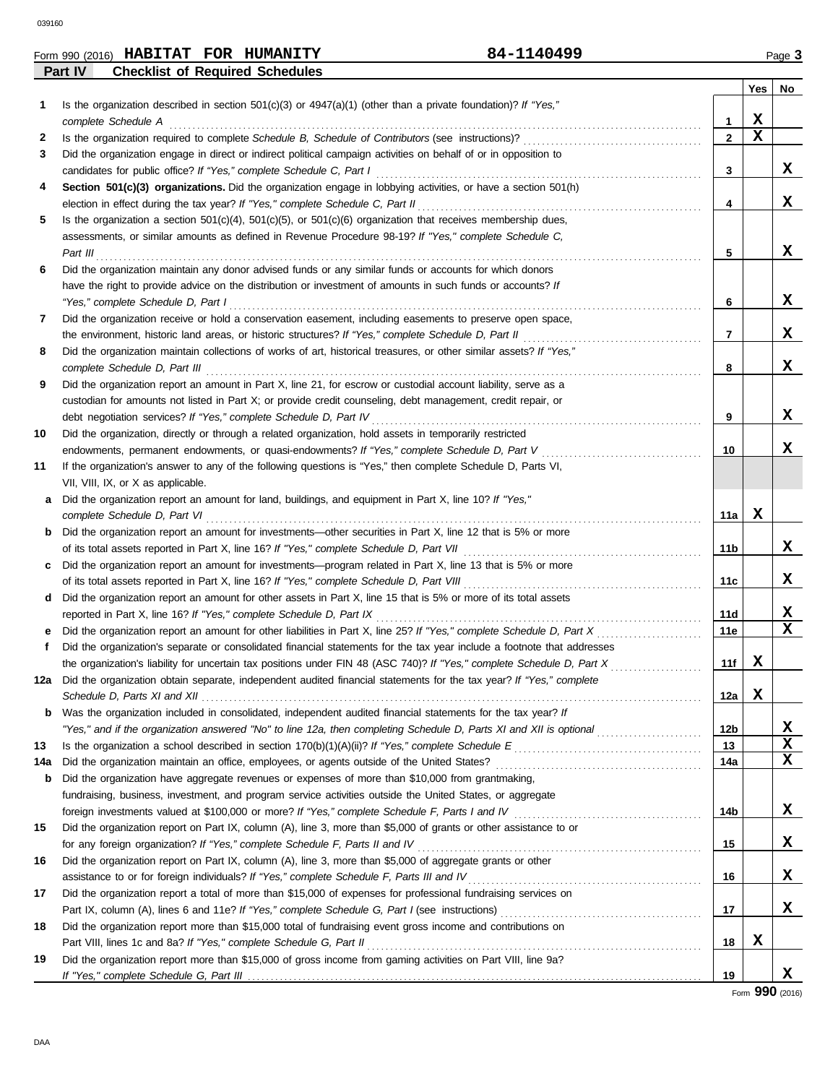| Form 990 (2016) | <b>HABITAT</b> | <b>FOR</b> | <b>HUMANITY</b>                        | 84-1140499 | $P$ aqe $\sim$ |
|-----------------|----------------|------------|----------------------------------------|------------|----------------|
| Part IV         |                |            | <b>Checklist of Required Schedules</b> |            |                |

| Is the organization described in section $501(c)(3)$ or $4947(a)(1)$ (other than a private foundation)? If "Yes,"<br>1<br>x<br>complete Schedule A<br>1<br>x<br>$\mathbf{2}$<br>2<br>Did the organization engage in direct or indirect political campaign activities on behalf of or in opposition to<br>3<br>X.<br>candidates for public office? If "Yes," complete Schedule C, Part I<br>3<br>Section 501(c)(3) organizations. Did the organization engage in lobbying activities, or have a section 501(h)<br>4<br>X.<br>4<br>Is the organization a section $501(c)(4)$ , $501(c)(5)$ , or $501(c)(6)$ organization that receives membership dues,<br>5<br>assessments, or similar amounts as defined in Revenue Procedure 98-19? If "Yes," complete Schedule C,<br>X.<br>5<br>Part III<br>Did the organization maintain any donor advised funds or any similar funds or accounts for which donors<br>6<br>have the right to provide advice on the distribution or investment of amounts in such funds or accounts? If<br>X.<br>"Yes," complete Schedule D, Part I<br>6<br>Did the organization receive or hold a conservation easement, including easements to preserve open space,<br>7<br>X.<br>the environment, historic land areas, or historic structures? If "Yes," complete Schedule D, Part II<br>7<br>Did the organization maintain collections of works of art, historical treasures, or other similar assets? If "Yes,"<br>8<br>x<br>complete Schedule D, Part III<br>8<br>Did the organization report an amount in Part X, line 21, for escrow or custodial account liability, serve as a<br>9<br>custodian for amounts not listed in Part X; or provide credit counseling, debt management, credit repair, or<br>X.<br>debt negotiation services? If "Yes," complete Schedule D, Part IV<br>9<br>Did the organization, directly or through a related organization, hold assets in temporarily restricted<br>x<br>endowments, permanent endowments, or quasi-endowments? If "Yes," complete Schedule D, Part V<br>10<br>If the organization's answer to any of the following questions is "Yes," then complete Schedule D, Parts VI,<br>VII, VIII, IX, or X as applicable.<br>Did the organization report an amount for land, buildings, and equipment in Part X, line 10? If "Yes,"<br>a<br>x<br>complete Schedule D, Part VI<br>11a l<br>Did the organization report an amount for investments—other securities in Part X, line 12 that is 5% or more<br>b<br>X.<br>11b<br>Did the organization report an amount for investments—program related in Part X, line 13 that is 5% or more<br>c<br>X<br>11c<br>Did the organization report an amount for other assets in Part X, line 15 that is 5% or more of its total assets<br>d<br>x<br>reported in Part X, line 16? If "Yes," complete Schedule D, Part IX<br>11d<br>x<br>11e<br>е<br>Did the organization's separate or consolidated financial statements for the tax year include a footnote that addresses<br>f.<br>x<br>the organization's liability for uncertain tax positions under FIN 48 (ASC 740)? If "Yes," complete Schedule D, Part X<br>11f<br>x<br>12a<br>Was the organization included in consolidated, independent audited financial statements for the tax year? If<br>b<br>x<br>"Yes," and if the organization answered "No" to line 12a, then completing Schedule D, Parts XI and XII is optional<br>12b<br>x<br>13<br>x<br>14a<br>Did the organization have aggregate revenues or expenses of more than \$10,000 from grantmaking,<br>b<br>fundraising, business, investment, and program service activities outside the United States, or aggregate<br>X.<br>foreign investments valued at \$100,000 or more? If "Yes," complete Schedule F, Parts I and IV [[[[[[[[[[[[[[[<br>14b<br>Did the organization report on Part IX, column (A), line 3, more than \$5,000 of grants or other assistance to or<br>X.<br>15<br>Did the organization report on Part IX, column (A), line 3, more than \$5,000 of aggregate grants or other<br>X.<br>assistance to or for foreign individuals? If "Yes," complete Schedule F, Parts III and IV<br>16<br>Did the organization report a total of more than \$15,000 of expenses for professional fundraising services on<br>X.<br>17<br>Did the organization report more than \$15,000 total of fundraising event gross income and contributions on<br>x<br>Part VIII, lines 1c and 8a? If "Yes," complete Schedule G, Part II<br>18<br>Did the organization report more than \$15,000 of gross income from gaming activities on Part VIII, line 9a?<br>X<br>19 |  | Yes | No |
|-----------------------------------------------------------------------------------------------------------------------------------------------------------------------------------------------------------------------------------------------------------------------------------------------------------------------------------------------------------------------------------------------------------------------------------------------------------------------------------------------------------------------------------------------------------------------------------------------------------------------------------------------------------------------------------------------------------------------------------------------------------------------------------------------------------------------------------------------------------------------------------------------------------------------------------------------------------------------------------------------------------------------------------------------------------------------------------------------------------------------------------------------------------------------------------------------------------------------------------------------------------------------------------------------------------------------------------------------------------------------------------------------------------------------------------------------------------------------------------------------------------------------------------------------------------------------------------------------------------------------------------------------------------------------------------------------------------------------------------------------------------------------------------------------------------------------------------------------------------------------------------------------------------------------------------------------------------------------------------------------------------------------------------------------------------------------------------------------------------------------------------------------------------------------------------------------------------------------------------------------------------------------------------------------------------------------------------------------------------------------------------------------------------------------------------------------------------------------------------------------------------------------------------------------------------------------------------------------------------------------------------------------------------------------------------------------------------------------------------------------------------------------------------------------------------------------------------------------------------------------------------------------------------------------------------------------------------------------------------------------------------------------------------------------------------------------------------------------------------------------------------------------------------------------------------------------------------------------------------------------------------------------------------------------------------------------------------------------------------------------------------------------------------------------------------------------------------------------------------------------------------------------------------------------------------------------------------------------------------------------------------------------------------------------------------------------------------------------------------------------------------------------------------------------------------------------------------------------------------------------------------------------------------------------------------------------------------------------------------------------------------------------------------------------------------------------------------------------------------------------------------------------------------------------------------------------------------------------------------------------------------------------------------------------------------------------------------------------------------------------------------------------------------------------------------------------------------------------------------------------------------------------------------------------------------------------------------------------|--|-----|----|
| 10<br>11<br>12a Did the organization obtain separate, independent audited financial statements for the tax year? If "Yes," complete<br>13<br>14a<br>15<br>16<br>17<br>18<br>19                                                                                                                                                                                                                                                                                                                                                                                                                                                                                                                                                                                                                                                                                                                                                                                                                                                                                                                                                                                                                                                                                                                                                                                                                                                                                                                                                                                                                                                                                                                                                                                                                                                                                                                                                                                                                                                                                                                                                                                                                                                                                                                                                                                                                                                                                                                                                                                                                                                                                                                                                                                                                                                                                                                                                                                                                                                                                                                                                                                                                                                                                                                                                                                                                                                                                                                                                                                                                                                                                                                                                                                                                                                                                                                                                                                                                                                                                                                                                                                                                                                                                                                                                                                                                                                                                                                                                                                                                |  |     |    |
|                                                                                                                                                                                                                                                                                                                                                                                                                                                                                                                                                                                                                                                                                                                                                                                                                                                                                                                                                                                                                                                                                                                                                                                                                                                                                                                                                                                                                                                                                                                                                                                                                                                                                                                                                                                                                                                                                                                                                                                                                                                                                                                                                                                                                                                                                                                                                                                                                                                                                                                                                                                                                                                                                                                                                                                                                                                                                                                                                                                                                                                                                                                                                                                                                                                                                                                                                                                                                                                                                                                                                                                                                                                                                                                                                                                                                                                                                                                                                                                                                                                                                                                                                                                                                                                                                                                                                                                                                                                                                                                                                                                               |  |     |    |
|                                                                                                                                                                                                                                                                                                                                                                                                                                                                                                                                                                                                                                                                                                                                                                                                                                                                                                                                                                                                                                                                                                                                                                                                                                                                                                                                                                                                                                                                                                                                                                                                                                                                                                                                                                                                                                                                                                                                                                                                                                                                                                                                                                                                                                                                                                                                                                                                                                                                                                                                                                                                                                                                                                                                                                                                                                                                                                                                                                                                                                                                                                                                                                                                                                                                                                                                                                                                                                                                                                                                                                                                                                                                                                                                                                                                                                                                                                                                                                                                                                                                                                                                                                                                                                                                                                                                                                                                                                                                                                                                                                                               |  |     |    |
|                                                                                                                                                                                                                                                                                                                                                                                                                                                                                                                                                                                                                                                                                                                                                                                                                                                                                                                                                                                                                                                                                                                                                                                                                                                                                                                                                                                                                                                                                                                                                                                                                                                                                                                                                                                                                                                                                                                                                                                                                                                                                                                                                                                                                                                                                                                                                                                                                                                                                                                                                                                                                                                                                                                                                                                                                                                                                                                                                                                                                                                                                                                                                                                                                                                                                                                                                                                                                                                                                                                                                                                                                                                                                                                                                                                                                                                                                                                                                                                                                                                                                                                                                                                                                                                                                                                                                                                                                                                                                                                                                                                               |  |     |    |
|                                                                                                                                                                                                                                                                                                                                                                                                                                                                                                                                                                                                                                                                                                                                                                                                                                                                                                                                                                                                                                                                                                                                                                                                                                                                                                                                                                                                                                                                                                                                                                                                                                                                                                                                                                                                                                                                                                                                                                                                                                                                                                                                                                                                                                                                                                                                                                                                                                                                                                                                                                                                                                                                                                                                                                                                                                                                                                                                                                                                                                                                                                                                                                                                                                                                                                                                                                                                                                                                                                                                                                                                                                                                                                                                                                                                                                                                                                                                                                                                                                                                                                                                                                                                                                                                                                                                                                                                                                                                                                                                                                                               |  |     |    |
|                                                                                                                                                                                                                                                                                                                                                                                                                                                                                                                                                                                                                                                                                                                                                                                                                                                                                                                                                                                                                                                                                                                                                                                                                                                                                                                                                                                                                                                                                                                                                                                                                                                                                                                                                                                                                                                                                                                                                                                                                                                                                                                                                                                                                                                                                                                                                                                                                                                                                                                                                                                                                                                                                                                                                                                                                                                                                                                                                                                                                                                                                                                                                                                                                                                                                                                                                                                                                                                                                                                                                                                                                                                                                                                                                                                                                                                                                                                                                                                                                                                                                                                                                                                                                                                                                                                                                                                                                                                                                                                                                                                               |  |     |    |
|                                                                                                                                                                                                                                                                                                                                                                                                                                                                                                                                                                                                                                                                                                                                                                                                                                                                                                                                                                                                                                                                                                                                                                                                                                                                                                                                                                                                                                                                                                                                                                                                                                                                                                                                                                                                                                                                                                                                                                                                                                                                                                                                                                                                                                                                                                                                                                                                                                                                                                                                                                                                                                                                                                                                                                                                                                                                                                                                                                                                                                                                                                                                                                                                                                                                                                                                                                                                                                                                                                                                                                                                                                                                                                                                                                                                                                                                                                                                                                                                                                                                                                                                                                                                                                                                                                                                                                                                                                                                                                                                                                                               |  |     |    |
|                                                                                                                                                                                                                                                                                                                                                                                                                                                                                                                                                                                                                                                                                                                                                                                                                                                                                                                                                                                                                                                                                                                                                                                                                                                                                                                                                                                                                                                                                                                                                                                                                                                                                                                                                                                                                                                                                                                                                                                                                                                                                                                                                                                                                                                                                                                                                                                                                                                                                                                                                                                                                                                                                                                                                                                                                                                                                                                                                                                                                                                                                                                                                                                                                                                                                                                                                                                                                                                                                                                                                                                                                                                                                                                                                                                                                                                                                                                                                                                                                                                                                                                                                                                                                                                                                                                                                                                                                                                                                                                                                                                               |  |     |    |
|                                                                                                                                                                                                                                                                                                                                                                                                                                                                                                                                                                                                                                                                                                                                                                                                                                                                                                                                                                                                                                                                                                                                                                                                                                                                                                                                                                                                                                                                                                                                                                                                                                                                                                                                                                                                                                                                                                                                                                                                                                                                                                                                                                                                                                                                                                                                                                                                                                                                                                                                                                                                                                                                                                                                                                                                                                                                                                                                                                                                                                                                                                                                                                                                                                                                                                                                                                                                                                                                                                                                                                                                                                                                                                                                                                                                                                                                                                                                                                                                                                                                                                                                                                                                                                                                                                                                                                                                                                                                                                                                                                                               |  |     |    |
|                                                                                                                                                                                                                                                                                                                                                                                                                                                                                                                                                                                                                                                                                                                                                                                                                                                                                                                                                                                                                                                                                                                                                                                                                                                                                                                                                                                                                                                                                                                                                                                                                                                                                                                                                                                                                                                                                                                                                                                                                                                                                                                                                                                                                                                                                                                                                                                                                                                                                                                                                                                                                                                                                                                                                                                                                                                                                                                                                                                                                                                                                                                                                                                                                                                                                                                                                                                                                                                                                                                                                                                                                                                                                                                                                                                                                                                                                                                                                                                                                                                                                                                                                                                                                                                                                                                                                                                                                                                                                                                                                                                               |  |     |    |
|                                                                                                                                                                                                                                                                                                                                                                                                                                                                                                                                                                                                                                                                                                                                                                                                                                                                                                                                                                                                                                                                                                                                                                                                                                                                                                                                                                                                                                                                                                                                                                                                                                                                                                                                                                                                                                                                                                                                                                                                                                                                                                                                                                                                                                                                                                                                                                                                                                                                                                                                                                                                                                                                                                                                                                                                                                                                                                                                                                                                                                                                                                                                                                                                                                                                                                                                                                                                                                                                                                                                                                                                                                                                                                                                                                                                                                                                                                                                                                                                                                                                                                                                                                                                                                                                                                                                                                                                                                                                                                                                                                                               |  |     |    |
|                                                                                                                                                                                                                                                                                                                                                                                                                                                                                                                                                                                                                                                                                                                                                                                                                                                                                                                                                                                                                                                                                                                                                                                                                                                                                                                                                                                                                                                                                                                                                                                                                                                                                                                                                                                                                                                                                                                                                                                                                                                                                                                                                                                                                                                                                                                                                                                                                                                                                                                                                                                                                                                                                                                                                                                                                                                                                                                                                                                                                                                                                                                                                                                                                                                                                                                                                                                                                                                                                                                                                                                                                                                                                                                                                                                                                                                                                                                                                                                                                                                                                                                                                                                                                                                                                                                                                                                                                                                                                                                                                                                               |  |     |    |
|                                                                                                                                                                                                                                                                                                                                                                                                                                                                                                                                                                                                                                                                                                                                                                                                                                                                                                                                                                                                                                                                                                                                                                                                                                                                                                                                                                                                                                                                                                                                                                                                                                                                                                                                                                                                                                                                                                                                                                                                                                                                                                                                                                                                                                                                                                                                                                                                                                                                                                                                                                                                                                                                                                                                                                                                                                                                                                                                                                                                                                                                                                                                                                                                                                                                                                                                                                                                                                                                                                                                                                                                                                                                                                                                                                                                                                                                                                                                                                                                                                                                                                                                                                                                                                                                                                                                                                                                                                                                                                                                                                                               |  |     |    |
|                                                                                                                                                                                                                                                                                                                                                                                                                                                                                                                                                                                                                                                                                                                                                                                                                                                                                                                                                                                                                                                                                                                                                                                                                                                                                                                                                                                                                                                                                                                                                                                                                                                                                                                                                                                                                                                                                                                                                                                                                                                                                                                                                                                                                                                                                                                                                                                                                                                                                                                                                                                                                                                                                                                                                                                                                                                                                                                                                                                                                                                                                                                                                                                                                                                                                                                                                                                                                                                                                                                                                                                                                                                                                                                                                                                                                                                                                                                                                                                                                                                                                                                                                                                                                                                                                                                                                                                                                                                                                                                                                                                               |  |     |    |
|                                                                                                                                                                                                                                                                                                                                                                                                                                                                                                                                                                                                                                                                                                                                                                                                                                                                                                                                                                                                                                                                                                                                                                                                                                                                                                                                                                                                                                                                                                                                                                                                                                                                                                                                                                                                                                                                                                                                                                                                                                                                                                                                                                                                                                                                                                                                                                                                                                                                                                                                                                                                                                                                                                                                                                                                                                                                                                                                                                                                                                                                                                                                                                                                                                                                                                                                                                                                                                                                                                                                                                                                                                                                                                                                                                                                                                                                                                                                                                                                                                                                                                                                                                                                                                                                                                                                                                                                                                                                                                                                                                                               |  |     |    |
|                                                                                                                                                                                                                                                                                                                                                                                                                                                                                                                                                                                                                                                                                                                                                                                                                                                                                                                                                                                                                                                                                                                                                                                                                                                                                                                                                                                                                                                                                                                                                                                                                                                                                                                                                                                                                                                                                                                                                                                                                                                                                                                                                                                                                                                                                                                                                                                                                                                                                                                                                                                                                                                                                                                                                                                                                                                                                                                                                                                                                                                                                                                                                                                                                                                                                                                                                                                                                                                                                                                                                                                                                                                                                                                                                                                                                                                                                                                                                                                                                                                                                                                                                                                                                                                                                                                                                                                                                                                                                                                                                                                               |  |     |    |
|                                                                                                                                                                                                                                                                                                                                                                                                                                                                                                                                                                                                                                                                                                                                                                                                                                                                                                                                                                                                                                                                                                                                                                                                                                                                                                                                                                                                                                                                                                                                                                                                                                                                                                                                                                                                                                                                                                                                                                                                                                                                                                                                                                                                                                                                                                                                                                                                                                                                                                                                                                                                                                                                                                                                                                                                                                                                                                                                                                                                                                                                                                                                                                                                                                                                                                                                                                                                                                                                                                                                                                                                                                                                                                                                                                                                                                                                                                                                                                                                                                                                                                                                                                                                                                                                                                                                                                                                                                                                                                                                                                                               |  |     |    |
|                                                                                                                                                                                                                                                                                                                                                                                                                                                                                                                                                                                                                                                                                                                                                                                                                                                                                                                                                                                                                                                                                                                                                                                                                                                                                                                                                                                                                                                                                                                                                                                                                                                                                                                                                                                                                                                                                                                                                                                                                                                                                                                                                                                                                                                                                                                                                                                                                                                                                                                                                                                                                                                                                                                                                                                                                                                                                                                                                                                                                                                                                                                                                                                                                                                                                                                                                                                                                                                                                                                                                                                                                                                                                                                                                                                                                                                                                                                                                                                                                                                                                                                                                                                                                                                                                                                                                                                                                                                                                                                                                                                               |  |     |    |
|                                                                                                                                                                                                                                                                                                                                                                                                                                                                                                                                                                                                                                                                                                                                                                                                                                                                                                                                                                                                                                                                                                                                                                                                                                                                                                                                                                                                                                                                                                                                                                                                                                                                                                                                                                                                                                                                                                                                                                                                                                                                                                                                                                                                                                                                                                                                                                                                                                                                                                                                                                                                                                                                                                                                                                                                                                                                                                                                                                                                                                                                                                                                                                                                                                                                                                                                                                                                                                                                                                                                                                                                                                                                                                                                                                                                                                                                                                                                                                                                                                                                                                                                                                                                                                                                                                                                                                                                                                                                                                                                                                                               |  |     |    |
|                                                                                                                                                                                                                                                                                                                                                                                                                                                                                                                                                                                                                                                                                                                                                                                                                                                                                                                                                                                                                                                                                                                                                                                                                                                                                                                                                                                                                                                                                                                                                                                                                                                                                                                                                                                                                                                                                                                                                                                                                                                                                                                                                                                                                                                                                                                                                                                                                                                                                                                                                                                                                                                                                                                                                                                                                                                                                                                                                                                                                                                                                                                                                                                                                                                                                                                                                                                                                                                                                                                                                                                                                                                                                                                                                                                                                                                                                                                                                                                                                                                                                                                                                                                                                                                                                                                                                                                                                                                                                                                                                                                               |  |     |    |
|                                                                                                                                                                                                                                                                                                                                                                                                                                                                                                                                                                                                                                                                                                                                                                                                                                                                                                                                                                                                                                                                                                                                                                                                                                                                                                                                                                                                                                                                                                                                                                                                                                                                                                                                                                                                                                                                                                                                                                                                                                                                                                                                                                                                                                                                                                                                                                                                                                                                                                                                                                                                                                                                                                                                                                                                                                                                                                                                                                                                                                                                                                                                                                                                                                                                                                                                                                                                                                                                                                                                                                                                                                                                                                                                                                                                                                                                                                                                                                                                                                                                                                                                                                                                                                                                                                                                                                                                                                                                                                                                                                                               |  |     |    |
|                                                                                                                                                                                                                                                                                                                                                                                                                                                                                                                                                                                                                                                                                                                                                                                                                                                                                                                                                                                                                                                                                                                                                                                                                                                                                                                                                                                                                                                                                                                                                                                                                                                                                                                                                                                                                                                                                                                                                                                                                                                                                                                                                                                                                                                                                                                                                                                                                                                                                                                                                                                                                                                                                                                                                                                                                                                                                                                                                                                                                                                                                                                                                                                                                                                                                                                                                                                                                                                                                                                                                                                                                                                                                                                                                                                                                                                                                                                                                                                                                                                                                                                                                                                                                                                                                                                                                                                                                                                                                                                                                                                               |  |     |    |
|                                                                                                                                                                                                                                                                                                                                                                                                                                                                                                                                                                                                                                                                                                                                                                                                                                                                                                                                                                                                                                                                                                                                                                                                                                                                                                                                                                                                                                                                                                                                                                                                                                                                                                                                                                                                                                                                                                                                                                                                                                                                                                                                                                                                                                                                                                                                                                                                                                                                                                                                                                                                                                                                                                                                                                                                                                                                                                                                                                                                                                                                                                                                                                                                                                                                                                                                                                                                                                                                                                                                                                                                                                                                                                                                                                                                                                                                                                                                                                                                                                                                                                                                                                                                                                                                                                                                                                                                                                                                                                                                                                                               |  |     |    |
|                                                                                                                                                                                                                                                                                                                                                                                                                                                                                                                                                                                                                                                                                                                                                                                                                                                                                                                                                                                                                                                                                                                                                                                                                                                                                                                                                                                                                                                                                                                                                                                                                                                                                                                                                                                                                                                                                                                                                                                                                                                                                                                                                                                                                                                                                                                                                                                                                                                                                                                                                                                                                                                                                                                                                                                                                                                                                                                                                                                                                                                                                                                                                                                                                                                                                                                                                                                                                                                                                                                                                                                                                                                                                                                                                                                                                                                                                                                                                                                                                                                                                                                                                                                                                                                                                                                                                                                                                                                                                                                                                                                               |  |     |    |
|                                                                                                                                                                                                                                                                                                                                                                                                                                                                                                                                                                                                                                                                                                                                                                                                                                                                                                                                                                                                                                                                                                                                                                                                                                                                                                                                                                                                                                                                                                                                                                                                                                                                                                                                                                                                                                                                                                                                                                                                                                                                                                                                                                                                                                                                                                                                                                                                                                                                                                                                                                                                                                                                                                                                                                                                                                                                                                                                                                                                                                                                                                                                                                                                                                                                                                                                                                                                                                                                                                                                                                                                                                                                                                                                                                                                                                                                                                                                                                                                                                                                                                                                                                                                                                                                                                                                                                                                                                                                                                                                                                                               |  |     |    |
|                                                                                                                                                                                                                                                                                                                                                                                                                                                                                                                                                                                                                                                                                                                                                                                                                                                                                                                                                                                                                                                                                                                                                                                                                                                                                                                                                                                                                                                                                                                                                                                                                                                                                                                                                                                                                                                                                                                                                                                                                                                                                                                                                                                                                                                                                                                                                                                                                                                                                                                                                                                                                                                                                                                                                                                                                                                                                                                                                                                                                                                                                                                                                                                                                                                                                                                                                                                                                                                                                                                                                                                                                                                                                                                                                                                                                                                                                                                                                                                                                                                                                                                                                                                                                                                                                                                                                                                                                                                                                                                                                                                               |  |     |    |
|                                                                                                                                                                                                                                                                                                                                                                                                                                                                                                                                                                                                                                                                                                                                                                                                                                                                                                                                                                                                                                                                                                                                                                                                                                                                                                                                                                                                                                                                                                                                                                                                                                                                                                                                                                                                                                                                                                                                                                                                                                                                                                                                                                                                                                                                                                                                                                                                                                                                                                                                                                                                                                                                                                                                                                                                                                                                                                                                                                                                                                                                                                                                                                                                                                                                                                                                                                                                                                                                                                                                                                                                                                                                                                                                                                                                                                                                                                                                                                                                                                                                                                                                                                                                                                                                                                                                                                                                                                                                                                                                                                                               |  |     |    |
|                                                                                                                                                                                                                                                                                                                                                                                                                                                                                                                                                                                                                                                                                                                                                                                                                                                                                                                                                                                                                                                                                                                                                                                                                                                                                                                                                                                                                                                                                                                                                                                                                                                                                                                                                                                                                                                                                                                                                                                                                                                                                                                                                                                                                                                                                                                                                                                                                                                                                                                                                                                                                                                                                                                                                                                                                                                                                                                                                                                                                                                                                                                                                                                                                                                                                                                                                                                                                                                                                                                                                                                                                                                                                                                                                                                                                                                                                                                                                                                                                                                                                                                                                                                                                                                                                                                                                                                                                                                                                                                                                                                               |  |     |    |
|                                                                                                                                                                                                                                                                                                                                                                                                                                                                                                                                                                                                                                                                                                                                                                                                                                                                                                                                                                                                                                                                                                                                                                                                                                                                                                                                                                                                                                                                                                                                                                                                                                                                                                                                                                                                                                                                                                                                                                                                                                                                                                                                                                                                                                                                                                                                                                                                                                                                                                                                                                                                                                                                                                                                                                                                                                                                                                                                                                                                                                                                                                                                                                                                                                                                                                                                                                                                                                                                                                                                                                                                                                                                                                                                                                                                                                                                                                                                                                                                                                                                                                                                                                                                                                                                                                                                                                                                                                                                                                                                                                                               |  |     |    |
|                                                                                                                                                                                                                                                                                                                                                                                                                                                                                                                                                                                                                                                                                                                                                                                                                                                                                                                                                                                                                                                                                                                                                                                                                                                                                                                                                                                                                                                                                                                                                                                                                                                                                                                                                                                                                                                                                                                                                                                                                                                                                                                                                                                                                                                                                                                                                                                                                                                                                                                                                                                                                                                                                                                                                                                                                                                                                                                                                                                                                                                                                                                                                                                                                                                                                                                                                                                                                                                                                                                                                                                                                                                                                                                                                                                                                                                                                                                                                                                                                                                                                                                                                                                                                                                                                                                                                                                                                                                                                                                                                                                               |  |     |    |
|                                                                                                                                                                                                                                                                                                                                                                                                                                                                                                                                                                                                                                                                                                                                                                                                                                                                                                                                                                                                                                                                                                                                                                                                                                                                                                                                                                                                                                                                                                                                                                                                                                                                                                                                                                                                                                                                                                                                                                                                                                                                                                                                                                                                                                                                                                                                                                                                                                                                                                                                                                                                                                                                                                                                                                                                                                                                                                                                                                                                                                                                                                                                                                                                                                                                                                                                                                                                                                                                                                                                                                                                                                                                                                                                                                                                                                                                                                                                                                                                                                                                                                                                                                                                                                                                                                                                                                                                                                                                                                                                                                                               |  |     |    |
|                                                                                                                                                                                                                                                                                                                                                                                                                                                                                                                                                                                                                                                                                                                                                                                                                                                                                                                                                                                                                                                                                                                                                                                                                                                                                                                                                                                                                                                                                                                                                                                                                                                                                                                                                                                                                                                                                                                                                                                                                                                                                                                                                                                                                                                                                                                                                                                                                                                                                                                                                                                                                                                                                                                                                                                                                                                                                                                                                                                                                                                                                                                                                                                                                                                                                                                                                                                                                                                                                                                                                                                                                                                                                                                                                                                                                                                                                                                                                                                                                                                                                                                                                                                                                                                                                                                                                                                                                                                                                                                                                                                               |  |     |    |
|                                                                                                                                                                                                                                                                                                                                                                                                                                                                                                                                                                                                                                                                                                                                                                                                                                                                                                                                                                                                                                                                                                                                                                                                                                                                                                                                                                                                                                                                                                                                                                                                                                                                                                                                                                                                                                                                                                                                                                                                                                                                                                                                                                                                                                                                                                                                                                                                                                                                                                                                                                                                                                                                                                                                                                                                                                                                                                                                                                                                                                                                                                                                                                                                                                                                                                                                                                                                                                                                                                                                                                                                                                                                                                                                                                                                                                                                                                                                                                                                                                                                                                                                                                                                                                                                                                                                                                                                                                                                                                                                                                                               |  |     |    |
|                                                                                                                                                                                                                                                                                                                                                                                                                                                                                                                                                                                                                                                                                                                                                                                                                                                                                                                                                                                                                                                                                                                                                                                                                                                                                                                                                                                                                                                                                                                                                                                                                                                                                                                                                                                                                                                                                                                                                                                                                                                                                                                                                                                                                                                                                                                                                                                                                                                                                                                                                                                                                                                                                                                                                                                                                                                                                                                                                                                                                                                                                                                                                                                                                                                                                                                                                                                                                                                                                                                                                                                                                                                                                                                                                                                                                                                                                                                                                                                                                                                                                                                                                                                                                                                                                                                                                                                                                                                                                                                                                                                               |  |     |    |
|                                                                                                                                                                                                                                                                                                                                                                                                                                                                                                                                                                                                                                                                                                                                                                                                                                                                                                                                                                                                                                                                                                                                                                                                                                                                                                                                                                                                                                                                                                                                                                                                                                                                                                                                                                                                                                                                                                                                                                                                                                                                                                                                                                                                                                                                                                                                                                                                                                                                                                                                                                                                                                                                                                                                                                                                                                                                                                                                                                                                                                                                                                                                                                                                                                                                                                                                                                                                                                                                                                                                                                                                                                                                                                                                                                                                                                                                                                                                                                                                                                                                                                                                                                                                                                                                                                                                                                                                                                                                                                                                                                                               |  |     |    |
|                                                                                                                                                                                                                                                                                                                                                                                                                                                                                                                                                                                                                                                                                                                                                                                                                                                                                                                                                                                                                                                                                                                                                                                                                                                                                                                                                                                                                                                                                                                                                                                                                                                                                                                                                                                                                                                                                                                                                                                                                                                                                                                                                                                                                                                                                                                                                                                                                                                                                                                                                                                                                                                                                                                                                                                                                                                                                                                                                                                                                                                                                                                                                                                                                                                                                                                                                                                                                                                                                                                                                                                                                                                                                                                                                                                                                                                                                                                                                                                                                                                                                                                                                                                                                                                                                                                                                                                                                                                                                                                                                                                               |  |     |    |
|                                                                                                                                                                                                                                                                                                                                                                                                                                                                                                                                                                                                                                                                                                                                                                                                                                                                                                                                                                                                                                                                                                                                                                                                                                                                                                                                                                                                                                                                                                                                                                                                                                                                                                                                                                                                                                                                                                                                                                                                                                                                                                                                                                                                                                                                                                                                                                                                                                                                                                                                                                                                                                                                                                                                                                                                                                                                                                                                                                                                                                                                                                                                                                                                                                                                                                                                                                                                                                                                                                                                                                                                                                                                                                                                                                                                                                                                                                                                                                                                                                                                                                                                                                                                                                                                                                                                                                                                                                                                                                                                                                                               |  |     |    |
|                                                                                                                                                                                                                                                                                                                                                                                                                                                                                                                                                                                                                                                                                                                                                                                                                                                                                                                                                                                                                                                                                                                                                                                                                                                                                                                                                                                                                                                                                                                                                                                                                                                                                                                                                                                                                                                                                                                                                                                                                                                                                                                                                                                                                                                                                                                                                                                                                                                                                                                                                                                                                                                                                                                                                                                                                                                                                                                                                                                                                                                                                                                                                                                                                                                                                                                                                                                                                                                                                                                                                                                                                                                                                                                                                                                                                                                                                                                                                                                                                                                                                                                                                                                                                                                                                                                                                                                                                                                                                                                                                                                               |  |     |    |
|                                                                                                                                                                                                                                                                                                                                                                                                                                                                                                                                                                                                                                                                                                                                                                                                                                                                                                                                                                                                                                                                                                                                                                                                                                                                                                                                                                                                                                                                                                                                                                                                                                                                                                                                                                                                                                                                                                                                                                                                                                                                                                                                                                                                                                                                                                                                                                                                                                                                                                                                                                                                                                                                                                                                                                                                                                                                                                                                                                                                                                                                                                                                                                                                                                                                                                                                                                                                                                                                                                                                                                                                                                                                                                                                                                                                                                                                                                                                                                                                                                                                                                                                                                                                                                                                                                                                                                                                                                                                                                                                                                                               |  |     |    |
|                                                                                                                                                                                                                                                                                                                                                                                                                                                                                                                                                                                                                                                                                                                                                                                                                                                                                                                                                                                                                                                                                                                                                                                                                                                                                                                                                                                                                                                                                                                                                                                                                                                                                                                                                                                                                                                                                                                                                                                                                                                                                                                                                                                                                                                                                                                                                                                                                                                                                                                                                                                                                                                                                                                                                                                                                                                                                                                                                                                                                                                                                                                                                                                                                                                                                                                                                                                                                                                                                                                                                                                                                                                                                                                                                                                                                                                                                                                                                                                                                                                                                                                                                                                                                                                                                                                                                                                                                                                                                                                                                                                               |  |     |    |
|                                                                                                                                                                                                                                                                                                                                                                                                                                                                                                                                                                                                                                                                                                                                                                                                                                                                                                                                                                                                                                                                                                                                                                                                                                                                                                                                                                                                                                                                                                                                                                                                                                                                                                                                                                                                                                                                                                                                                                                                                                                                                                                                                                                                                                                                                                                                                                                                                                                                                                                                                                                                                                                                                                                                                                                                                                                                                                                                                                                                                                                                                                                                                                                                                                                                                                                                                                                                                                                                                                                                                                                                                                                                                                                                                                                                                                                                                                                                                                                                                                                                                                                                                                                                                                                                                                                                                                                                                                                                                                                                                                                               |  |     |    |
|                                                                                                                                                                                                                                                                                                                                                                                                                                                                                                                                                                                                                                                                                                                                                                                                                                                                                                                                                                                                                                                                                                                                                                                                                                                                                                                                                                                                                                                                                                                                                                                                                                                                                                                                                                                                                                                                                                                                                                                                                                                                                                                                                                                                                                                                                                                                                                                                                                                                                                                                                                                                                                                                                                                                                                                                                                                                                                                                                                                                                                                                                                                                                                                                                                                                                                                                                                                                                                                                                                                                                                                                                                                                                                                                                                                                                                                                                                                                                                                                                                                                                                                                                                                                                                                                                                                                                                                                                                                                                                                                                                                               |  |     |    |
|                                                                                                                                                                                                                                                                                                                                                                                                                                                                                                                                                                                                                                                                                                                                                                                                                                                                                                                                                                                                                                                                                                                                                                                                                                                                                                                                                                                                                                                                                                                                                                                                                                                                                                                                                                                                                                                                                                                                                                                                                                                                                                                                                                                                                                                                                                                                                                                                                                                                                                                                                                                                                                                                                                                                                                                                                                                                                                                                                                                                                                                                                                                                                                                                                                                                                                                                                                                                                                                                                                                                                                                                                                                                                                                                                                                                                                                                                                                                                                                                                                                                                                                                                                                                                                                                                                                                                                                                                                                                                                                                                                                               |  |     |    |
|                                                                                                                                                                                                                                                                                                                                                                                                                                                                                                                                                                                                                                                                                                                                                                                                                                                                                                                                                                                                                                                                                                                                                                                                                                                                                                                                                                                                                                                                                                                                                                                                                                                                                                                                                                                                                                                                                                                                                                                                                                                                                                                                                                                                                                                                                                                                                                                                                                                                                                                                                                                                                                                                                                                                                                                                                                                                                                                                                                                                                                                                                                                                                                                                                                                                                                                                                                                                                                                                                                                                                                                                                                                                                                                                                                                                                                                                                                                                                                                                                                                                                                                                                                                                                                                                                                                                                                                                                                                                                                                                                                                               |  |     |    |
|                                                                                                                                                                                                                                                                                                                                                                                                                                                                                                                                                                                                                                                                                                                                                                                                                                                                                                                                                                                                                                                                                                                                                                                                                                                                                                                                                                                                                                                                                                                                                                                                                                                                                                                                                                                                                                                                                                                                                                                                                                                                                                                                                                                                                                                                                                                                                                                                                                                                                                                                                                                                                                                                                                                                                                                                                                                                                                                                                                                                                                                                                                                                                                                                                                                                                                                                                                                                                                                                                                                                                                                                                                                                                                                                                                                                                                                                                                                                                                                                                                                                                                                                                                                                                                                                                                                                                                                                                                                                                                                                                                                               |  |     |    |
|                                                                                                                                                                                                                                                                                                                                                                                                                                                                                                                                                                                                                                                                                                                                                                                                                                                                                                                                                                                                                                                                                                                                                                                                                                                                                                                                                                                                                                                                                                                                                                                                                                                                                                                                                                                                                                                                                                                                                                                                                                                                                                                                                                                                                                                                                                                                                                                                                                                                                                                                                                                                                                                                                                                                                                                                                                                                                                                                                                                                                                                                                                                                                                                                                                                                                                                                                                                                                                                                                                                                                                                                                                                                                                                                                                                                                                                                                                                                                                                                                                                                                                                                                                                                                                                                                                                                                                                                                                                                                                                                                                                               |  |     |    |
|                                                                                                                                                                                                                                                                                                                                                                                                                                                                                                                                                                                                                                                                                                                                                                                                                                                                                                                                                                                                                                                                                                                                                                                                                                                                                                                                                                                                                                                                                                                                                                                                                                                                                                                                                                                                                                                                                                                                                                                                                                                                                                                                                                                                                                                                                                                                                                                                                                                                                                                                                                                                                                                                                                                                                                                                                                                                                                                                                                                                                                                                                                                                                                                                                                                                                                                                                                                                                                                                                                                                                                                                                                                                                                                                                                                                                                                                                                                                                                                                                                                                                                                                                                                                                                                                                                                                                                                                                                                                                                                                                                                               |  |     |    |
|                                                                                                                                                                                                                                                                                                                                                                                                                                                                                                                                                                                                                                                                                                                                                                                                                                                                                                                                                                                                                                                                                                                                                                                                                                                                                                                                                                                                                                                                                                                                                                                                                                                                                                                                                                                                                                                                                                                                                                                                                                                                                                                                                                                                                                                                                                                                                                                                                                                                                                                                                                                                                                                                                                                                                                                                                                                                                                                                                                                                                                                                                                                                                                                                                                                                                                                                                                                                                                                                                                                                                                                                                                                                                                                                                                                                                                                                                                                                                                                                                                                                                                                                                                                                                                                                                                                                                                                                                                                                                                                                                                                               |  |     |    |
|                                                                                                                                                                                                                                                                                                                                                                                                                                                                                                                                                                                                                                                                                                                                                                                                                                                                                                                                                                                                                                                                                                                                                                                                                                                                                                                                                                                                                                                                                                                                                                                                                                                                                                                                                                                                                                                                                                                                                                                                                                                                                                                                                                                                                                                                                                                                                                                                                                                                                                                                                                                                                                                                                                                                                                                                                                                                                                                                                                                                                                                                                                                                                                                                                                                                                                                                                                                                                                                                                                                                                                                                                                                                                                                                                                                                                                                                                                                                                                                                                                                                                                                                                                                                                                                                                                                                                                                                                                                                                                                                                                                               |  |     |    |
|                                                                                                                                                                                                                                                                                                                                                                                                                                                                                                                                                                                                                                                                                                                                                                                                                                                                                                                                                                                                                                                                                                                                                                                                                                                                                                                                                                                                                                                                                                                                                                                                                                                                                                                                                                                                                                                                                                                                                                                                                                                                                                                                                                                                                                                                                                                                                                                                                                                                                                                                                                                                                                                                                                                                                                                                                                                                                                                                                                                                                                                                                                                                                                                                                                                                                                                                                                                                                                                                                                                                                                                                                                                                                                                                                                                                                                                                                                                                                                                                                                                                                                                                                                                                                                                                                                                                                                                                                                                                                                                                                                                               |  |     |    |
|                                                                                                                                                                                                                                                                                                                                                                                                                                                                                                                                                                                                                                                                                                                                                                                                                                                                                                                                                                                                                                                                                                                                                                                                                                                                                                                                                                                                                                                                                                                                                                                                                                                                                                                                                                                                                                                                                                                                                                                                                                                                                                                                                                                                                                                                                                                                                                                                                                                                                                                                                                                                                                                                                                                                                                                                                                                                                                                                                                                                                                                                                                                                                                                                                                                                                                                                                                                                                                                                                                                                                                                                                                                                                                                                                                                                                                                                                                                                                                                                                                                                                                                                                                                                                                                                                                                                                                                                                                                                                                                                                                                               |  |     |    |
|                                                                                                                                                                                                                                                                                                                                                                                                                                                                                                                                                                                                                                                                                                                                                                                                                                                                                                                                                                                                                                                                                                                                                                                                                                                                                                                                                                                                                                                                                                                                                                                                                                                                                                                                                                                                                                                                                                                                                                                                                                                                                                                                                                                                                                                                                                                                                                                                                                                                                                                                                                                                                                                                                                                                                                                                                                                                                                                                                                                                                                                                                                                                                                                                                                                                                                                                                                                                                                                                                                                                                                                                                                                                                                                                                                                                                                                                                                                                                                                                                                                                                                                                                                                                                                                                                                                                                                                                                                                                                                                                                                                               |  |     |    |

Form **990** (2016)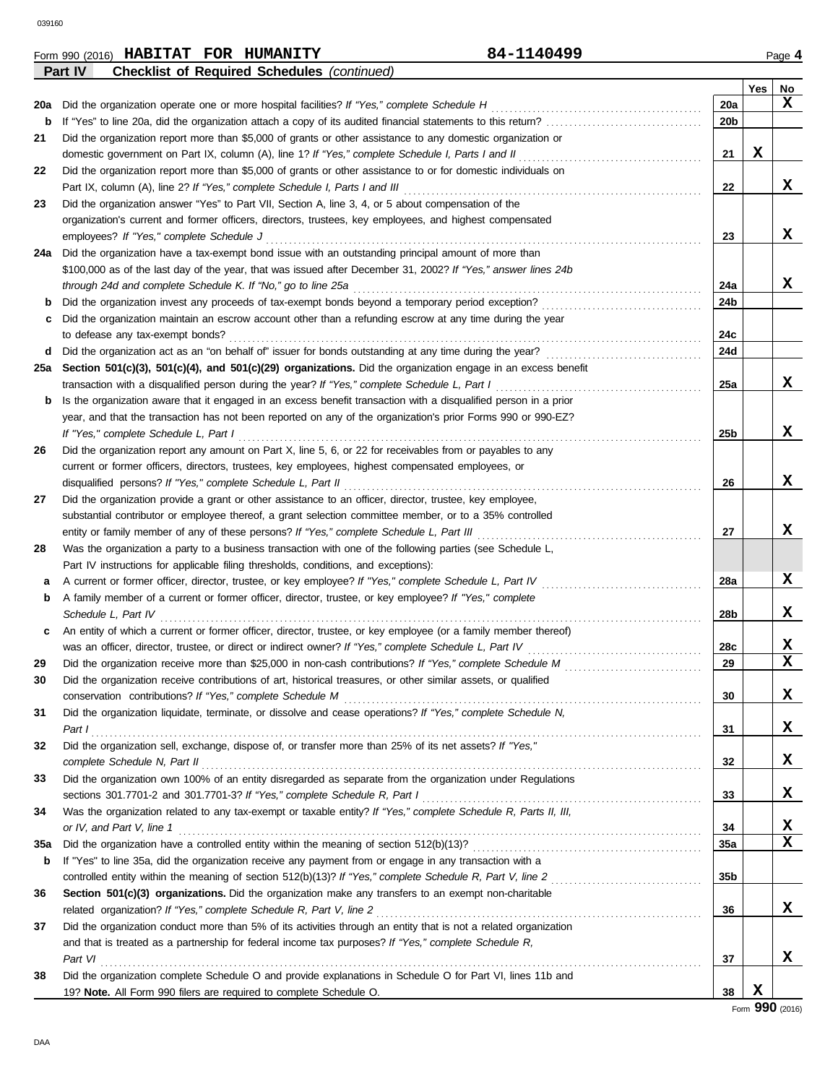|     | 84-1140499<br>Form 990 (2016) <b>HABITAT FOR HUMANITY</b>                                                        |            |     | Page 4                  |
|-----|------------------------------------------------------------------------------------------------------------------|------------|-----|-------------------------|
|     | Part IV<br><b>Checklist of Required Schedules (continued)</b>                                                    |            |     |                         |
|     |                                                                                                                  |            | Yes | No                      |
| 20a | Did the organization operate one or more hospital facilities? If "Yes," complete Schedule H                      | <b>20a</b> |     | X                       |
| b   | If "Yes" to line 20a, did the organization attach a copy of its audited financial statements to this return?     | 20b        |     |                         |
| 21  | Did the organization report more than \$5,000 of grants or other assistance to any domestic organization or      |            |     |                         |
|     |                                                                                                                  | 21         | X   |                         |
| 22  | Did the organization report more than \$5,000 of grants or other assistance to or for domestic individuals on    |            |     |                         |
|     | Part IX, column (A), line 2? If "Yes," complete Schedule I, Parts I and III                                      | 22         |     | X                       |
| 23  | Did the organization answer "Yes" to Part VII, Section A, line 3, 4, or 5 about compensation of the              |            |     |                         |
|     | organization's current and former officers, directors, trustees, key employees, and highest compensated          |            |     |                         |
|     | employees? If "Yes," complete Schedule J                                                                         | 23         |     | X                       |
| 24a | Did the organization have a tax-exempt bond issue with an outstanding principal amount of more than              |            |     |                         |
|     | \$100,000 as of the last day of the year, that was issued after December 31, 2002? If "Yes," answer lines 24b    |            |     |                         |
|     | through 24d and complete Schedule K. If "No," go to line 25a                                                     | 24a        |     | X                       |
| b   | Did the organization invest any proceeds of tax-exempt bonds beyond a temporary period exception?                | 24b        |     |                         |
| c   | Did the organization maintain an escrow account other than a refunding escrow at any time during the year        |            |     |                         |
|     | to defease any tax-exempt bonds?                                                                                 | 24c        |     |                         |
|     | d Did the organization act as an "on behalf of" issuer for bonds outstanding at any time during the year?<br>.   | 24d        |     |                         |
| 25а | Section 501(c)(3), 501(c)(4), and 501(c)(29) organizations. Did the organization engage in an excess benefit     |            |     |                         |
|     | transaction with a disqualified person during the year? If "Yes," complete Schedule L, Part I                    | 25a        |     | x                       |
| b   | Is the organization aware that it engaged in an excess benefit transaction with a disqualified person in a prior |            |     |                         |
|     | year, and that the transaction has not been reported on any of the organization's prior Forms 990 or 990-EZ?     |            |     |                         |
|     | If "Yes," complete Schedule L, Part I                                                                            | 25b        |     | x                       |
| 26  | Did the organization report any amount on Part X, line 5, 6, or 22 for receivables from or payables to any       |            |     |                         |
|     | current or former officers, directors, trustees, key employees, highest compensated employees, or                |            |     |                         |
|     | disqualified persons? If "Yes," complete Schedule L, Part II                                                     | 26         |     | x                       |
| 27  | Did the organization provide a grant or other assistance to an officer, director, trustee, key employee,         |            |     |                         |
|     | substantial contributor or employee thereof, a grant selection committee member, or to a 35% controlled          |            |     |                         |
|     | entity or family member of any of these persons? If "Yes," complete Schedule L, Part III                         | 27         |     | X                       |
| 28  | Was the organization a party to a business transaction with one of the following parties (see Schedule L,        |            |     |                         |
|     | Part IV instructions for applicable filing thresholds, conditions, and exceptions):                              |            |     |                         |
| а   | A current or former officer, director, trustee, or key employee? If "Yes," complete Schedule L, Part IV          | 28a        |     | X                       |
| b   | A family member of a current or former officer, director, trustee, or key employee? If "Yes," complete           |            |     |                         |
|     | Schedule L, Part IV                                                                                              | 28b        |     | x                       |
| c   | An entity of which a current or former officer, director, trustee, or key employee (or a family member thereof)  |            |     |                         |
|     | was an officer, director, trustee, or direct or indirect owner? If "Yes," complete Schedule L, Part IV           | 28c        |     | X                       |
| 29  |                                                                                                                  | 29         |     | $\overline{\mathbf{x}}$ |
| 30  | Did the organization receive contributions of art, historical treasures, or other similar assets, or qualified   |            |     |                         |
|     | conservation contributions? If "Yes," complete Schedule M                                                        | 30         |     | X                       |
| 31  | Did the organization liquidate, terminate, or dissolve and cease operations? If "Yes," complete Schedule N,      |            |     |                         |
|     | Part I                                                                                                           | 31         |     | X                       |
| 32  | Did the organization sell, exchange, dispose of, or transfer more than 25% of its net assets? If "Yes,"          |            |     |                         |
|     | complete Schedule N, Part II                                                                                     | 32         |     | X                       |
| 33  | Did the organization own 100% of an entity disregarded as separate from the organization under Regulations       |            |     |                         |
|     |                                                                                                                  | 33         |     | X                       |
| 34  | Was the organization related to any tax-exempt or taxable entity? If "Yes," complete Schedule R, Parts II, III,  |            |     |                         |
|     | or IV, and Part V, line 1                                                                                        | 34         |     | X                       |
| 35a |                                                                                                                  | 35a        |     | $\mathbf x$             |
| b   | If "Yes" to line 35a, did the organization receive any payment from or engage in any transaction with a          |            |     |                         |
|     |                                                                                                                  | 35b        |     |                         |
| 36  | Section 501(c)(3) organizations. Did the organization make any transfers to an exempt non-charitable             |            |     |                         |
|     | related organization? If "Yes," complete Schedule R, Part V, line 2                                              | 36         |     | X                       |
| 37  | Did the organization conduct more than 5% of its activities through an entity that is not a related organization |            |     |                         |
|     | and that is treated as a partnership for federal income tax purposes? If "Yes," complete Schedule R,             |            |     |                         |
|     | Part VI                                                                                                          | 37         |     | X                       |
| 38  | Did the organization complete Schedule O and provide explanations in Schedule O for Part VI, lines 11b and       |            |     |                         |
|     | 19? Note. All Form 990 filers are required to complete Schedule O.                                               | 38         | X   |                         |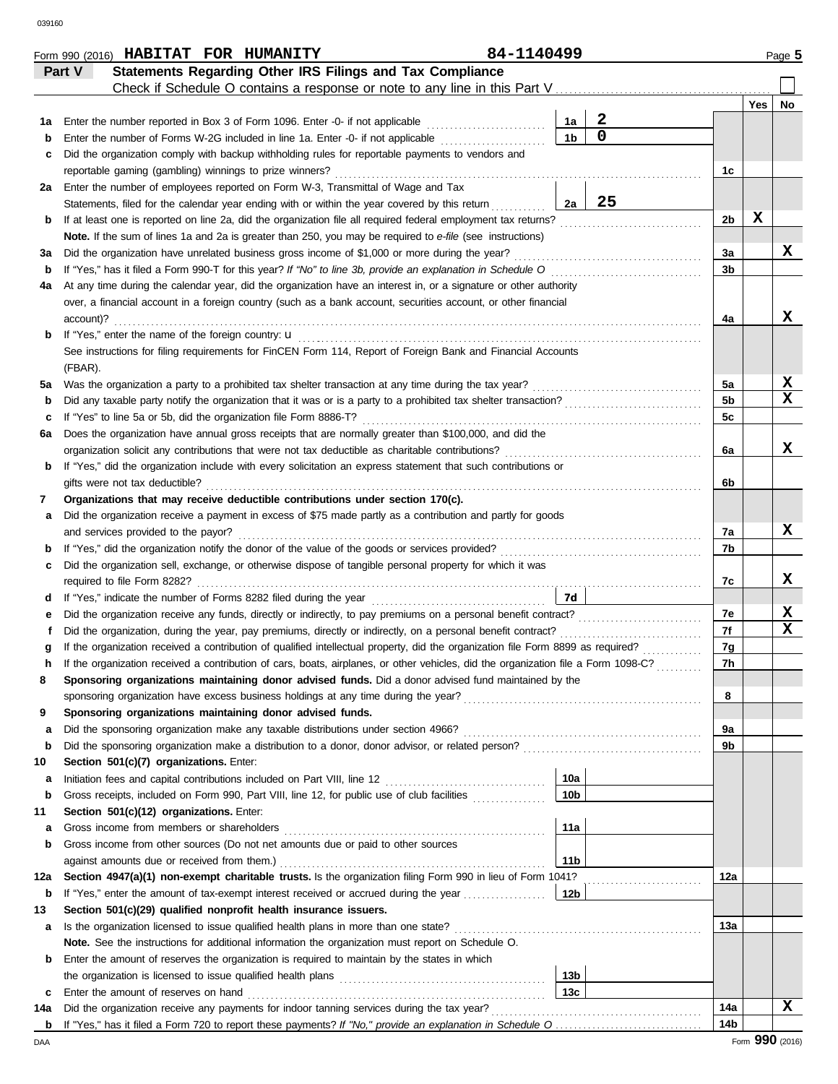|        | Form 990 (2016) HABITAT FOR HUMANITY                                                                                                                                             | 84-1140499 |                 |                                |                |     | Page 5 |
|--------|----------------------------------------------------------------------------------------------------------------------------------------------------------------------------------|------------|-----------------|--------------------------------|----------------|-----|--------|
|        | Statements Regarding Other IRS Filings and Tax Compliance<br>Part V                                                                                                              |            |                 |                                |                |     |        |
|        |                                                                                                                                                                                  |            |                 |                                |                |     |        |
|        |                                                                                                                                                                                  |            |                 |                                |                | Yes | No     |
| 1a     | Enter the number reported in Box 3 of Form 1096. Enter -0- if not applicable                                                                                                     |            | 1a              | $\mathbf{2}$<br>$\overline{0}$ |                |     |        |
| b      | Enter the number of Forms W-2G included in line 1a. Enter -0- if not applicable                                                                                                  |            | 1 <sub>b</sub>  |                                |                |     |        |
| c      | Did the organization comply with backup withholding rules for reportable payments to vendors and                                                                                 |            |                 |                                |                |     |        |
|        | reportable gaming (gambling) winnings to prize winners?<br>.                                                                                                                     |            |                 |                                | 1c             |     |        |
| 2a     | Enter the number of employees reported on Form W-3, Transmittal of Wage and Tax<br>Statements, filed for the calendar year ending with or within the year covered by this return |            | 2a              | 25                             |                |     |        |
| b      | If at least one is reported on line 2a, did the organization file all required federal employment tax returns?                                                                   |            |                 |                                | 2 <sub>b</sub> | X   |        |
|        | Note. If the sum of lines 1a and 2a is greater than 250, you may be required to e-file (see instructions)                                                                        |            |                 |                                |                |     |        |
| За     | Did the organization have unrelated business gross income of \$1,000 or more during the year?                                                                                    |            |                 |                                | За             |     | X      |
| b      | If "Yes," has it filed a Form 990-T for this year? If "No" to line 3b, provide an explanation in Schedule O                                                                      |            |                 |                                | 3 <sub>b</sub> |     |        |
| 4a     | At any time during the calendar year, did the organization have an interest in, or a signature or other authority                                                                |            |                 |                                |                |     |        |
|        | over, a financial account in a foreign country (such as a bank account, securities account, or other financial                                                                   |            |                 |                                |                |     |        |
|        | account)?                                                                                                                                                                        |            |                 |                                | 4a             |     | x      |
| b      | If "Yes," enter the name of the foreign country: <b>u</b>                                                                                                                        |            |                 |                                |                |     |        |
|        | See instructions for filing requirements for FinCEN Form 114, Report of Foreign Bank and Financial Accounts                                                                      |            |                 |                                |                |     |        |
|        | (FBAR).                                                                                                                                                                          |            |                 |                                |                |     |        |
| 5a     | Was the organization a party to a prohibited tax shelter transaction at any time during the tax year?                                                                            |            |                 |                                | 5a             |     | X      |
| b      | Did any taxable party notify the organization that it was or is a party to a prohibited tax shelter transaction?                                                                 |            |                 |                                | 5 <sub>b</sub> |     | X      |
| c      | If "Yes" to line 5a or 5b, did the organization file Form 8886-T?                                                                                                                |            |                 |                                | 5c             |     |        |
| 6a     | Does the organization have annual gross receipts that are normally greater than \$100,000, and did the                                                                           |            |                 |                                |                |     |        |
|        | organization solicit any contributions that were not tax deductible as charitable contributions?                                                                                 |            |                 |                                | 6а             |     | x      |
| b      | If "Yes," did the organization include with every solicitation an express statement that such contributions or                                                                   |            |                 |                                |                |     |        |
|        | gifts were not tax deductible?                                                                                                                                                   |            |                 |                                | 6b             |     |        |
| 7      | Organizations that may receive deductible contributions under section 170(c).                                                                                                    |            |                 |                                |                |     |        |
| a      | Did the organization receive a payment in excess of \$75 made partly as a contribution and partly for goods                                                                      |            |                 |                                |                |     |        |
|        | and services provided to the payor?                                                                                                                                              |            |                 |                                | 7a             |     | x      |
| b      |                                                                                                                                                                                  |            |                 |                                | 7b             |     |        |
| c      | Did the organization sell, exchange, or otherwise dispose of tangible personal property for which it was                                                                         |            |                 |                                |                |     |        |
|        |                                                                                                                                                                                  |            | 7d              |                                | 7c             |     | x      |
| d      |                                                                                                                                                                                  |            |                 |                                | 7e             |     | X      |
| е<br>f | Did the organization, during the year, pay premiums, directly or indirectly, on a personal benefit contract?                                                                     |            |                 |                                | 7f             |     | X      |
|        | If the organization received a contribution of qualified intellectual property, did the organization file Form 8899 as required?                                                 |            |                 |                                | 7g             |     |        |
|        | If the organization received a contribution of cars, boats, airplanes, or other vehicles, did the organization file a Form 1098-C?                                               |            |                 |                                | 7h             |     |        |
| 8      | Sponsoring organizations maintaining donor advised funds. Did a donor advised fund maintained by the                                                                             |            |                 |                                |                |     |        |
|        |                                                                                                                                                                                  |            |                 |                                | 8              |     |        |
| 9      | Sponsoring organizations maintaining donor advised funds.                                                                                                                        |            |                 |                                |                |     |        |
| a      | Did the sponsoring organization make any taxable distributions under section 4966?                                                                                               |            |                 |                                | 9a             |     |        |
| b      | Did the sponsoring organization make a distribution to a donor, donor advisor, or related person?                                                                                |            |                 |                                | 9b             |     |        |
| 10     | Section 501(c)(7) organizations. Enter:                                                                                                                                          |            |                 |                                |                |     |        |
| a      |                                                                                                                                                                                  |            | 10a             |                                |                |     |        |
| b      | Gross receipts, included on Form 990, Part VIII, line 12, for public use of club facilities                                                                                      |            | 10 <sub>b</sub> |                                |                |     |        |
| 11     | Section 501(c)(12) organizations. Enter:                                                                                                                                         |            |                 |                                |                |     |        |
| a      | Gross income from members or shareholders                                                                                                                                        |            | 11a             |                                |                |     |        |
| b      | Gross income from other sources (Do not net amounts due or paid to other sources                                                                                                 |            |                 |                                |                |     |        |
|        | against amounts due or received from them.)                                                                                                                                      |            | 11 <sub>b</sub> |                                |                |     |        |
| 12a    | Section 4947(a)(1) non-exempt charitable trusts. Is the organization filing Form 990 in lieu of Form 1041?                                                                       |            |                 |                                | 12a            |     |        |
| b      | If "Yes," enter the amount of tax-exempt interest received or accrued during the year                                                                                            |            | 12b             |                                |                |     |        |
| 13     | Section 501(c)(29) qualified nonprofit health insurance issuers.                                                                                                                 |            |                 |                                |                |     |        |
| a      | Is the organization licensed to issue qualified health plans in more than one state?                                                                                             |            |                 |                                | 13a            |     |        |
|        | Note. See the instructions for additional information the organization must report on Schedule O.                                                                                |            |                 |                                |                |     |        |
| b      | Enter the amount of reserves the organization is required to maintain by the states in which                                                                                     |            | 13 <sub>b</sub> |                                |                |     |        |
| c      | Enter the amount of reserves on hand                                                                                                                                             |            | 13c             |                                |                |     |        |
| 14a    | Did the organization receive any payments for indoor tanning services during the tax year?                                                                                       |            |                 |                                | 14a            |     | x      |
| b      |                                                                                                                                                                                  |            |                 |                                | 14b            |     |        |
|        |                                                                                                                                                                                  |            |                 |                                |                |     |        |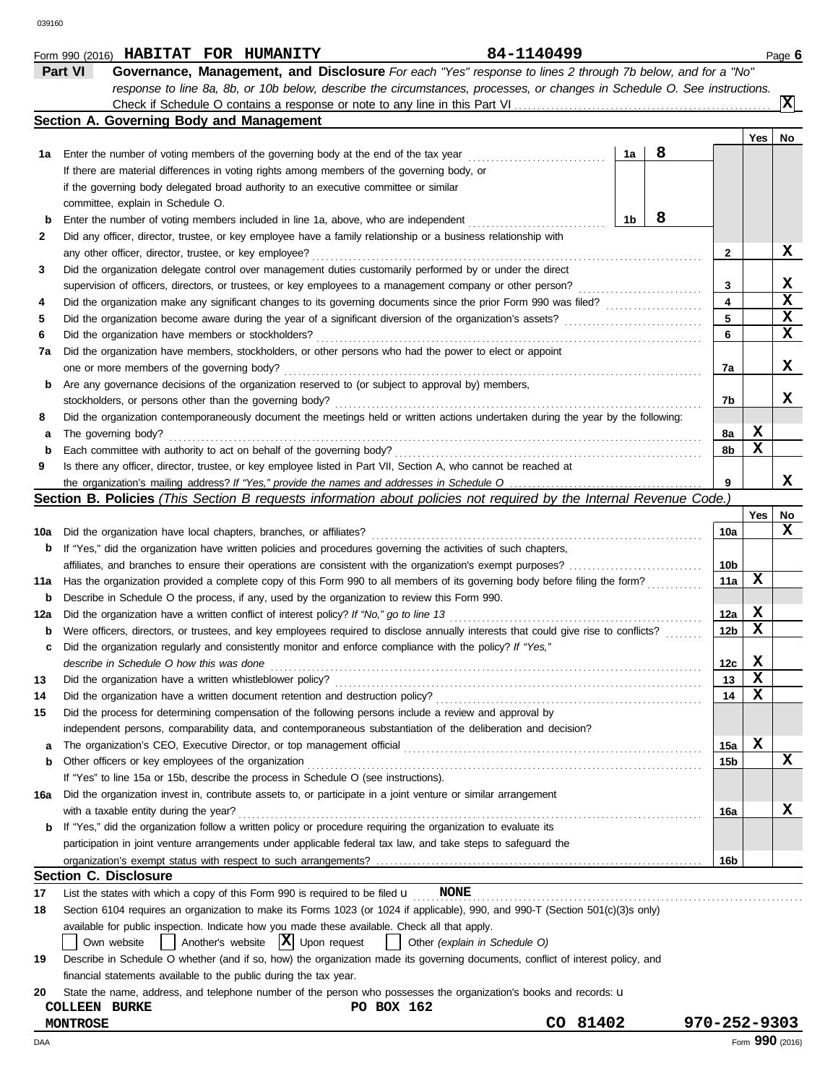|     | Part VI<br>Governance, Management, and Disclosure For each "Yes" response to lines 2 through 7b below, and for a "No"               |                         |             |                 |
|-----|-------------------------------------------------------------------------------------------------------------------------------------|-------------------------|-------------|-----------------|
|     | response to line 8a, 8b, or 10b below, describe the circumstances, processes, or changes in Schedule O. See instructions.           |                         |             |                 |
|     |                                                                                                                                     |                         |             | X               |
|     | Section A. Governing Body and Management                                                                                            |                         |             |                 |
|     |                                                                                                                                     |                         | Yes         | No              |
| 1a  | 8<br>Enter the number of voting members of the governing body at the end of the tax year<br>1a                                      |                         |             |                 |
|     | If there are material differences in voting rights among members of the governing body, or                                          |                         |             |                 |
|     | if the governing body delegated broad authority to an executive committee or similar                                                |                         |             |                 |
|     | committee, explain in Schedule O.                                                                                                   |                         |             |                 |
| b   | 8<br>1b<br>Enter the number of voting members included in line 1a, above, who are independent                                       |                         |             |                 |
| 2   | Did any officer, director, trustee, or key employee have a family relationship or a business relationship with                      |                         |             |                 |
|     | any other officer, director, trustee, or key employee?                                                                              | $\mathbf{2}$            |             | X               |
| 3   | Did the organization delegate control over management duties customarily performed by or under the direct                           |                         |             |                 |
|     | supervision of officers, directors, or trustees, or key employees to a management company or other person?                          | 3                       |             | X               |
| 4   | Did the organization make any significant changes to its governing documents since the prior Form 990 was filed?                    | $\overline{\mathbf{4}}$ |             | $\mathbf x$     |
| 5   |                                                                                                                                     | 5                       |             | X               |
| 6   |                                                                                                                                     | 6                       |             | $\mathbf x$     |
| 7a  | Did the organization have members, stockholders, or other persons who had the power to elect or appoint                             |                         |             |                 |
|     | one or more members of the governing body?                                                                                          | 7a                      |             | х               |
| b   | Are any governance decisions of the organization reserved to (or subject to approval by) members,                                   |                         |             |                 |
|     | stockholders, or persons other than the governing body?                                                                             | 7b                      |             | X               |
| 8   | Did the organization contemporaneously document the meetings held or written actions undertaken during the year by the following:   |                         |             |                 |
| a   | The governing body?                                                                                                                 | 8a                      | X           |                 |
| b   | Each committee with authority to act on behalf of the governing body?                                                               | 8b                      | $\mathbf x$ |                 |
| 9   | Is there any officer, director, trustee, or key employee listed in Part VII, Section A, who cannot be reached at                    |                         |             |                 |
|     |                                                                                                                                     | 9                       |             | X               |
|     | Section B. Policies (This Section B requests information about policies not required by the Internal Revenue Code.)                 |                         |             |                 |
|     |                                                                                                                                     |                         | Yes         | No              |
| 10a | Did the organization have local chapters, branches, or affiliates?                                                                  | 10a                     |             | X               |
| b   | If "Yes," did the organization have written policies and procedures governing the activities of such chapters,                      |                         |             |                 |
|     |                                                                                                                                     | 10b                     |             |                 |
| 11a | Has the organization provided a complete copy of this Form 990 to all members of its governing body before filing the form?         | 11a                     | X           |                 |
|     | Describe in Schedule O the process, if any, used by the organization to review this Form 990.                                       |                         |             |                 |
| b   |                                                                                                                                     | 12a                     | X           |                 |
| 12a | Were officers, directors, or trustees, and key employees required to disclose annually interests that could give rise to conflicts? | 12 <sub>b</sub>         | X           |                 |
| b   |                                                                                                                                     |                         |             |                 |
| c   | Did the organization regularly and consistently monitor and enforce compliance with the policy? If "Yes,"                           |                         | X           |                 |
|     | describe in Schedule O how this was done                                                                                            | 12c                     |             |                 |
| 13  | Did the organization have a written whistleblower policy?                                                                           | 13                      | X.<br>х     |                 |
| 14  |                                                                                                                                     | 14                      |             |                 |
| 15  | Did the process for determining compensation of the following persons include a review and approval by                              |                         |             |                 |
|     | independent persons, comparability data, and contemporaneous substantiation of the deliberation and decision?                       |                         | X           |                 |
| а   | Other officers or key employees of the organization                                                                                 | 15a                     |             | x               |
| b   |                                                                                                                                     | 15b                     |             |                 |
|     | If "Yes" to line 15a or 15b, describe the process in Schedule O (see instructions).                                                 |                         |             |                 |
| 16a | Did the organization invest in, contribute assets to, or participate in a joint venture or similar arrangement                      |                         |             | x               |
|     | with a taxable entity during the year?                                                                                              | 16a                     |             |                 |
| b   | If "Yes," did the organization follow a written policy or procedure requiring the organization to evaluate its                      |                         |             |                 |
|     | participation in joint venture arrangements under applicable federal tax law, and take steps to safeguard the                       |                         |             |                 |
|     |                                                                                                                                     | 16b                     |             |                 |
|     | <b>Section C. Disclosure</b>                                                                                                        |                         |             |                 |
| 17  | <b>NONE</b><br>List the states with which a copy of this Form 990 is required to be filed $\mathbf u$                               |                         |             |                 |
| 18  | Section 6104 requires an organization to make its Forms 1023 (or 1024 if applicable), 990, and 990-T (Section 501(c)(3)s only)      |                         |             |                 |
|     | available for public inspection. Indicate how you made these available. Check all that apply.                                       |                         |             |                 |
|     | $ \mathbf{X} $ Upon request<br>Another's website<br>Own website<br>Other (explain in Schedule O)                                    |                         |             |                 |
| 19  | Describe in Schedule O whether (and if so, how) the organization made its governing documents, conflict of interest policy, and     |                         |             |                 |
|     | financial statements available to the public during the tax year.                                                                   |                         |             |                 |
| 20  | State the name, address, and telephone number of the person who possesses the organization's books and records: <b>u</b>            |                         |             |                 |
|     | PO BOX 162<br><b>COLLEEN BURKE</b>                                                                                                  |                         |             |                 |
|     | CO 81402<br><b>MONTROSE</b>                                                                                                         | 970-252-9303            |             |                 |
| DAA |                                                                                                                                     |                         |             | Form 990 (2016) |

Form 990 (2016) Page **6 HABITAT FOR HUMANITY 84-1140499**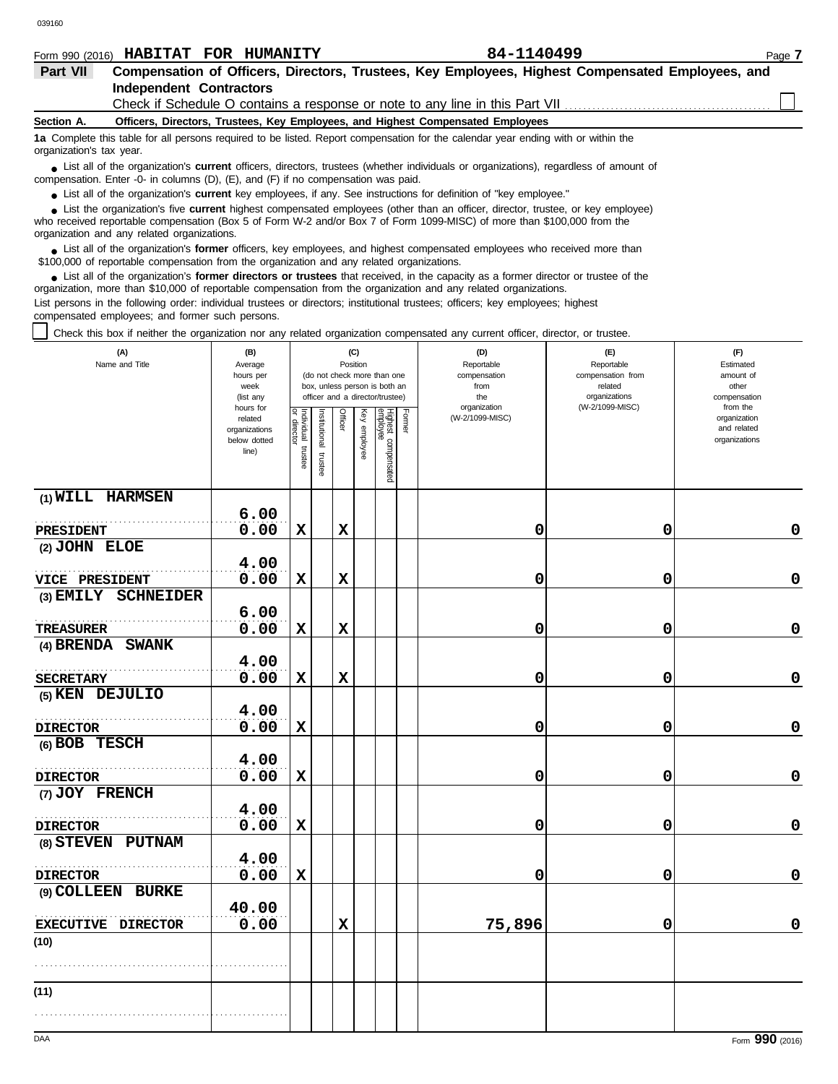|          | Form 990 (2016) <b>HABITAT FOR HUMANITY</b> |  |  | 84-1140499 |                                                                                                  | Page |
|----------|---------------------------------------------|--|--|------------|--------------------------------------------------------------------------------------------------|------|
| Part VII |                                             |  |  |            | Compensation of Officers, Directors, Trustees, Key Employees, Highest Compensated Employees, and |      |

| 1 GIL VII                | <b>OUTIPUTSANUT OF OTHUCES, DIFUCCUTS, THUSICUS, INCY EMPIOYUUS, HIGHUSE OUTIPUTSANU EMPIOYUUS, ANU</b>                                                                                                                            |
|--------------------------|------------------------------------------------------------------------------------------------------------------------------------------------------------------------------------------------------------------------------------|
|                          | Independent Contractors                                                                                                                                                                                                            |
|                          |                                                                                                                                                                                                                                    |
| Section A.               | Officers, Directors, Trustees, Key Employees, and Highest Compensated Employees                                                                                                                                                    |
| organization's tax year. | 1a Complete this table for all persons required to be listed. Report compensation for the calendar year ending with or within the                                                                                                  |
|                          | • List all of the organization's <b>current</b> officers, directors, trustees (whether individuals or organizations), regardless of amount of<br>compensation. Enter -0- in columns (D), (E), and (F) if no compensation was paid. |

● List all of the organization's **current** key employees, if any. See instructions for definition of "key employee."

who received reportable compensation (Box 5 of Form W-2 and/or Box 7 of Form 1099-MISC) of more than \$100,000 from the ■ List the organization's five **current** highest compensated employees (other than an officer, director, trustee, or key employee)<br> **•** Pregiund reportable compensation (Box 5 of Ferm W 2 and/or Box 7 of Ferm 1000 MISC) o

organization and any related organizations.

■ List all of the organization's **former** officers, key employees, and highest compensated employees who received more than<br> **•** 00.000 of reportable compensation from the examization and any related erganizations \$100,000 of reportable compensation from the organization and any related organizations.

■ List all of the organization's **former directors or trustees** that received, in the capacity as a former director or trustee of the practization more than \$10,000 of reportable compensation from the organization and any organization, more than \$10,000 of reportable compensation from the organization and any related organizations. List persons in the following order: individual trustees or directors; institutional trustees; officers; key employees; highest compensated employees; and former such persons.

Check this box if neither the organization nor any related organization compensated any current officer, director, or trustee.

| (A)<br>Name and Title                | (B)<br>Average<br>hours per<br>week<br>(list any               |                                   |                          |             | (C)<br>Position | (do not check more than one<br>box, unless person is both an<br>officer and a director/trustee) |        | (D)<br>Reportable<br>compensation<br>from<br>the<br>organization | (E)<br>Reportable<br>compensation from<br>related<br>organizations<br>(W-2/1099-MISC) | (F)<br>Estimated<br>amount of<br>other<br>compensation   |
|--------------------------------------|----------------------------------------------------------------|-----------------------------------|--------------------------|-------------|-----------------|-------------------------------------------------------------------------------------------------|--------|------------------------------------------------------------------|---------------------------------------------------------------------------------------|----------------------------------------------------------|
|                                      | hours for<br>related<br>organizations<br>below dotted<br>line) | Individual trustee<br>or director | Institutional<br>trustee | Officer     | Key employee    | Highest compensated<br>employee                                                                 | Former | (W-2/1099-MISC)                                                  |                                                                                       | from the<br>organization<br>and related<br>organizations |
| (1) WILL HARMSEN                     |                                                                |                                   |                          |             |                 |                                                                                                 |        |                                                                  |                                                                                       |                                                          |
|                                      | 6.00                                                           |                                   |                          |             |                 |                                                                                                 |        |                                                                  |                                                                                       |                                                          |
| PRESIDENT                            | 0.00                                                           | $\mathbf x$                       |                          | $\mathbf x$ |                 |                                                                                                 |        | 0                                                                | 0                                                                                     | 0                                                        |
| (2) JOHN ELOE                        | 4.00                                                           |                                   |                          |             |                 |                                                                                                 |        |                                                                  |                                                                                       |                                                          |
| VICE PRESIDENT                       | 0.00                                                           | X                                 |                          | $\mathbf x$ |                 |                                                                                                 |        | 0                                                                | 0                                                                                     | 0                                                        |
| (3) EMILY SCHNEIDER                  |                                                                |                                   |                          |             |                 |                                                                                                 |        |                                                                  |                                                                                       |                                                          |
|                                      | 6.00                                                           |                                   |                          |             |                 |                                                                                                 |        |                                                                  |                                                                                       |                                                          |
| <b>TREASURER</b>                     | 0.00                                                           | $\mathbf x$                       |                          | $\mathbf x$ |                 |                                                                                                 |        | 0                                                                | 0                                                                                     | $\pmb{0}$                                                |
| (4) BRENDA SWANK                     |                                                                |                                   |                          |             |                 |                                                                                                 |        |                                                                  |                                                                                       |                                                          |
|                                      | 4.00                                                           |                                   |                          |             |                 |                                                                                                 |        |                                                                  |                                                                                       |                                                          |
| <b>SECRETARY</b>                     | 0.00                                                           | $\mathbf x$                       |                          | $\mathbf x$ |                 |                                                                                                 |        | 0                                                                | 0                                                                                     | 0                                                        |
| (5) KEN DEJULIO                      |                                                                |                                   |                          |             |                 |                                                                                                 |        |                                                                  |                                                                                       |                                                          |
|                                      | 4.00                                                           |                                   |                          |             |                 |                                                                                                 |        |                                                                  |                                                                                       |                                                          |
| <b>DIRECTOR</b>                      | 0.00                                                           | $\mathbf x$                       |                          |             |                 |                                                                                                 |        | 0                                                                | 0                                                                                     | 0                                                        |
| (6) BOB TESCH                        |                                                                |                                   |                          |             |                 |                                                                                                 |        |                                                                  |                                                                                       |                                                          |
|                                      | 4.00                                                           |                                   |                          |             |                 |                                                                                                 |        |                                                                  |                                                                                       |                                                          |
| <b>DIRECTOR</b>                      | 0.00                                                           | X                                 |                          |             |                 |                                                                                                 |        | 0                                                                | 0                                                                                     | 0                                                        |
| (7) JOY FRENCH                       |                                                                |                                   |                          |             |                 |                                                                                                 |        |                                                                  |                                                                                       |                                                          |
|                                      | 4.00                                                           |                                   |                          |             |                 |                                                                                                 |        |                                                                  |                                                                                       |                                                          |
| <b>DIRECTOR</b>                      | 0.00                                                           | $\mathbf x$                       |                          |             |                 |                                                                                                 |        | 0                                                                | 0                                                                                     | 0                                                        |
| (8) STEVEN PUTNAM                    | 4.00                                                           |                                   |                          |             |                 |                                                                                                 |        |                                                                  |                                                                                       |                                                          |
|                                      | 0.00                                                           | $\mathbf x$                       |                          |             |                 |                                                                                                 |        | 0                                                                | 0                                                                                     | 0                                                        |
| <b>DIRECTOR</b><br>(9) COLLEEN BURKE |                                                                |                                   |                          |             |                 |                                                                                                 |        |                                                                  |                                                                                       |                                                          |
|                                      | 40.00                                                          |                                   |                          |             |                 |                                                                                                 |        |                                                                  |                                                                                       |                                                          |
| EXECUTIVE DIRECTOR                   | 0.00                                                           |                                   |                          | $\mathbf x$ |                 |                                                                                                 |        | 75,896                                                           | 0                                                                                     | $\pmb{0}$                                                |
| (10)                                 |                                                                |                                   |                          |             |                 |                                                                                                 |        |                                                                  |                                                                                       |                                                          |
|                                      |                                                                |                                   |                          |             |                 |                                                                                                 |        |                                                                  |                                                                                       |                                                          |
|                                      |                                                                |                                   |                          |             |                 |                                                                                                 |        |                                                                  |                                                                                       |                                                          |
| (11)                                 |                                                                |                                   |                          |             |                 |                                                                                                 |        |                                                                  |                                                                                       |                                                          |
|                                      |                                                                |                                   |                          |             |                 |                                                                                                 |        |                                                                  |                                                                                       |                                                          |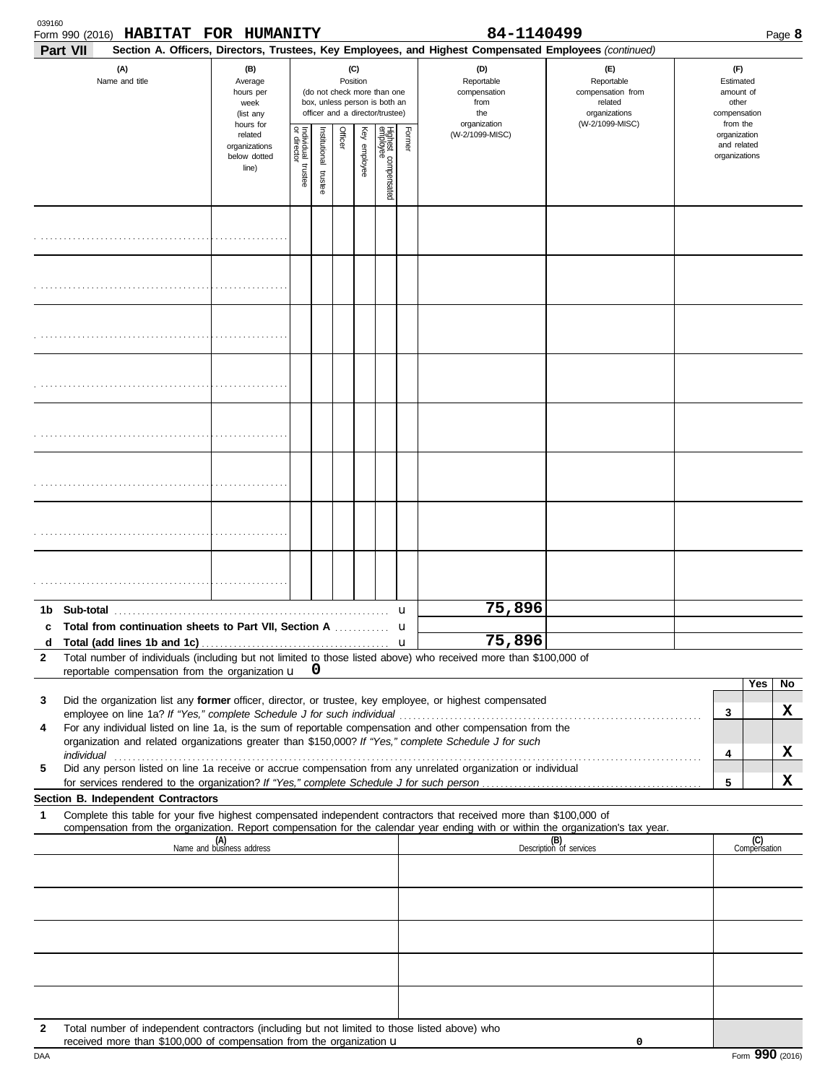| 039160       | Form 990 (2016) HABITAT FOR HUMANITY                                                                                                                                  |                                                                |                                   |                          |         |                 |                                                                                                 |        | 84-1140499                                                                                                                                                 |                                                                    |                                                          | Page 8              |
|--------------|-----------------------------------------------------------------------------------------------------------------------------------------------------------------------|----------------------------------------------------------------|-----------------------------------|--------------------------|---------|-----------------|-------------------------------------------------------------------------------------------------|--------|------------------------------------------------------------------------------------------------------------------------------------------------------------|--------------------------------------------------------------------|----------------------------------------------------------|---------------------|
|              | Part VII<br>(A)<br>Name and title                                                                                                                                     | (B)<br>Average<br>hours per<br>week<br>(list any               |                                   |                          |         | (C)<br>Position | (do not check more than one<br>box, unless person is both an<br>officer and a director/trustee) |        | Section A. Officers, Directors, Trustees, Key Employees, and Highest Compensated Employees (continued)<br>(D)<br>Reportable<br>compensation<br>from<br>the | (E)<br>Reportable<br>compensation from<br>related<br>organizations | (F)<br>Estimated<br>amount of<br>other<br>compensation   |                     |
|              |                                                                                                                                                                       | hours for<br>related<br>organizations<br>below dotted<br>line) | Individual trustee<br>or director | Institutional<br>trustee | Officer | Key employee    | Highest compensated<br>employee                                                                 | Former | organization<br>(W-2/1099-MISC)                                                                                                                            | (W-2/1099-MISC)                                                    | from the<br>organization<br>and related<br>organizations |                     |
|              |                                                                                                                                                                       |                                                                |                                   |                          |         |                 |                                                                                                 |        |                                                                                                                                                            |                                                                    |                                                          |                     |
|              |                                                                                                                                                                       |                                                                |                                   |                          |         |                 |                                                                                                 |        |                                                                                                                                                            |                                                                    |                                                          |                     |
|              |                                                                                                                                                                       |                                                                |                                   |                          |         |                 |                                                                                                 |        |                                                                                                                                                            |                                                                    |                                                          |                     |
|              |                                                                                                                                                                       |                                                                |                                   |                          |         |                 |                                                                                                 |        |                                                                                                                                                            |                                                                    |                                                          |                     |
|              |                                                                                                                                                                       |                                                                |                                   |                          |         |                 |                                                                                                 |        |                                                                                                                                                            |                                                                    |                                                          |                     |
|              |                                                                                                                                                                       |                                                                |                                   |                          |         |                 |                                                                                                 |        |                                                                                                                                                            |                                                                    |                                                          |                     |
|              |                                                                                                                                                                       |                                                                |                                   |                          |         |                 |                                                                                                 |        |                                                                                                                                                            |                                                                    |                                                          |                     |
|              |                                                                                                                                                                       |                                                                |                                   |                          |         |                 |                                                                                                 |        |                                                                                                                                                            |                                                                    |                                                          |                     |
| c            | Total from continuation sheets to Part VII, Section A                                                                                                                 |                                                                |                                   |                          |         |                 |                                                                                                 | u<br>u | 75,896                                                                                                                                                     |                                                                    |                                                          |                     |
| d            |                                                                                                                                                                       |                                                                |                                   |                          |         | .               |                                                                                                 |        | 75,896                                                                                                                                                     |                                                                    |                                                          |                     |
| 2            | Total number of individuals (including but not limited to those listed above) who received more than \$100,000 of                                                     |                                                                |                                   |                          |         |                 |                                                                                                 |        |                                                                                                                                                            |                                                                    |                                                          |                     |
|              | reportable compensation from the organization $\mathbf{u}$ 0                                                                                                          |                                                                |                                   |                          |         |                 |                                                                                                 |        |                                                                                                                                                            |                                                                    |                                                          | Yes<br>No           |
| 3            | Did the organization list any former officer, director, or trustee, key employee, or highest compensated                                                              |                                                                |                                   |                          |         |                 |                                                                                                 |        |                                                                                                                                                            |                                                                    | 3                                                        | x                   |
| 4            | For any individual listed on line 1a, is the sum of reportable compensation and other compensation from the                                                           |                                                                |                                   |                          |         |                 |                                                                                                 |        |                                                                                                                                                            |                                                                    |                                                          |                     |
|              | organization and related organizations greater than \$150,000? If "Yes," complete Schedule J for such                                                                 |                                                                |                                   |                          |         |                 |                                                                                                 |        |                                                                                                                                                            |                                                                    | 4                                                        | x                   |
| 5            | Did any person listed on line 1a receive or accrue compensation from any unrelated organization or individual                                                         |                                                                |                                   |                          |         |                 |                                                                                                 |        |                                                                                                                                                            |                                                                    |                                                          |                     |
|              | for services rendered to the organization? If "Yes," complete Schedule J for such person<br>Section B. Independent Contractors                                        |                                                                |                                   |                          |         |                 |                                                                                                 |        |                                                                                                                                                            |                                                                    | 5                                                        | X                   |
| 1            | Complete this table for your five highest compensated independent contractors that received more than \$100,000 of                                                    |                                                                |                                   |                          |         |                 |                                                                                                 |        |                                                                                                                                                            |                                                                    |                                                          |                     |
|              | compensation from the organization. Report compensation for the calendar year ending with or within the organization's tax year.                                      |                                                                |                                   |                          |         |                 |                                                                                                 |        |                                                                                                                                                            |                                                                    |                                                          |                     |
|              |                                                                                                                                                                       | (A)<br>Name and business address                               |                                   |                          |         |                 |                                                                                                 |        |                                                                                                                                                            | (B)<br>Description of services                                     |                                                          | (C)<br>Compensation |
|              |                                                                                                                                                                       |                                                                |                                   |                          |         |                 |                                                                                                 |        |                                                                                                                                                            |                                                                    |                                                          |                     |
|              |                                                                                                                                                                       |                                                                |                                   |                          |         |                 |                                                                                                 |        |                                                                                                                                                            |                                                                    |                                                          |                     |
|              |                                                                                                                                                                       |                                                                |                                   |                          |         |                 |                                                                                                 |        |                                                                                                                                                            |                                                                    |                                                          |                     |
|              |                                                                                                                                                                       |                                                                |                                   |                          |         |                 |                                                                                                 |        |                                                                                                                                                            |                                                                    |                                                          |                     |
|              |                                                                                                                                                                       |                                                                |                                   |                          |         |                 |                                                                                                 |        |                                                                                                                                                            |                                                                    |                                                          |                     |
|              |                                                                                                                                                                       |                                                                |                                   |                          |         |                 |                                                                                                 |        |                                                                                                                                                            |                                                                    |                                                          |                     |
| $\mathbf{2}$ | Total number of independent contractors (including but not limited to those listed above) who<br>received more than \$100,000 of compensation from the organization u |                                                                |                                   |                          |         |                 |                                                                                                 |        |                                                                                                                                                            | 0                                                                  |                                                          |                     |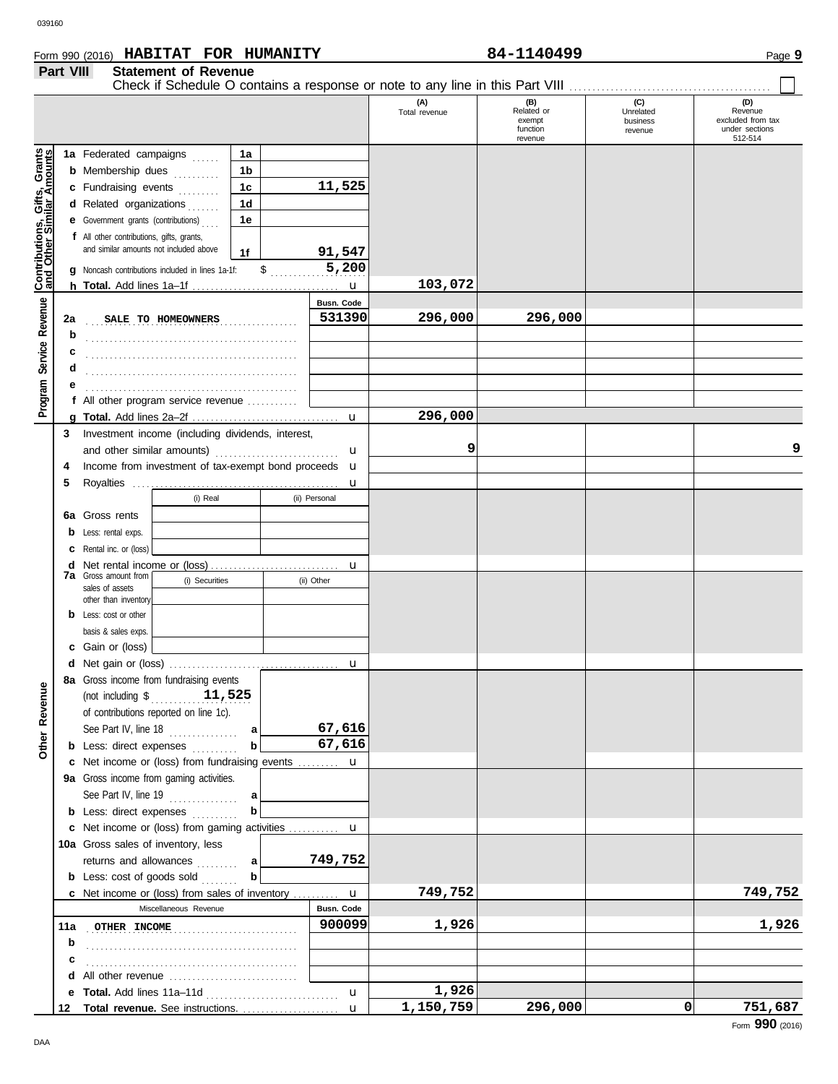#### Form 990 (2016) Page **9 HABITAT FOR HUMANITY 84-1140499 Part VIII Statement of Revenue**

|                                                           |        |                                                                                 |                                                                |                |  |                    | (A)<br>Total revenue | (B)<br>Related or<br>exempt<br>function<br>revenue | (C)<br>Unrelated<br>business<br>revenue | (D)<br>Revenue<br>excluded from tax<br>under sections<br>512-514 |
|-----------------------------------------------------------|--------|---------------------------------------------------------------------------------|----------------------------------------------------------------|----------------|--|--------------------|----------------------|----------------------------------------------------|-----------------------------------------|------------------------------------------------------------------|
|                                                           |        | 1a Federated campaigns                                                          |                                                                | 1a             |  |                    |                      |                                                    |                                         |                                                                  |
|                                                           |        | <b>b</b> Membership dues                                                        |                                                                | 1b             |  |                    |                      |                                                    |                                         |                                                                  |
|                                                           |        | c Fundraising events                                                            |                                                                | 1 <sub>c</sub> |  | 11,525             |                      |                                                    |                                         |                                                                  |
|                                                           |        | d Related organizations                                                         |                                                                | 1 <sub>d</sub> |  |                    |                      |                                                    |                                         |                                                                  |
|                                                           |        | Government grants (contributions)                                               |                                                                | 1e             |  |                    |                      |                                                    |                                         |                                                                  |
|                                                           |        | f All other contributions, gifts, grants,                                       |                                                                |                |  |                    |                      |                                                    |                                         |                                                                  |
|                                                           |        | and similar amounts not included above                                          |                                                                | 1f             |  | 91,547             |                      |                                                    |                                         |                                                                  |
|                                                           |        |                                                                                 | Noncash contributions included in lines 1a-1f:                 | \$             |  | 5,200              |                      |                                                    |                                         |                                                                  |
| Contributions, Gifts, Grants<br>and Other Similar Amounts |        |                                                                                 |                                                                |                |  | u                  | 103,072              |                                                    |                                         |                                                                  |
|                                                           |        |                                                                                 |                                                                |                |  | Busn. Code         |                      |                                                    |                                         |                                                                  |
|                                                           | 2a     |                                                                                 | SALE TO HOMEOWNERS                                             |                |  | 531390             | 296,000              | 296,000                                            |                                         |                                                                  |
|                                                           | b      |                                                                                 |                                                                |                |  |                    |                      |                                                    |                                         |                                                                  |
| Service Revenue                                           |        |                                                                                 |                                                                |                |  |                    |                      |                                                    |                                         |                                                                  |
|                                                           |        | с                                                                               |                                                                |                |  |                    |                      |                                                    |                                         |                                                                  |
|                                                           |        |                                                                                 |                                                                |                |  |                    |                      |                                                    |                                         |                                                                  |
|                                                           |        |                                                                                 | f All other program service revenue                            |                |  |                    |                      |                                                    |                                         |                                                                  |
| Program :                                                 |        |                                                                                 |                                                                |                |  |                    | 296,000              |                                                    |                                         |                                                                  |
|                                                           | 3      |                                                                                 |                                                                |                |  | $\mathbf u$        |                      |                                                    |                                         |                                                                  |
|                                                           |        | Investment income (including dividends, interest,<br>and other similar amounts) |                                                                |                |  |                    | 9                    |                                                    |                                         | 9                                                                |
|                                                           | 4      |                                                                                 | Income from investment of tax-exempt bond proceeds             |                |  | u<br>u             |                      |                                                    |                                         |                                                                  |
|                                                           | 5      |                                                                                 |                                                                |                |  |                    |                      |                                                    |                                         |                                                                  |
|                                                           |        |                                                                                 | (i) Real                                                       |                |  | u<br>(ii) Personal |                      |                                                    |                                         |                                                                  |
|                                                           | 6а     | Gross rents                                                                     |                                                                |                |  |                    |                      |                                                    |                                         |                                                                  |
|                                                           |        | Less: rental exps.                                                              |                                                                |                |  |                    |                      |                                                    |                                         |                                                                  |
|                                                           | b      |                                                                                 |                                                                |                |  |                    |                      |                                                    |                                         |                                                                  |
|                                                           | С<br>d | Rental inc. or (loss)                                                           | Net rental income or (loss)                                    |                |  |                    |                      |                                                    |                                         |                                                                  |
|                                                           |        | <b>7a</b> Gross amount from                                                     | (i) Securities                                                 |                |  | u<br>(ii) Other    |                      |                                                    |                                         |                                                                  |
|                                                           |        | sales of assets                                                                 |                                                                |                |  |                    |                      |                                                    |                                         |                                                                  |
|                                                           |        | other than inventory                                                            |                                                                |                |  |                    |                      |                                                    |                                         |                                                                  |
|                                                           | b      | Less: cost or other                                                             |                                                                |                |  |                    |                      |                                                    |                                         |                                                                  |
|                                                           |        | basis & sales exps.<br>Gain or (loss)                                           |                                                                |                |  |                    |                      |                                                    |                                         |                                                                  |
|                                                           | c      |                                                                                 |                                                                |                |  |                    |                      |                                                    |                                         |                                                                  |
|                                                           | d      |                                                                                 | 8a Gross income from fundraising events                        |                |  | u                  |                      |                                                    |                                         |                                                                  |
| g                                                         |        |                                                                                 | (not including $\sqrt[6]{525}$                                 |                |  |                    |                      |                                                    |                                         |                                                                  |
|                                                           |        |                                                                                 | of contributions reported on line 1c).                         |                |  |                    |                      |                                                    |                                         |                                                                  |
|                                                           |        | See Part IV, line 18                                                            |                                                                | a              |  | 67,616             |                      |                                                    |                                         |                                                                  |
| Other Reven                                               |        |                                                                                 | .<br><b>b</b> Less: direct expenses                            | b              |  | 67,616             |                      |                                                    |                                         |                                                                  |
|                                                           |        |                                                                                 | c Net income or (loss) from fundraising events  u              |                |  |                    |                      |                                                    |                                         |                                                                  |
|                                                           |        |                                                                                 | 9a Gross income from gaming activities.                        |                |  |                    |                      |                                                    |                                         |                                                                  |
|                                                           |        |                                                                                 | See Part IV, line $19$                                         | a              |  |                    |                      |                                                    |                                         |                                                                  |
|                                                           |        |                                                                                 | <b>b</b> Less: direct expenses                                 | b              |  |                    |                      |                                                    |                                         |                                                                  |
|                                                           |        |                                                                                 | c Net income or (loss) from gaming activities  u               |                |  |                    |                      |                                                    |                                         |                                                                  |
|                                                           |        | <b>10a</b> Gross sales of inventory, less                                       |                                                                |                |  |                    |                      |                                                    |                                         |                                                                  |
|                                                           |        | returns and allowances                                                          |                                                                | a              |  | 749,752            |                      |                                                    |                                         |                                                                  |
|                                                           |        | <b>b</b> Less: cost of goods sold                                               | .                                                              | b              |  |                    |                      |                                                    |                                         |                                                                  |
|                                                           |        |                                                                                 | <b>c</b> Net income or (loss) from sales of inventory <b>u</b> |                |  |                    | 749,752              |                                                    |                                         | 749,752                                                          |
|                                                           |        |                                                                                 | Miscellaneous Revenue                                          |                |  | Busn. Code         |                      |                                                    |                                         |                                                                  |
|                                                           | 11a    | OTHER INCOME                                                                    |                                                                |                |  | 900099             | 1,926                |                                                    |                                         | 1,926                                                            |
|                                                           | b      |                                                                                 |                                                                |                |  |                    |                      |                                                    |                                         |                                                                  |
|                                                           | с      |                                                                                 |                                                                |                |  |                    |                      |                                                    |                                         |                                                                  |
|                                                           | d      |                                                                                 |                                                                |                |  |                    |                      |                                                    |                                         |                                                                  |
|                                                           | е      |                                                                                 |                                                                |                |  | $\mathbf u$        | 1,926                |                                                    |                                         |                                                                  |
|                                                           | 12     |                                                                                 |                                                                |                |  |                    | 1,150,759            | 296,000                                            | 0                                       | 751,687                                                          |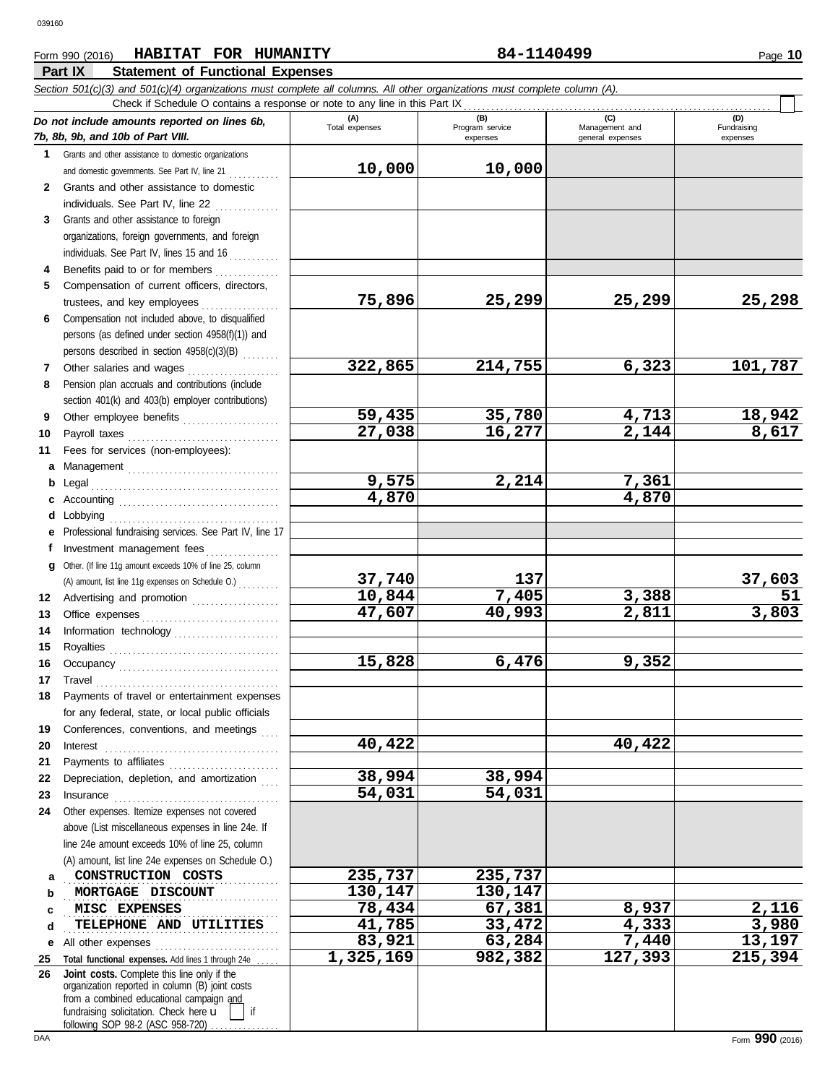#### **Part IX Statement of Functional Expenses** Form 990 (2016) Page **10 HABITAT FOR HUMANITY 84-1140499**

|              | Section 501(c)(3) and 501(c)(4) organizations must complete all columns. All other organizations must complete column (A).<br>Check if Schedule O contains a response or note to any line in this Part IX                           |                |                             |                                    |                         |
|--------------|-------------------------------------------------------------------------------------------------------------------------------------------------------------------------------------------------------------------------------------|----------------|-----------------------------|------------------------------------|-------------------------|
|              | Do not include amounts reported on lines 6b,                                                                                                                                                                                        | (A)            | (B)                         | (C)                                | (D)                     |
|              | 7b, 8b, 9b, and 10b of Part VIII.                                                                                                                                                                                                   | Total expenses | Program service<br>expenses | Management and<br>general expenses | Fundraising<br>expenses |
| $\mathbf 1$  | Grants and other assistance to domestic organizations                                                                                                                                                                               |                |                             |                                    |                         |
|              | and domestic governments. See Part IV, line 21                                                                                                                                                                                      | 10,000         | 10,000                      |                                    |                         |
| $\mathbf{2}$ | Grants and other assistance to domestic                                                                                                                                                                                             |                |                             |                                    |                         |
|              | individuals. See Part IV, line 22                                                                                                                                                                                                   |                |                             |                                    |                         |
| 3            | Grants and other assistance to foreign                                                                                                                                                                                              |                |                             |                                    |                         |
|              | organizations, foreign governments, and foreign                                                                                                                                                                                     |                |                             |                                    |                         |
|              | individuals. See Part IV, lines 15 and 16                                                                                                                                                                                           |                |                             |                                    |                         |
| 4            | Benefits paid to or for members                                                                                                                                                                                                     |                |                             |                                    |                         |
| 5            | Compensation of current officers, directors,                                                                                                                                                                                        |                |                             |                                    |                         |
|              | trustees, and key employees                                                                                                                                                                                                         | 75,896         | 25,299                      | 25,299                             | 25,298                  |
| 6            | Compensation not included above, to disqualified                                                                                                                                                                                    |                |                             |                                    |                         |
|              | persons (as defined under section 4958(f)(1)) and                                                                                                                                                                                   |                |                             |                                    |                         |
|              | persons described in section 4958(c)(3)(B)                                                                                                                                                                                          |                |                             |                                    | 101,787                 |
| 7            | Other salaries and wages                                                                                                                                                                                                            | 322,865        | 214,755                     | 6,323                              |                         |
| 8            | Pension plan accruals and contributions (include                                                                                                                                                                                    |                |                             |                                    |                         |
|              | section 401(k) and 403(b) employer contributions)                                                                                                                                                                                   | 59,435         | 35,780                      | 4,713                              | 18,942                  |
| 9            | Other employee benefits                                                                                                                                                                                                             | 27,038         | 16,277                      | $\overline{2,144}$                 | 8,617                   |
| 10<br>11     | Payroll taxes                                                                                                                                                                                                                       |                |                             |                                    |                         |
|              | Fees for services (non-employees):                                                                                                                                                                                                  |                |                             |                                    |                         |
| a<br>b       |                                                                                                                                                                                                                                     | 9,575          | 2,214                       | 7,361                              |                         |
|              | Legal                                                                                                                                                                                                                               | 4,870          |                             | 4,870                              |                         |
| d            | Lobbying                                                                                                                                                                                                                            |                |                             |                                    |                         |
| е            | Professional fundraising services. See Part IV, line 17                                                                                                                                                                             |                |                             |                                    |                         |
| f            | Investment management fees                                                                                                                                                                                                          |                |                             |                                    |                         |
| q            | Other. (If line 11g amount exceeds 10% of line 25, column                                                                                                                                                                           |                |                             |                                    |                         |
|              | (A) amount, list line 11g expenses on Schedule O.)                                                                                                                                                                                  | 37,740         | 137                         |                                    | 37,603                  |
| 12           | Advertising and promotion                                                                                                                                                                                                           | 10,844         | 7,405                       | 3,388                              | 51                      |
| 13           | Office expenses                                                                                                                                                                                                                     | 47,607         | 40,993                      | 2,811                              | 3,803                   |
| 14           | Information technology                                                                                                                                                                                                              |                |                             |                                    |                         |
| 15           |                                                                                                                                                                                                                                     |                |                             |                                    |                         |
| 16           |                                                                                                                                                                                                                                     | 15,828         | 6,476                       | 9,352                              |                         |
| 17           | Travel                                                                                                                                                                                                                              |                |                             |                                    |                         |
|              | Payments of travel or entertainment expenses                                                                                                                                                                                        |                |                             |                                    |                         |
|              | for any federal, state, or local public officials                                                                                                                                                                                   |                |                             |                                    |                         |
| 19           | Conferences, conventions, and meetings                                                                                                                                                                                              |                |                             |                                    |                         |
| 20           | Interest                                                                                                                                                                                                                            | 40,422         |                             | 40,422                             |                         |
| 21           |                                                                                                                                                                                                                                     |                |                             |                                    |                         |
| 22           | Depreciation, depletion, and amortization                                                                                                                                                                                           | 38,994         | 38,994                      |                                    |                         |
| 23           | Insurance <b>continuous</b> contains a series of the series of the series of the series of the series of the series of the series of the series of the series of the series of the series of the series of the series of the series | 54,031         | 54,031                      |                                    |                         |
| 24           | Other expenses. Itemize expenses not covered                                                                                                                                                                                        |                |                             |                                    |                         |
|              | above (List miscellaneous expenses in line 24e. If                                                                                                                                                                                  |                |                             |                                    |                         |
|              | line 24e amount exceeds 10% of line 25, column                                                                                                                                                                                      |                |                             |                                    |                         |
|              | (A) amount, list line 24e expenses on Schedule O.)                                                                                                                                                                                  |                |                             |                                    |                         |
| a            | CONSTRUCTION COSTS                                                                                                                                                                                                                  | 235,737        | 235,737                     |                                    |                         |
| b            | MORTGAGE DISCOUNT                                                                                                                                                                                                                   | 130,147        | 130,147                     |                                    |                         |
| c            | MISC EXPENSES                                                                                                                                                                                                                       | 78,434         | 67,381                      | 8,937                              | 2,116                   |
| d            | TELEPHONE AND UTILITIES                                                                                                                                                                                                             | 41,785         | 33,472                      | 4,333                              | 3,980                   |
| е            | All other expenses                                                                                                                                                                                                                  | 83,921         | 63,284                      | 7,440                              | 13,197                  |
| 25           | Total functional expenses. Add lines 1 through 24e                                                                                                                                                                                  | 1,325,169      | 982,382                     | 127,393                            | 215,394                 |
| 26           | Joint costs. Complete this line only if the<br>organization reported in column (B) joint costs                                                                                                                                      |                |                             |                                    |                         |
|              | from a combined educational campaign and                                                                                                                                                                                            |                |                             |                                    |                         |
|              | fundraising solicitation. Check here u<br>if                                                                                                                                                                                        |                |                             |                                    |                         |

following SOP 98-2 (ASC 958-720) ................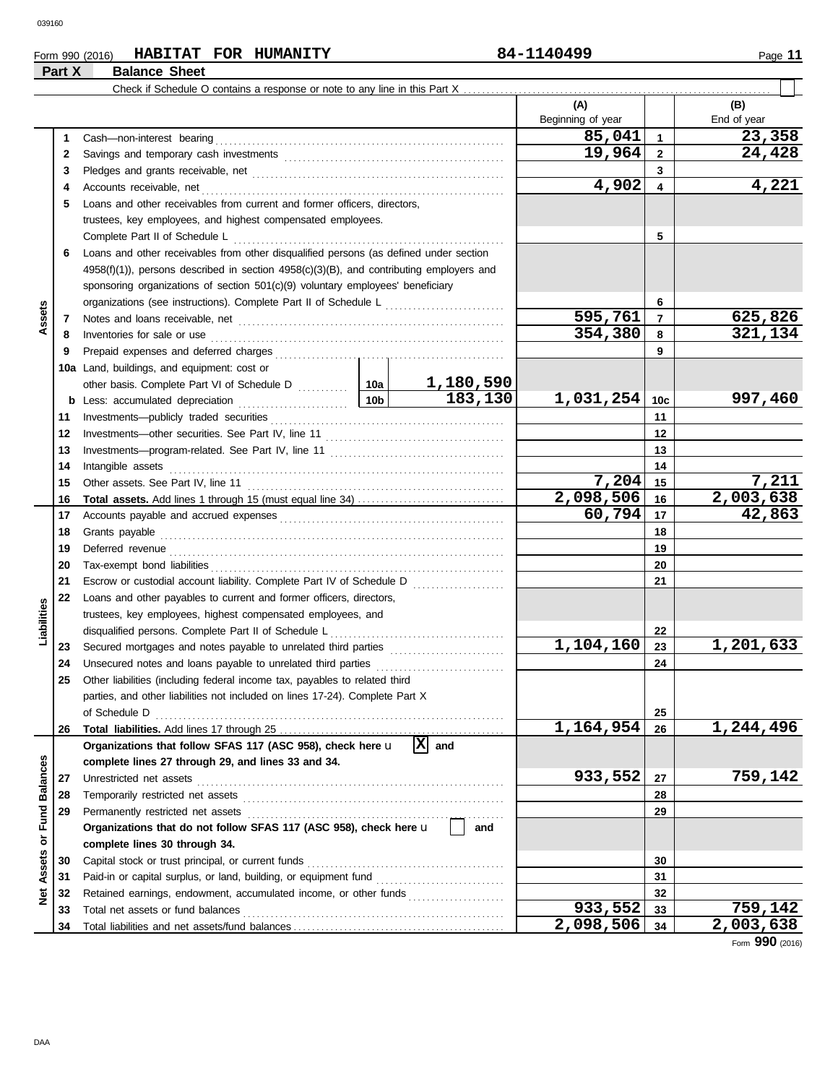### Form 990 (2016) Page **11 HABITAT FOR HUMANITY 84-1140499 Part X Balance Sheet**

|                 |     | Check if Schedule O contains a response or note to any line in this Part X              |     |           |                          |                |                    |
|-----------------|-----|-----------------------------------------------------------------------------------------|-----|-----------|--------------------------|----------------|--------------------|
|                 |     |                                                                                         |     |           | (A)<br>Beginning of year |                | (B)<br>End of year |
|                 | 1   | Cash-non-interest bearing                                                               |     |           | 85,041                   | $\mathbf{1}$   | 23,358             |
|                 | 2   |                                                                                         |     |           | 19,964                   | $\mathbf{2}$   | 24,428             |
|                 | 3   |                                                                                         |     |           |                          | 3              |                    |
|                 | 4   | Accounts receivable, net                                                                |     |           | 4,902                    | 4              | 4,221              |
|                 | 5   | Loans and other receivables from current and former officers, directors,                |     |           |                          |                |                    |
|                 |     | trustees, key employees, and highest compensated employees.                             |     |           |                          |                |                    |
|                 |     | Complete Part II of Schedule L                                                          |     |           |                          | 5              |                    |
|                 | 6   | Loans and other receivables from other disqualified persons (as defined under section   |     |           |                          |                |                    |
|                 |     | 4958(f)(1)), persons described in section 4958(c)(3)(B), and contributing employers and |     |           |                          |                |                    |
|                 |     | sponsoring organizations of section 501(c)(9) voluntary employees' beneficiary          |     |           |                          |                |                    |
|                 |     | organizations (see instructions). Complete Part II of Schedule L                        |     |           |                          | 6              |                    |
| Assets          | 7   |                                                                                         |     |           | 595,761                  | $\overline{7}$ | 625,826            |
|                 | 8   |                                                                                         |     |           | 354,380                  | 8              | 321,134            |
|                 | 9   |                                                                                         |     |           |                          | 9              |                    |
|                 | 10a | Land, buildings, and equipment: cost or                                                 |     |           |                          |                |                    |
|                 |     |                                                                                         |     |           |                          |                |                    |
|                 |     |                                                                                         | 10b | 183,130   | 1,031,254                | 10c            | 997,460            |
|                 | 11  |                                                                                         |     |           |                          | 11             |                    |
|                 | 12  |                                                                                         |     |           |                          | 12             |                    |
|                 | 13  |                                                                                         |     |           | 13                       |                |                    |
|                 | 14  | Intangible assets                                                                       |     |           |                          | 14             |                    |
|                 | 15  |                                                                                         |     |           | 7,204                    | 15             | 7,211              |
|                 | 16  |                                                                                         |     |           | 2,098,506                | 16             | 2,003,638          |
|                 | 17  |                                                                                         |     |           | 60,794                   | 17             | 42,863             |
|                 | 18  |                                                                                         |     |           |                          | 18             |                    |
|                 | 19  |                                                                                         |     |           | 19                       |                |                    |
|                 | 20  |                                                                                         |     |           | 20                       |                |                    |
|                 | 21  |                                                                                         |     |           | 21                       |                |                    |
|                 | 22  | Loans and other payables to current and former officers, directors,                     |     |           |                          |                |                    |
| Liabilities     |     | trustees, key employees, highest compensated employees, and                             |     |           |                          |                |                    |
|                 |     | disqualified persons. Complete Part II of Schedule L                                    |     |           |                          | 22             |                    |
|                 | 23  | Secured mortgages and notes payable to unrelated third parties                          |     | 1,104,160 | 23                       | 1,201,633      |                    |
|                 | 24  |                                                                                         |     |           |                          | 24             |                    |
|                 | 25  | Other liabilities (including federal income tax, payables to related third              |     |           |                          |                |                    |
|                 |     | parties, and other liabilities not included on lines 17-24). Complete Part X            |     |           |                          |                |                    |
|                 |     |                                                                                         |     |           |                          | 25             |                    |
|                 | 26  |                                                                                         |     |           | 1,164,954                | 26             | 1,244,496          |
|                 |     | Organizations that follow SFAS 117 (ASC 958), check here u                              |     | $ X $ and |                          |                |                    |
|                 |     | complete lines 27 through 29, and lines 33 and 34.                                      |     |           |                          |                |                    |
|                 | 27  | Unrestricted net assets                                                                 |     |           | 933,552                  | 27             | 759,142            |
| <b>Balances</b> | 28  |                                                                                         |     |           |                          | 28             |                    |
|                 | 29  | Permanently restricted net assets                                                       |     |           |                          | 29             |                    |
| Fund            |     | Organizations that do not follow SFAS 117 (ASC 958), check here u                       |     | and       |                          |                |                    |
| ৯               |     | complete lines 30 through 34.                                                           |     |           |                          |                |                    |
| Assets          | 30  | Capital stock or trust principal, or current funds                                      |     |           |                          | 30             |                    |
|                 | 31  |                                                                                         |     |           |                          | 31             |                    |
| ğ               | 32  | Retained earnings, endowment, accumulated income, or other funds                        |     |           |                          | 32             |                    |
|                 | 33  | Total net assets or fund balances                                                       |     |           | 933,552                  | 33             | 759,142            |
|                 | 34  |                                                                                         |     |           | 2,098,506                | 34             | 2,003,638          |

Form **990** (2016)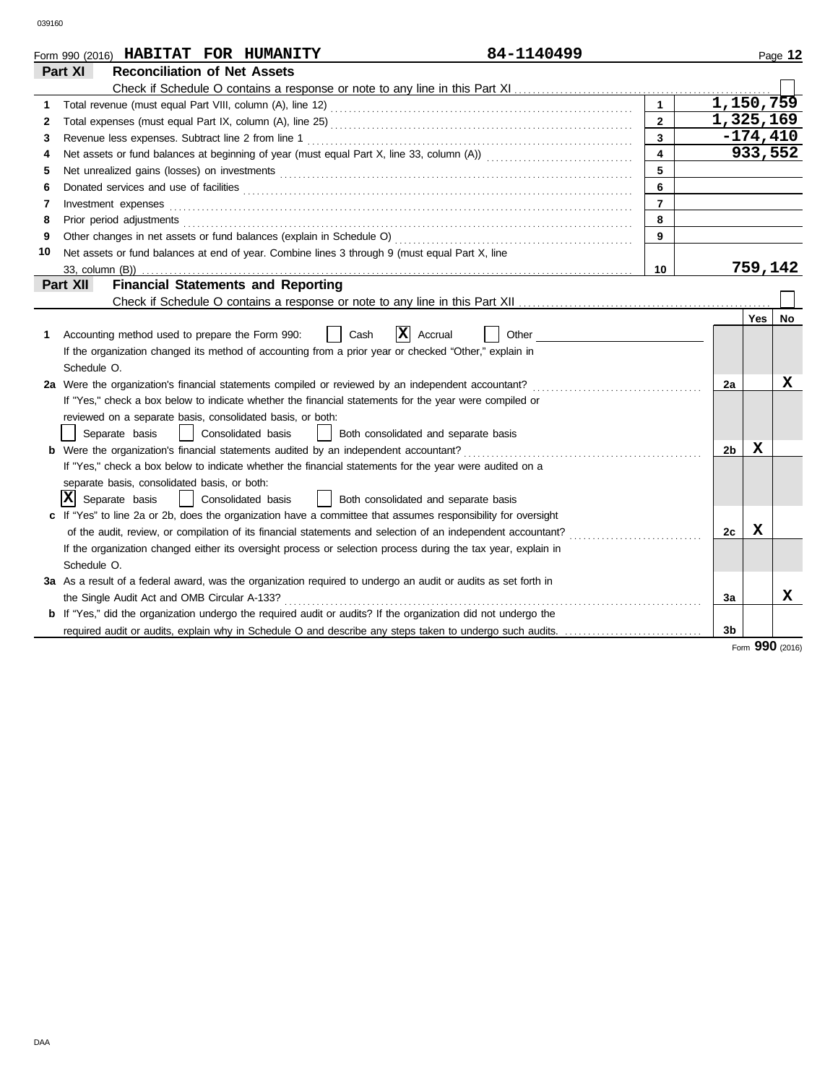|    | 84-1140499<br>Form 990 (2016) HABITAT FOR HUMANITY                                                                    |                |                |            | Page 12   |
|----|-----------------------------------------------------------------------------------------------------------------------|----------------|----------------|------------|-----------|
|    | Part XI<br><b>Reconciliation of Net Assets</b>                                                                        |                |                |            |           |
|    |                                                                                                                       |                |                |            |           |
| 1. |                                                                                                                       | $\blacksquare$ | 1,150,759      |            |           |
| 2  |                                                                                                                       | $\mathbf{2}$   | 1,325,169      |            |           |
| 3  | Revenue less expenses. Subtract line 2 from line 1                                                                    | 3              |                | $-174,410$ |           |
| 4  | Net assets or fund balances at beginning of year (must equal Part X, line 33, column (A)) [[[[[[[[[[[[[[[[[[[         | 4              |                | 933,552    |           |
| 5  |                                                                                                                       | 5              |                |            |           |
| 6  |                                                                                                                       | 6              |                |            |           |
| 7  | Investment expenses                                                                                                   | $\overline{7}$ |                |            |           |
| 8  | Prior period adjustments                                                                                              | 8              |                |            |           |
| 9  | Other changes in net assets or fund balances (explain in Schedule O)                                                  | 9              |                |            |           |
| 10 | Net assets or fund balances at end of year. Combine lines 3 through 9 (must equal Part X, line                        |                |                |            |           |
|    | 33, column (B))                                                                                                       | 10             |                | 759,142    |           |
|    | <b>Financial Statements and Reporting</b><br>Part XII                                                                 |                |                |            |           |
|    |                                                                                                                       |                |                |            |           |
|    |                                                                                                                       |                |                | Yes        | <b>No</b> |
| 1. | X<br>Accounting method used to prepare the Form 990:<br>Cash<br>Accrual<br>Other                                      |                |                |            |           |
|    | If the organization changed its method of accounting from a prior year or checked "Other," explain in                 |                |                |            |           |
|    | Schedule O.                                                                                                           |                |                |            |           |
|    | 2a Were the organization's financial statements compiled or reviewed by an independent accountant?                    |                | 2a             |            | x         |
|    | If "Yes," check a box below to indicate whether the financial statements for the year were compiled or                |                |                |            |           |
|    | reviewed on a separate basis, consolidated basis, or both:                                                            |                |                |            |           |
|    | Consolidated basis<br>Separate basis<br>Both consolidated and separate basis<br>$\perp$                               |                |                |            |           |
|    | <b>b</b> Were the organization's financial statements audited by an independent accountant?                           |                | 2b             | х          |           |
|    | If "Yes," check a box below to indicate whether the financial statements for the year were audited on a               |                |                |            |           |
|    | separate basis, consolidated basis, or both:                                                                          |                |                |            |           |
|    | x <br>Separate basis<br>Consolidated basis<br>Both consolidated and separate basis                                    |                |                |            |           |
|    | c If "Yes" to line 2a or 2b, does the organization have a committee that assumes responsibility for oversight         |                |                |            |           |
|    | of the audit, review, or compilation of its financial statements and selection of an independent accountant?          |                | 2c             | X          |           |
|    | If the organization changed either its oversight process or selection process during the tax year, explain in         |                |                |            |           |
|    | Schedule O.                                                                                                           |                |                |            |           |
|    | 3a As a result of a federal award, was the organization required to undergo an audit or audits as set forth in        |                |                |            |           |
|    | the Single Audit Act and OMB Circular A-133?                                                                          |                | За             |            | x         |
|    | <b>b</b> If "Yes," did the organization undergo the required audit or audits? If the organization did not undergo the |                |                |            |           |
|    | required audit or audits, explain why in Schedule O and describe any steps taken to undergo such audits.              |                | 3 <sub>b</sub> |            |           |

Form **990** (2016)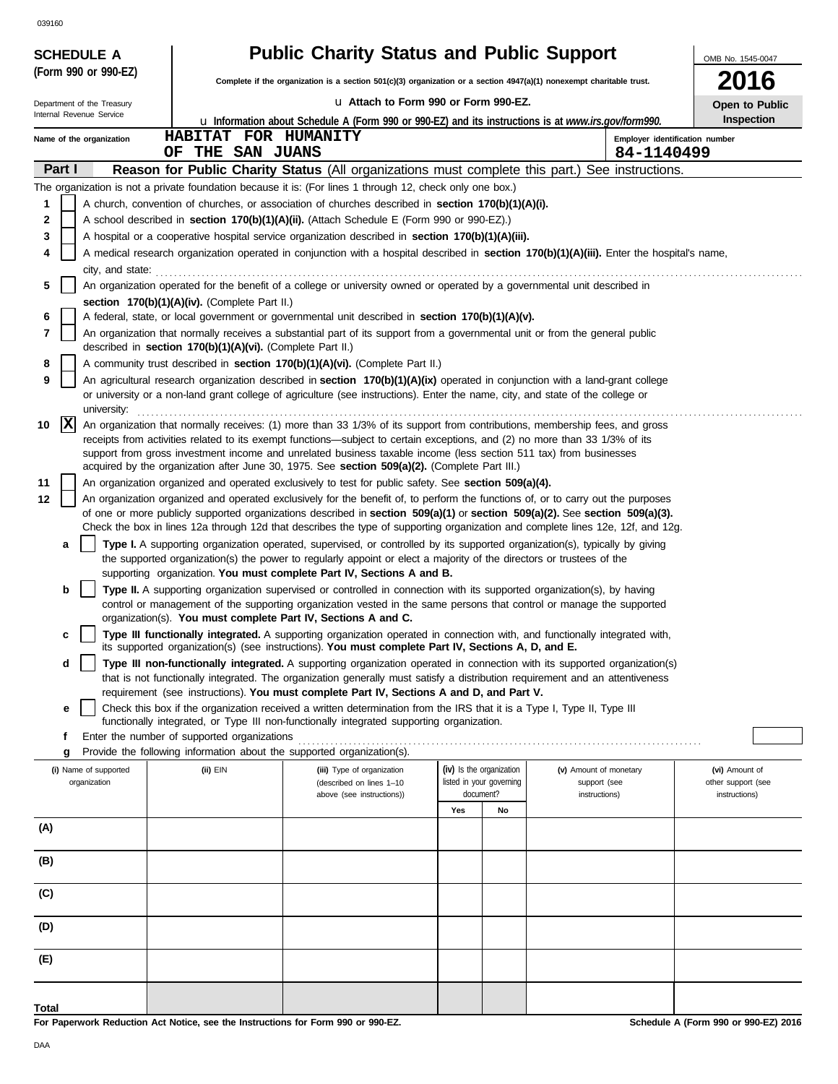| <b>SCHEDULE A</b>                                      |                                                                        | <b>Public Charity Status and Public Support</b>                                                                                                                                                                                                                 |                                                      |    |                                                                                                                                            | OMB No. 1545-0047                          |
|--------------------------------------------------------|------------------------------------------------------------------------|-----------------------------------------------------------------------------------------------------------------------------------------------------------------------------------------------------------------------------------------------------------------|------------------------------------------------------|----|--------------------------------------------------------------------------------------------------------------------------------------------|--------------------------------------------|
| (Form 990 or 990-EZ)                                   |                                                                        | Complete if the organization is a section 501(c)(3) organization or a section $4947(a)(1)$ nonexempt charitable trust.                                                                                                                                          |                                                      |    |                                                                                                                                            | <b>2016</b>                                |
|                                                        |                                                                        | La Attach to Form 990 or Form 990-EZ.                                                                                                                                                                                                                           |                                                      |    |                                                                                                                                            |                                            |
| Department of the Treasury<br>Internal Revenue Service |                                                                        |                                                                                                                                                                                                                                                                 |                                                      |    |                                                                                                                                            | Open to Public<br><b>Inspection</b>        |
| Name of the organization                               | HABITAT FOR HUMANITY                                                   | <b>u</b> Information about Schedule A (Form 990 or 990-EZ) and its instructions is at www.irs.gov/form990.                                                                                                                                                      |                                                      |    | Employer identification number                                                                                                             |                                            |
|                                                        | OF THE SAN JUANS                                                       |                                                                                                                                                                                                                                                                 |                                                      |    | 84-1140499                                                                                                                                 |                                            |
| Part I                                                 |                                                                        |                                                                                                                                                                                                                                                                 |                                                      |    | Reason for Public Charity Status (All organizations must complete this part.) See instructions.                                            |                                            |
|                                                        |                                                                        | The organization is not a private foundation because it is: (For lines 1 through 12, check only one box.)                                                                                                                                                       |                                                      |    |                                                                                                                                            |                                            |
| 1                                                      |                                                                        | A church, convention of churches, or association of churches described in section 170(b)(1)(A)(i).                                                                                                                                                              |                                                      |    |                                                                                                                                            |                                            |
| 2                                                      |                                                                        | A school described in section 170(b)(1)(A)(ii). (Attach Schedule E (Form 990 or 990-EZ).)                                                                                                                                                                       |                                                      |    |                                                                                                                                            |                                            |
| 3                                                      |                                                                        | A hospital or a cooperative hospital service organization described in section 170(b)(1)(A)(iii).                                                                                                                                                               |                                                      |    |                                                                                                                                            |                                            |
| 4                                                      |                                                                        |                                                                                                                                                                                                                                                                 |                                                      |    | A medical research organization operated in conjunction with a hospital described in section 170(b)(1)(A)(iii). Enter the hospital's name, |                                            |
| city, and state:<br>5                                  |                                                                        | An organization operated for the benefit of a college or university owned or operated by a governmental unit described in                                                                                                                                       |                                                      |    |                                                                                                                                            |                                            |
|                                                        | section 170(b)(1)(A)(iv). (Complete Part II.)                          |                                                                                                                                                                                                                                                                 |                                                      |    |                                                                                                                                            |                                            |
| 6                                                      |                                                                        | A federal, state, or local government or governmental unit described in section 170(b)(1)(A)(v).                                                                                                                                                                |                                                      |    |                                                                                                                                            |                                            |
| 7                                                      |                                                                        | An organization that normally receives a substantial part of its support from a governmental unit or from the general public                                                                                                                                    |                                                      |    |                                                                                                                                            |                                            |
|                                                        | described in section 170(b)(1)(A)(vi). (Complete Part II.)             |                                                                                                                                                                                                                                                                 |                                                      |    |                                                                                                                                            |                                            |
| 8                                                      |                                                                        | A community trust described in section 170(b)(1)(A)(vi). (Complete Part II.)                                                                                                                                                                                    |                                                      |    |                                                                                                                                            |                                            |
| 9                                                      |                                                                        | An agricultural research organization described in section 170(b)(1)(A)(ix) operated in conjunction with a land-grant college<br>or university or a non-land grant college of agriculture (see instructions). Enter the name, city, and state of the college or |                                                      |    |                                                                                                                                            |                                            |
| university:                                            |                                                                        |                                                                                                                                                                                                                                                                 |                                                      |    |                                                                                                                                            |                                            |
| $ {\bf x} $<br>10                                      |                                                                        | An organization that normally receives: (1) more than 33 1/3% of its support from contributions, membership fees, and gross                                                                                                                                     |                                                      |    |                                                                                                                                            |                                            |
|                                                        |                                                                        | receipts from activities related to its exempt functions—subject to certain exceptions, and (2) no more than 33 1/3% of its                                                                                                                                     |                                                      |    |                                                                                                                                            |                                            |
|                                                        |                                                                        | support from gross investment income and unrelated business taxable income (less section 511 tax) from businesses<br>acquired by the organization after June 30, 1975. See section 509(a)(2). (Complete Part III.)                                              |                                                      |    |                                                                                                                                            |                                            |
| 11                                                     |                                                                        | An organization organized and operated exclusively to test for public safety. See section 509(a)(4).                                                                                                                                                            |                                                      |    |                                                                                                                                            |                                            |
| 12                                                     |                                                                        | An organization organized and operated exclusively for the benefit of, to perform the functions of, or to carry out the purposes                                                                                                                                |                                                      |    |                                                                                                                                            |                                            |
|                                                        |                                                                        | of one or more publicly supported organizations described in section $509(a)(1)$ or section $509(a)(2)$ . See section $509(a)(3)$ .                                                                                                                             |                                                      |    |                                                                                                                                            |                                            |
|                                                        |                                                                        |                                                                                                                                                                                                                                                                 |                                                      |    | Check the box in lines 12a through 12d that describes the type of supporting organization and complete lines 12e, 12f, and 12g.            |                                            |
| а                                                      |                                                                        | Type I. A supporting organization operated, supervised, or controlled by its supported organization(s), typically by giving<br>the supported organization(s) the power to regularly appoint or elect a majority of the directors or trustees of the             |                                                      |    |                                                                                                                                            |                                            |
|                                                        |                                                                        | supporting organization. You must complete Part IV, Sections A and B.                                                                                                                                                                                           |                                                      |    |                                                                                                                                            |                                            |
| b                                                      |                                                                        | Type II. A supporting organization supervised or controlled in connection with its supported organization(s), by having                                                                                                                                         |                                                      |    |                                                                                                                                            |                                            |
|                                                        |                                                                        | control or management of the supporting organization vested in the same persons that control or manage the supported                                                                                                                                            |                                                      |    |                                                                                                                                            |                                            |
|                                                        |                                                                        | organization(s). You must complete Part IV, Sections A and C.                                                                                                                                                                                                   |                                                      |    |                                                                                                                                            |                                            |
| c                                                      |                                                                        | Type III functionally integrated. A supporting organization operated in connection with, and functionally integrated with,<br>its supported organization(s) (see instructions). You must complete Part IV, Sections A, D, and E.                                |                                                      |    |                                                                                                                                            |                                            |
| d                                                      |                                                                        |                                                                                                                                                                                                                                                                 |                                                      |    | Type III non-functionally integrated. A supporting organization operated in connection with its supported organization(s)                  |                                            |
|                                                        |                                                                        | that is not functionally integrated. The organization generally must satisfy a distribution requirement and an attentiveness                                                                                                                                    |                                                      |    |                                                                                                                                            |                                            |
|                                                        |                                                                        | requirement (see instructions). You must complete Part IV, Sections A and D, and Part V.<br>Check this box if the organization received a written determination from the IRS that it is a Type I, Type II, Type III                                             |                                                      |    |                                                                                                                                            |                                            |
| е                                                      |                                                                        | functionally integrated, or Type III non-functionally integrated supporting organization.                                                                                                                                                                       |                                                      |    |                                                                                                                                            |                                            |
| f                                                      | Enter the number of supported organizations                            |                                                                                                                                                                                                                                                                 |                                                      |    |                                                                                                                                            |                                            |
| g                                                      | Provide the following information about the supported organization(s). |                                                                                                                                                                                                                                                                 |                                                      |    |                                                                                                                                            |                                            |
| (i) Name of supported<br>organization                  | (ii) EIN                                                               | (iii) Type of organization<br>(described on lines 1-10                                                                                                                                                                                                          | (iv) Is the organization<br>listed in your governing |    | (v) Amount of monetary<br>support (see                                                                                                     | (vi) Amount of<br>other support (see       |
|                                                        |                                                                        | above (see instructions))                                                                                                                                                                                                                                       | document?                                            |    | instructions)                                                                                                                              | instructions)                              |
|                                                        |                                                                        |                                                                                                                                                                                                                                                                 | Yes                                                  | No |                                                                                                                                            |                                            |
| (A)                                                    |                                                                        |                                                                                                                                                                                                                                                                 |                                                      |    |                                                                                                                                            |                                            |
|                                                        |                                                                        |                                                                                                                                                                                                                                                                 |                                                      |    |                                                                                                                                            |                                            |
| (B)                                                    |                                                                        |                                                                                                                                                                                                                                                                 |                                                      |    |                                                                                                                                            |                                            |
| (C)                                                    |                                                                        |                                                                                                                                                                                                                                                                 |                                                      |    |                                                                                                                                            |                                            |
|                                                        |                                                                        |                                                                                                                                                                                                                                                                 |                                                      |    |                                                                                                                                            |                                            |
| (D)                                                    |                                                                        |                                                                                                                                                                                                                                                                 |                                                      |    |                                                                                                                                            |                                            |
| (E)                                                    |                                                                        |                                                                                                                                                                                                                                                                 |                                                      |    |                                                                                                                                            |                                            |
|                                                        |                                                                        |                                                                                                                                                                                                                                                                 |                                                      |    |                                                                                                                                            |                                            |
|                                                        |                                                                        |                                                                                                                                                                                                                                                                 |                                                      |    |                                                                                                                                            |                                            |
| Total                                                  | Reduction Act Notice, can the Instructions for Ferm 000 or 000 FZ      |                                                                                                                                                                                                                                                                 |                                                      |    |                                                                                                                                            | <b>Cohodulo A (Corm 000 or 000 EZ) 204</b> |

**Schedule A (Form 990 or 990-EZ) 2016**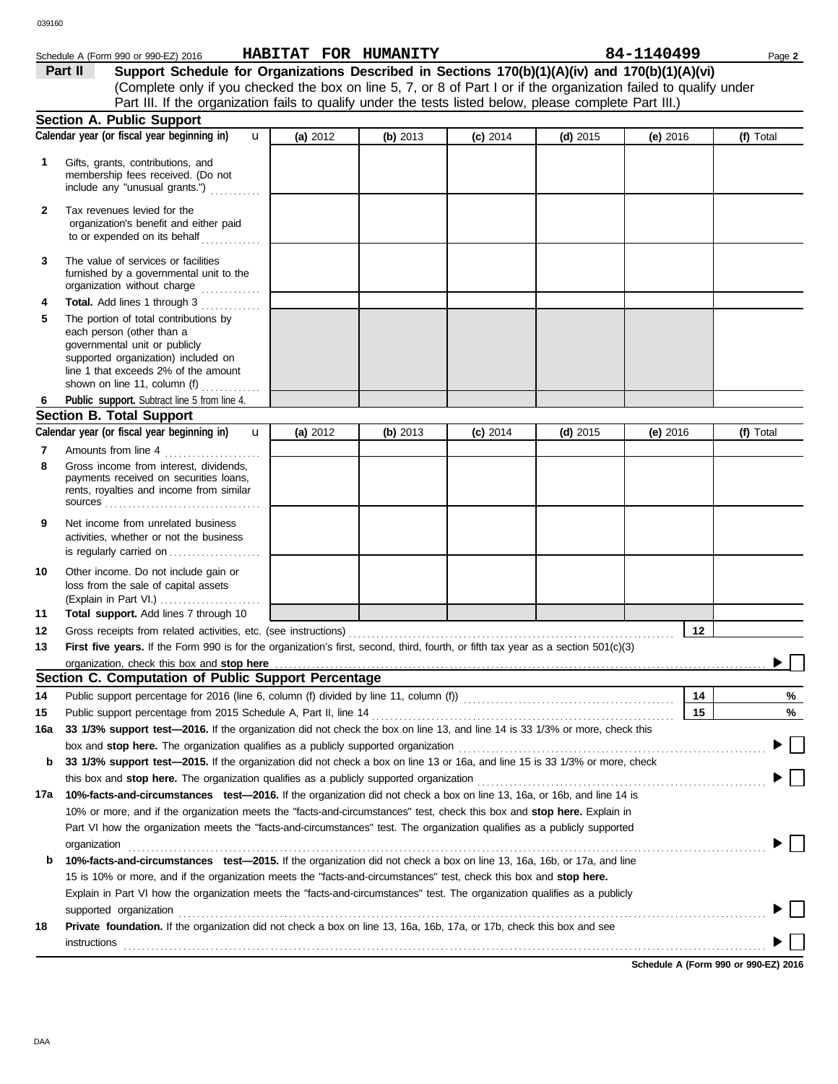|     | Schedule A (Form 990 or 990-EZ) 2016                                                                                                                                                                                        |              |          | HABITAT FOR HUMANITY |            |            | 84-1140499 | Page 2    |
|-----|-----------------------------------------------------------------------------------------------------------------------------------------------------------------------------------------------------------------------------|--------------|----------|----------------------|------------|------------|------------|-----------|
|     | Support Schedule for Organizations Described in Sections 170(b)(1)(A)(iv) and 170(b)(1)(A)(vi)<br>Part II                                                                                                                   |              |          |                      |            |            |            |           |
|     | (Complete only if you checked the box on line 5, 7, or 8 of Part I or if the organization failed to qualify under                                                                                                           |              |          |                      |            |            |            |           |
|     | Part III. If the organization fails to qualify under the tests listed below, please complete Part III.)                                                                                                                     |              |          |                      |            |            |            |           |
|     | <b>Section A. Public Support</b>                                                                                                                                                                                            |              |          |                      |            |            |            |           |
|     | Calendar year (or fiscal year beginning in)                                                                                                                                                                                 | <b>u</b>     | (a) 2012 | (b) $2013$           | $(c)$ 2014 | $(d)$ 2015 | (e) $2016$ | (f) Total |
| 1   | Gifts, grants, contributions, and<br>membership fees received. (Do not<br>include any "unusual grants.")                                                                                                                    |              |          |                      |            |            |            |           |
| 2   | Tax revenues levied for the<br>organization's benefit and either paid                                                                                                                                                       |              |          |                      |            |            |            |           |
| 3   | The value of services or facilities<br>furnished by a governmental unit to the<br>organization without charge                                                                                                               |              |          |                      |            |            |            |           |
| 4   | Total. Add lines 1 through 3                                                                                                                                                                                                |              |          |                      |            |            |            |           |
| 5   | The portion of total contributions by<br>each person (other than a<br>governmental unit or publicly<br>supported organization) included on<br>line 1 that exceeds 2% of the amount<br>shown on line 11, column (f) $\ldots$ |              |          |                      |            |            |            |           |
|     | Public support. Subtract line 5 from line 4.                                                                                                                                                                                |              |          |                      |            |            |            |           |
|     | <b>Section B. Total Support</b>                                                                                                                                                                                             |              |          |                      |            |            |            |           |
|     | Calendar year (or fiscal year beginning in)                                                                                                                                                                                 | $\mathbf{u}$ | (a) 2012 | (b) 2013             | $(c)$ 2014 | $(d)$ 2015 | (e) $2016$ | (f) Total |
| 7   | Amounts from line 4                                                                                                                                                                                                         |              |          |                      |            |            |            |           |
| 8   | Gross income from interest, dividends,<br>payments received on securities loans,<br>rents, royalties and income from similar                                                                                                |              |          |                      |            |            |            |           |
| 9   | Net income from unrelated business<br>activities, whether or not the business<br>is regularly carried on                                                                                                                    |              |          |                      |            |            |            |           |
| 10  | Other income. Do not include gain or<br>loss from the sale of capital assets                                                                                                                                                |              |          |                      |            |            |            |           |
| 11  | Total support. Add lines 7 through 10                                                                                                                                                                                       |              |          |                      |            |            |            |           |
| 12  |                                                                                                                                                                                                                             |              |          |                      |            |            | 12         |           |
| 13  | First five years. If the Form 990 is for the organization's first, second, third, fourth, or fifth tax year as a section 501(c)(3)                                                                                          |              |          |                      |            |            |            |           |
|     | organization, check this box and stop here                                                                                                                                                                                  |              |          |                      |            |            |            |           |
|     | Section C. Computation of Public Support Percentage                                                                                                                                                                         |              |          |                      |            |            |            |           |
| 14  | Public support percentage for 2016 (line 6, column (f) divided by line 11, column (f)) [[[[[[[[[[[[[[[[[[[[[[                                                                                                               |              |          |                      |            |            | 14         | %         |
| 15  | Public support percentage from 2015 Schedule A, Part II, line 14                                                                                                                                                            |              |          |                      |            |            | 15         | %         |
| 16a | 33 1/3% support test-2016. If the organization did not check the box on line 13, and line 14 is 33 1/3% or more, check this                                                                                                 |              |          |                      |            |            |            |           |
|     | box and stop here. The organization qualifies as a publicly supported organization                                                                                                                                          |              |          |                      |            |            |            |           |
| b   | 33 1/3% support test-2015. If the organization did not check a box on line 13 or 16a, and line 15 is 33 1/3% or more, check                                                                                                 |              |          |                      |            |            |            |           |
|     | this box and <b>stop here.</b> The organization qualifies as a publicly supported organization                                                                                                                              |              |          |                      |            |            |            |           |
| 17а | 10%-facts-and-circumstances test-2016. If the organization did not check a box on line 13, 16a, or 16b, and line 14 is                                                                                                      |              |          |                      |            |            |            |           |
|     | 10% or more, and if the organization meets the "facts-and-circumstances" test, check this box and <b>stop here.</b> Explain in                                                                                              |              |          |                      |            |            |            |           |
|     | Part VI how the organization meets the "facts-and-circumstances" test. The organization qualifies as a publicly supported                                                                                                   |              |          |                      |            |            |            |           |
|     | organization                                                                                                                                                                                                                |              |          |                      |            |            |            |           |
| b   | 10%-facts-and-circumstances test-2015. If the organization did not check a box on line 13, 16a, 16b, or 17a, and line                                                                                                       |              |          |                      |            |            |            |           |
|     | 15 is 10% or more, and if the organization meets the "facts-and-circumstances" test, check this box and stop here.                                                                                                          |              |          |                      |            |            |            |           |
|     | Explain in Part VI how the organization meets the "facts-and-circumstances" test. The organization qualifies as a publicly                                                                                                  |              |          |                      |            |            |            |           |
|     | supported organization                                                                                                                                                                                                      |              |          |                      |            |            |            |           |
| 18  | Private foundation. If the organization did not check a box on line 13, 16a, 16b, 17a, or 17b, check this box and see                                                                                                       |              |          |                      |            |            |            |           |
|     | instructions                                                                                                                                                                                                                |              |          |                      |            |            |            |           |

| Schedule A (Form 990 or 990-EZ) 2016 |  |  |  |  |
|--------------------------------------|--|--|--|--|
|--------------------------------------|--|--|--|--|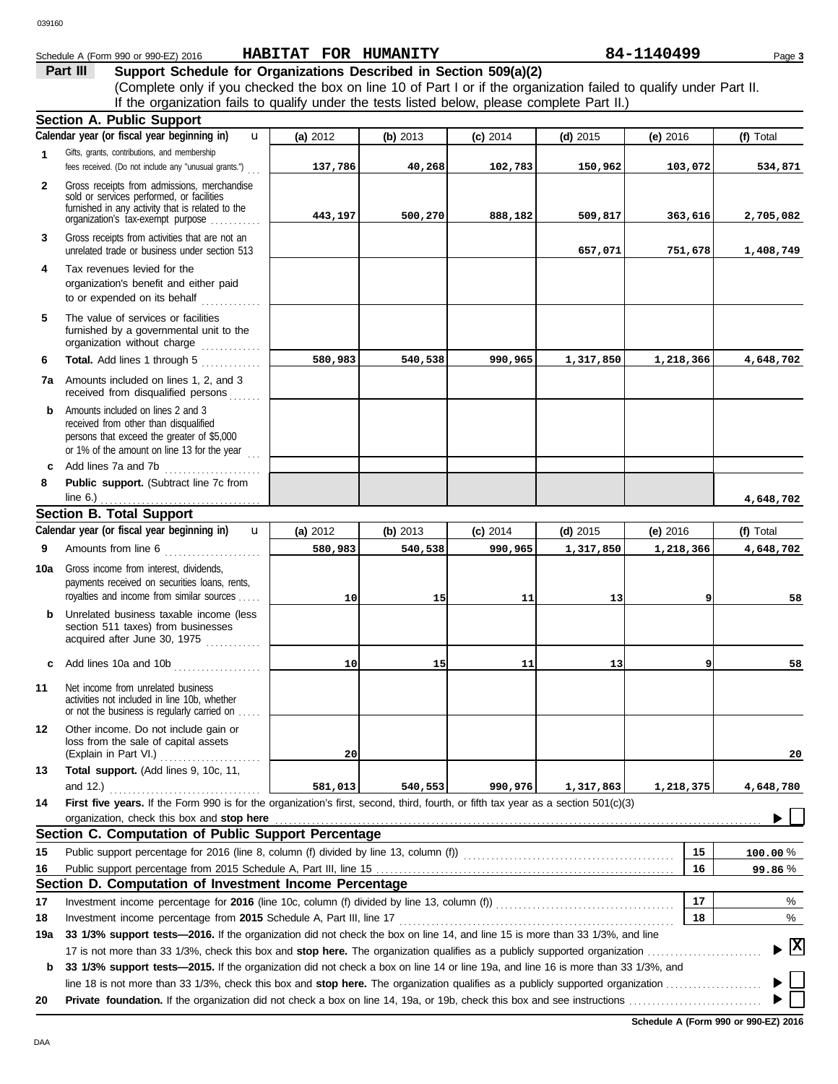|              | Schedule A (Form 990 or 990-EZ) 2016                                                                                                                                                      | HABITAT FOR HUMANITY |          |            |            | 84-1140499 | Page 3          |
|--------------|-------------------------------------------------------------------------------------------------------------------------------------------------------------------------------------------|----------------------|----------|------------|------------|------------|-----------------|
|              | Support Schedule for Organizations Described in Section 509(a)(2)<br>Part III                                                                                                             |                      |          |            |            |            |                 |
|              | (Complete only if you checked the box on line 10 of Part I or if the organization failed to qualify under Part II.                                                                        |                      |          |            |            |            |                 |
|              | If the organization fails to qualify under the tests listed below, please complete Part II.)                                                                                              |                      |          |            |            |            |                 |
|              | Section A. Public Support                                                                                                                                                                 |                      |          |            |            |            |                 |
|              | Calendar year (or fiscal year beginning in)<br>$\mathbf{u}$                                                                                                                               | (a) 2012             | (b) 2013 | $(c)$ 2014 | $(d)$ 2015 | (e) 2016   | (f) Total       |
| $\mathbf{1}$ | Gifts, grants, contributions, and membership<br>fees received. (Do not include any "unusual grants.")                                                                                     | 137,786              | 40,268   | 102,783    | 150,962    | 103,072    | 534,871         |
| $\mathbf{2}$ | Gross receipts from admissions, merchandise<br>sold or services performed, or facilities<br>furnished in any activity that is related to the<br>organization's tax-exempt purpose         | 443,197              | 500,270  | 888,182    | 509,817    | 363,616    | 2,705,082       |
| 3            | Gross receipts from activities that are not an<br>unrelated trade or business under section 513                                                                                           |                      |          |            | 657,071    | 751,678    | 1,408,749       |
| 4            | Tax revenues levied for the<br>organization's benefit and either paid<br>to or expended on its behalf                                                                                     |                      |          |            |            |            |                 |
| 5            | The value of services or facilities<br>furnished by a governmental unit to the<br>organization without charge                                                                             |                      |          |            |            |            |                 |
| 6            | Total. Add lines 1 through 5                                                                                                                                                              | 580,983              | 540,538  | 990,965    | 1,317,850  | 1,218,366  | 4,648,702       |
| 7a           | Amounts included on lines 1, 2, and 3<br>received from disqualified persons                                                                                                               |                      |          |            |            |            |                 |
| b            | Amounts included on lines 2 and 3<br>received from other than disqualified<br>persons that exceed the greater of \$5,000<br>or 1% of the amount on line 13 for the year<br>$\mathbb{R}^2$ |                      |          |            |            |            |                 |
| c            | Add lines 7a and 7b                                                                                                                                                                       |                      |          |            |            |            |                 |
| 8            | Public support. (Subtract line 7c from<br>line $6.$ )                                                                                                                                     |                      |          |            |            |            | 4,648,702       |
|              | <b>Section B. Total Support</b>                                                                                                                                                           |                      |          |            |            |            |                 |
|              | Calendar year (or fiscal year beginning in)<br>$\mathbf{u}$                                                                                                                               | (a) 2012             | (b) 2013 | $(c)$ 2014 | $(d)$ 2015 | (e) 2016   | (f) Total       |
| 9            | Amounts from line 6                                                                                                                                                                       | 580,983              | 540,538  | 990,965    | 1,317,850  | 1,218,366  | 4,648,702       |
| 10a          | Gross income from interest, dividends,<br>payments received on securities loans, rents,<br>royalties and income from similar sources                                                      |                      |          |            |            |            |                 |
|              | <b>b</b> Unrelated business taxable income (less<br>section 511 taxes) from businesses<br>acquired after June 30, 1975                                                                    | 10                   | 15       | 11         | 13         |            | 58              |
|              | c Add lines 10a and 10b $\ldots$                                                                                                                                                          | 10                   | 15       | 11         | 13         |            | 58              |
| 11           | Net income from unrelated business<br>activities not included in line 10b, whether<br>or not the business is regularly carried on                                                         |                      |          |            |            |            |                 |
| 12           | Other income. Do not include gain or<br>loss from the sale of capital assets<br>(Explain in Part VI.)<br>.                                                                                | 20                   |          |            |            |            | 20              |
| 13           | Total support. (Add lines 9, 10c, 11,<br>and $12.$ )                                                                                                                                      | 581,013              | 540,553  | 990,976    | 1,317,863  | 1,218,375  | 4,648,780       |
| 14           | First five years. If the Form 990 is for the organization's first, second, third, fourth, or fifth tax year as a section 501(c)(3)                                                        |                      |          |            |            |            |                 |
|              | organization, check this box and stop here<br>Section C. Computation of Public Support Percentage                                                                                         |                      |          |            |            |            |                 |
|              |                                                                                                                                                                                           |                      |          |            |            |            |                 |
| 15           | Public support percentage for 2016 (line 8, column (f) divided by line 13, column (f)) [[[[[[[[[[[[[[[[[[[[[[                                                                             |                      |          |            |            | 15         | 100.00%         |
| 16           |                                                                                                                                                                                           |                      |          |            |            | 16         | 99.86%          |
|              | Section D. Computation of Investment Income Percentage                                                                                                                                    |                      |          |            |            |            |                 |
| 17           |                                                                                                                                                                                           |                      |          |            |            | 17         | %               |
| 18           | Investment income percentage from 2015 Schedule A, Part III, line 17                                                                                                                      |                      |          |            |            | 18         | %               |
| 19a          | 33 1/3% support tests—2016. If the organization did not check the box on line 14, and line 15 is more than 33 1/3%, and line                                                              |                      |          |            |            |            | $\vert x \vert$ |
| b            | 33 1/3% support tests—2015. If the organization did not check a box on line 14 or line 19a, and line 16 is more than 33 1/3%, and                                                         |                      |          |            |            |            |                 |
|              |                                                                                                                                                                                           |                      |          |            |            |            |                 |
| 20           |                                                                                                                                                                                           |                      |          |            |            |            |                 |

**Schedule A (Form 990 or 990-EZ) 2016**

DAA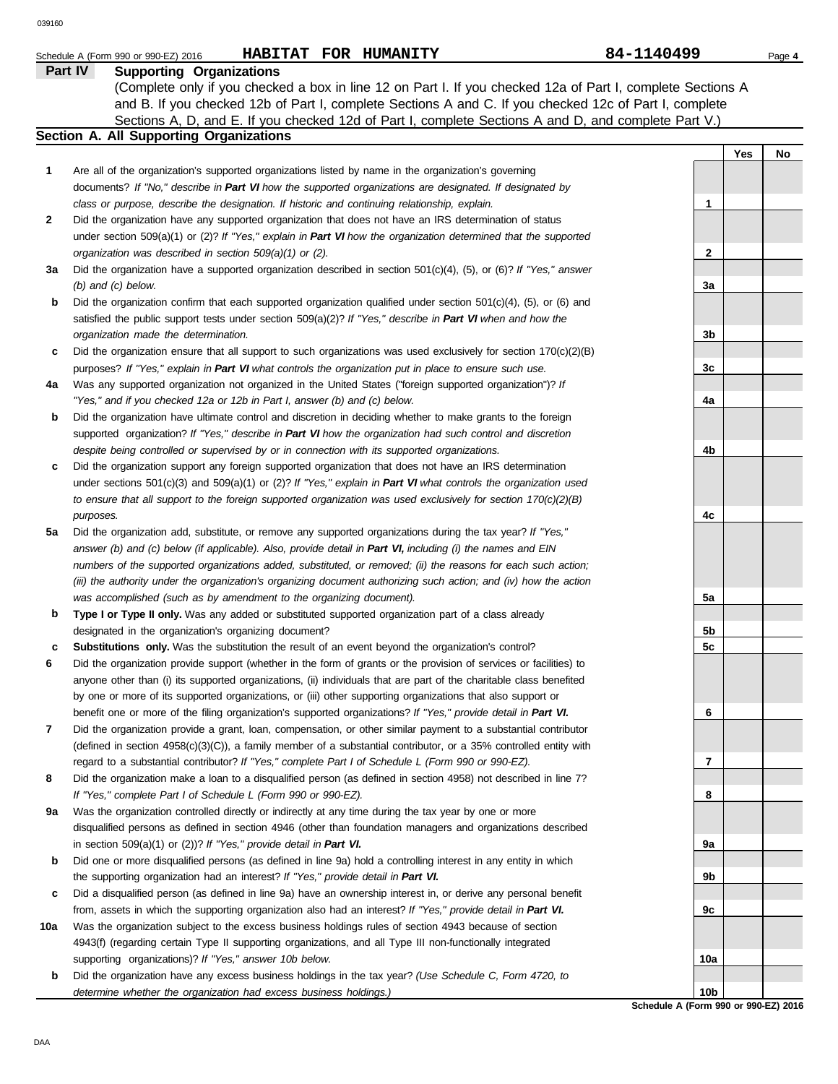|         | HABITAT FOR HUMANITY<br>Schedule A (Form 990 or 990-EZ) 2016                                                        | 84-1140499                                                    |     | Page 4 |
|---------|---------------------------------------------------------------------------------------------------------------------|---------------------------------------------------------------|-----|--------|
| Part IV | <b>Supporting Organizations</b>                                                                                     |                                                               |     |        |
|         | (Complete only if you checked a box in line 12 on Part I. If you checked 12a of Part I, complete Sections A         |                                                               |     |        |
|         | and B. If you checked 12b of Part I, complete Sections A and C. If you checked 12c of Part I, complete              |                                                               |     |        |
|         | Sections A, D, and E. If you checked 12d of Part I, complete Sections A and D, and complete Part V.)                |                                                               |     |        |
|         | Section A. All Supporting Organizations                                                                             |                                                               |     |        |
|         |                                                                                                                     |                                                               | Yes | No     |
| 1       | Are all of the organization's supported organizations listed by name in the organization's governing                |                                                               |     |        |
|         | documents? If "No," describe in Part VI how the supported organizations are designated. If designated by            |                                                               |     |        |
|         | class or purpose, describe the designation. If historic and continuing relationship, explain.                       | 1                                                             |     |        |
| 2       | Did the organization have any supported organization that does not have an IRS determination of status              |                                                               |     |        |
|         | under section 509(a)(1) or (2)? If "Yes," explain in Part VI how the organization determined that the supported     |                                                               |     |        |
|         | organization was described in section 509(a)(1) or (2).                                                             | $\mathbf{2}$                                                  |     |        |
| За      | Did the organization have a supported organization described in section $501(c)(4)$ , (5), or (6)? If "Yes," answer |                                                               |     |        |
|         | $(b)$ and $(c)$ below.                                                                                              | 3a                                                            |     |        |
| b       | Did the organization confirm that each supported organization qualified under section 501(c)(4), (5), or (6) and    |                                                               |     |        |
|         | satisfied the public support tests under section $509(a)(2)$ ? If "Yes," describe in Part VI when and how the       |                                                               |     |        |
|         | organization made the determination.                                                                                | 3b                                                            |     |        |
| c       | Did the organization ensure that all support to such organizations was used exclusively for section $170(c)(2)(B)$  |                                                               |     |        |
|         | purposes? If "Yes," explain in Part VI what controls the organization put in place to ensure such use.              | 3c                                                            |     |        |
| 4a      | Was any supported organization not organized in the United States ("foreign supported organization")? If            |                                                               |     |        |
|         | "Yes," and if you checked 12a or 12b in Part I, answer (b) and (c) below.                                           | 4a                                                            |     |        |
| b       | Did the organization have ultimate control and discretion in deciding whether to make grants to the foreign         |                                                               |     |        |
|         | supported organization? If "Yes," describe in Part VI how the organization had such control and discretion          |                                                               |     |        |
|         | despite being controlled or supervised by or in connection with its supported organizations.                        | 4b                                                            |     |        |
| c       | Did the organization support any foreign supported organization that does not have an IRS determination             |                                                               |     |        |
|         | under sections $501(c)(3)$ and $509(a)(1)$ or (2)? If "Yes," explain in Part VI what controls the organization used |                                                               |     |        |
|         | to ensure that all support to the foreign supported organization was used exclusively for section $170(c)(2)(B)$    |                                                               |     |        |
|         | purposes.                                                                                                           | 4c                                                            |     |        |
| 5a      | Did the organization add, substitute, or remove any supported organizations during the tax year? If "Yes,"          |                                                               |     |        |
|         | answer (b) and (c) below (if applicable). Also, provide detail in Part VI, including (i) the names and EIN          |                                                               |     |        |
|         | numbers of the supported organizations added, substituted, or removed; (ii) the reasons for each such action;       |                                                               |     |        |
|         | (iii) the authority under the organization's organizing document authorizing such action; and (iv) how the action   |                                                               |     |        |
|         | was accomplished (such as by amendment to the organizing document).                                                 | 5a                                                            |     |        |
| b       | Type I or Type II only. Was any added or substituted supported organization part of a class already                 |                                                               |     |        |
|         | designated in the organization's organizing document?                                                               | 5b                                                            |     |        |
| c       | Substitutions only. Was the substitution the result of an event beyond the organization's control?                  | 5c                                                            |     |        |
|         | Did the organization provide support (whether in the form of grants or the provision of services or facilities) to  |                                                               |     |        |
|         | anyone other than (i) its supported organizations, (ii) individuals that are part of the charitable class benefited |                                                               |     |        |
|         | by one or more of its supported organizations, or (iii) other supporting organizations that also support or         |                                                               |     |        |
|         | benefit one or more of the filing organization's supported organizations? If "Yes," provide detail in Part VI.      | 6                                                             |     |        |
| 7       | Did the organization provide a grant, loan, compensation, or other similar payment to a substantial contributor     |                                                               |     |        |
|         | (defined in section 4958(c)(3)(C)), a family member of a substantial contributor, or a 35% controlled entity with   |                                                               |     |        |
|         | regard to a substantial contributor? If "Yes," complete Part I of Schedule L (Form 990 or 990-EZ).                  | 7                                                             |     |        |
| 8       | Did the organization make a loan to a disqualified person (as defined in section 4958) not described in line 7?     |                                                               |     |        |
|         | If "Yes," complete Part I of Schedule L (Form 990 or 990-EZ).                                                       | 8                                                             |     |        |
| 9a      | Was the organization controlled directly or indirectly at any time during the tax year by one or more               |                                                               |     |        |
|         | disqualified persons as defined in section 4946 (other than foundation managers and organizations described         |                                                               |     |        |
|         | in section $509(a)(1)$ or $(2)$ ? If "Yes," provide detail in Part VI.                                              | 9а                                                            |     |        |
| b       | Did one or more disqualified persons (as defined in line 9a) hold a controlling interest in any entity in which     |                                                               |     |        |
|         | the supporting organization had an interest? If "Yes," provide detail in Part VI.                                   | 9b                                                            |     |        |
| c       | Did a disqualified person (as defined in line 9a) have an ownership interest in, or derive any personal benefit     |                                                               |     |        |
|         | from, assets in which the supporting organization also had an interest? If "Yes," provide detail in Part VI.        |                                                               |     |        |
|         |                                                                                                                     | 9c                                                            |     |        |
| 10a     | Was the organization subject to the excess business holdings rules of section 4943 because of section               |                                                               |     |        |
|         | 4943(f) (regarding certain Type II supporting organizations, and all Type III non-functionally integrated           |                                                               |     |        |
|         | supporting organizations)? If "Yes," answer 10b below.                                                              | 10a                                                           |     |        |
| b       | Did the organization have any excess business holdings in the tax year? (Use Schedule C, Form 4720, to              |                                                               |     |        |
|         | determine whether the organization had excess business holdings.)                                                   | 10b<br>$A$ $(T_{\text{num}}$ 000 $\rightarrow$ 000 $\Box$ 004 |     |        |

**Schedule A (Form 990 or 990-EZ) 2016**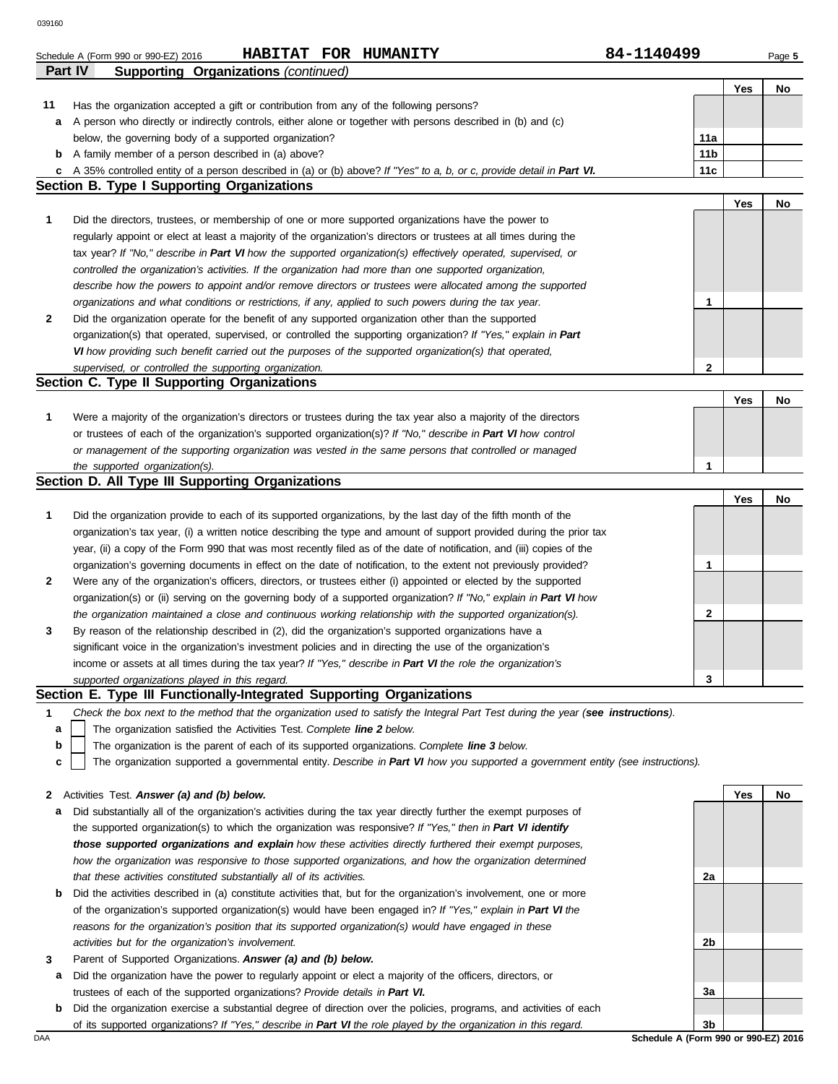|     | Part IV<br><b>Supporting Organizations (continued)</b>                                                                            |                 |     |    |
|-----|-----------------------------------------------------------------------------------------------------------------------------------|-----------------|-----|----|
|     |                                                                                                                                   |                 | Yes | No |
| 11  | Has the organization accepted a gift or contribution from any of the following persons?                                           |                 |     |    |
| а   | A person who directly or indirectly controls, either alone or together with persons described in (b) and (c)                      |                 |     |    |
|     | below, the governing body of a supported organization?                                                                            | 11a             |     |    |
| b   | A family member of a person described in (a) above?                                                                               | 11 <sub>b</sub> |     |    |
| c   | A 35% controlled entity of a person described in (a) or (b) above? If "Yes" to a, b, or c, provide detail in Part VI.             | 11c             |     |    |
|     | Section B. Type I Supporting Organizations                                                                                        |                 |     |    |
|     |                                                                                                                                   |                 | Yes | No |
| 1   | Did the directors, trustees, or membership of one or more supported organizations have the power to                               |                 |     |    |
|     | regularly appoint or elect at least a majority of the organization's directors or trustees at all times during the                |                 |     |    |
|     | tax year? If "No," describe in Part VI how the supported organization(s) effectively operated, supervised, or                     |                 |     |    |
|     | controlled the organization's activities. If the organization had more than one supported organization,                           |                 |     |    |
|     | describe how the powers to appoint and/or remove directors or trustees were allocated among the supported                         |                 |     |    |
|     | organizations and what conditions or restrictions, if any, applied to such powers during the tax year.                            | 1               |     |    |
| 2   | Did the organization operate for the benefit of any supported organization other than the supported                               |                 |     |    |
|     | organization(s) that operated, supervised, or controlled the supporting organization? If "Yes," explain in Part                   |                 |     |    |
|     | VI how providing such benefit carried out the purposes of the supported organization(s) that operated,                            |                 |     |    |
|     | supervised, or controlled the supporting organization.                                                                            | 2               |     |    |
|     | Section C. Type II Supporting Organizations                                                                                       |                 |     |    |
|     |                                                                                                                                   |                 | Yes | No |
| 1   | Were a majority of the organization's directors or trustees during the tax year also a majority of the directors                  |                 |     |    |
|     | or trustees of each of the organization's supported organization(s)? If "No," describe in Part VI how control                     |                 |     |    |
|     | or management of the supporting organization was vested in the same persons that controlled or managed                            |                 |     |    |
|     | the supported organization(s).                                                                                                    | 1               |     |    |
|     | Section D. All Type III Supporting Organizations                                                                                  |                 |     |    |
|     |                                                                                                                                   |                 | Yes | No |
| 1   | Did the organization provide to each of its supported organizations, by the last day of the fifth month of the                    |                 |     |    |
|     | organization's tax year, (i) a written notice describing the type and amount of support provided during the prior tax             |                 |     |    |
|     | year, (ii) a copy of the Form 990 that was most recently filed as of the date of notification, and (iii) copies of the            |                 |     |    |
|     | organization's governing documents in effect on the date of notification, to the extent not previously provided?                  | 1               |     |    |
| 2   | Were any of the organization's officers, directors, or trustees either (i) appointed or elected by the supported                  |                 |     |    |
|     | organization(s) or (ii) serving on the governing body of a supported organization? If "No," explain in Part VI how                |                 |     |    |
|     | the organization maintained a close and continuous working relationship with the supported organization(s).                       | 2               |     |    |
| 3   | By reason of the relationship described in (2), did the organization's supported organizations have a                             |                 |     |    |
|     | significant voice in the organization's investment policies and in directing the use of the organization's                        |                 |     |    |
|     | income or assets at all times during the tax year? If "Yes," describe in Part VI the role the organization's                      |                 |     |    |
|     | supported organizations played in this regard.                                                                                    | 3               |     |    |
|     | Section E. Type III Functionally-Integrated Supporting Organizations                                                              |                 |     |    |
| 1   | Check the box next to the method that the organization used to satisfy the Integral Part Test during the year (see instructions). |                 |     |    |
| a   | The organization satisfied the Activities Test. Complete line 2 below.                                                            |                 |     |    |
| b   | The organization is the parent of each of its supported organizations. Complete line 3 below.                                     |                 |     |    |
| C   | The organization supported a governmental entity. Describe in Part VI how you supported a government entity (see instructions).   |                 |     |    |
|     |                                                                                                                                   |                 |     |    |
| 2   | Activities Test. Answer (a) and (b) below.                                                                                        |                 | Yes | No |
| а   | Did substantially all of the organization's activities during the tax year directly further the exempt purposes of                |                 |     |    |
|     | the supported organization(s) to which the organization was responsive? If "Yes," then in Part VI identify                        |                 |     |    |
|     | those supported organizations and explain how these activities directly furthered their exempt purposes,                          |                 |     |    |
|     | how the organization was responsive to those supported organizations, and how the organization determined                         |                 |     |    |
|     | that these activities constituted substantially all of its activities.                                                            | 2a              |     |    |
| b   | Did the activities described in (a) constitute activities that, but for the organization's involvement, one or more               |                 |     |    |
|     | of the organization's supported organization(s) would have been engaged in? If "Yes," explain in Part VI the                      |                 |     |    |
|     | reasons for the organization's position that its supported organization(s) would have engaged in these                            |                 |     |    |
|     | activities but for the organization's involvement.                                                                                | 2b              |     |    |
| 3   | Parent of Supported Organizations. Answer (a) and (b) below.                                                                      |                 |     |    |
| a   | Did the organization have the power to regularly appoint or elect a majority of the officers, directors, or                       |                 |     |    |
|     | trustees of each of the supported organizations? Provide details in Part VI.                                                      | За              |     |    |
| b   | Did the organization exercise a substantial degree of direction over the policies, programs, and activities of each               |                 |     |    |
| DAA | of its supported organizations? If "Yes," describe in Part VI the role played by the organization in this regard.                 | 3b              |     |    |
|     | Schedule A (Form 990 or 990-EZ) 2016                                                                                              |                 |     |    |

Schedule A (Form 990 or 990-EZ) 2016 **HABITAT FOR HUMANITY** 84-1140499 Page 5

**HABITAT FOR HUMANITY 84-1140499**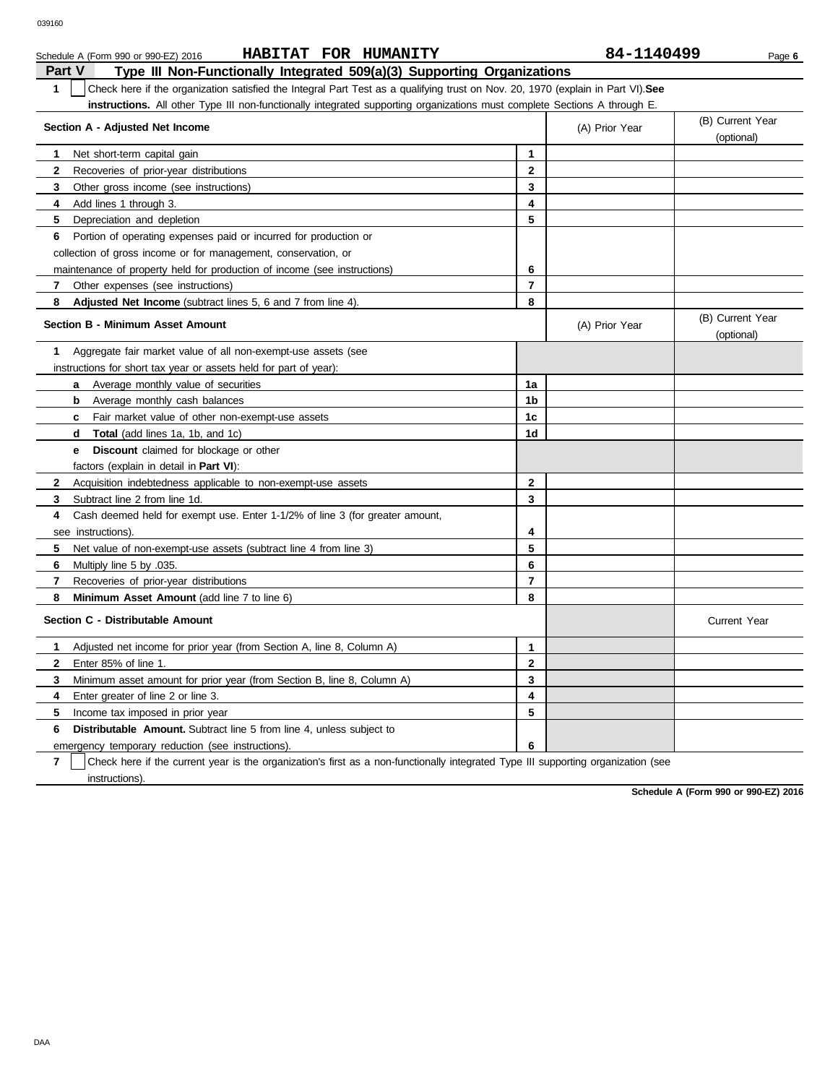|              | HABITAT FOR HUMANITY<br>Schedule A (Form 990 or 990-EZ) 2016                                                                     |                | 84-1140499     | Page 6                         |
|--------------|----------------------------------------------------------------------------------------------------------------------------------|----------------|----------------|--------------------------------|
| Part V       | Type III Non-Functionally Integrated 509(a)(3) Supporting Organizations                                                          |                |                |                                |
| $\mathbf{1}$ | Check here if the organization satisfied the Integral Part Test as a qualifying trust on Nov. 20, 1970 (explain in Part VI). See |                |                |                                |
|              | <b>instructions.</b> All other Type III non-functionally integrated supporting organizations must complete Sections A through E. |                |                |                                |
|              | Section A - Adjusted Net Income                                                                                                  |                | (A) Prior Year | (B) Current Year               |
|              |                                                                                                                                  |                |                | (optional)                     |
| 1            | Net short-term capital gain                                                                                                      | $\mathbf{1}$   |                |                                |
| $\mathbf{2}$ | Recoveries of prior-year distributions                                                                                           | $\mathbf{2}$   |                |                                |
| 3            | Other gross income (see instructions)                                                                                            | 3              |                |                                |
| 4            | Add lines 1 through 3.                                                                                                           | 4              |                |                                |
| 5            | Depreciation and depletion                                                                                                       | 5              |                |                                |
| 6            | Portion of operating expenses paid or incurred for production or                                                                 |                |                |                                |
|              | collection of gross income or for management, conservation, or                                                                   |                |                |                                |
|              | maintenance of property held for production of income (see instructions)                                                         | 6              |                |                                |
| $\mathbf{7}$ | Other expenses (see instructions)                                                                                                | $\overline{7}$ |                |                                |
| 8            | Adjusted Net Income (subtract lines 5, 6 and 7 from line 4).                                                                     | 8              |                |                                |
|              | Section B - Minimum Asset Amount                                                                                                 |                | (A) Prior Year | (B) Current Year<br>(optional) |
| 1            | Aggregate fair market value of all non-exempt-use assets (see                                                                    |                |                |                                |
|              | instructions for short tax year or assets held for part of year):                                                                |                |                |                                |
|              | Average monthly value of securities<br>a                                                                                         | 1a             |                |                                |
|              | b<br>Average monthly cash balances                                                                                               | 1b             |                |                                |
|              | Fair market value of other non-exempt-use assets<br>c.                                                                           | 1 <sub>c</sub> |                |                                |
|              | Total (add lines 1a, 1b, and 1c)<br>d                                                                                            | 1d             |                |                                |
|              | Discount claimed for blockage or other<br>e                                                                                      |                |                |                                |
|              | factors (explain in detail in Part VI):                                                                                          |                |                |                                |
| $\mathbf{2}$ | Acquisition indebtedness applicable to non-exempt-use assets                                                                     | $\overline{2}$ |                |                                |
| 3            | Subtract line 2 from line 1d.                                                                                                    | 3              |                |                                |
| 4            | Cash deemed held for exempt use. Enter 1-1/2% of line 3 (for greater amount,                                                     |                |                |                                |
|              | see instructions).                                                                                                               | 4              |                |                                |
| 5            | Net value of non-exempt-use assets (subtract line 4 from line 3)                                                                 | 5              |                |                                |
| 6            | Multiply line 5 by .035.                                                                                                         | 6              |                |                                |
| 7            | Recoveries of prior-year distributions                                                                                           | $\overline{7}$ |                |                                |
| 8            | <b>Minimum Asset Amount</b> (add line 7 to line 6)                                                                               | 8              |                |                                |
|              | Section C - Distributable Amount                                                                                                 |                |                | <b>Current Year</b>            |
| 1            | Adjusted net income for prior year (from Section A, line 8, Column A)                                                            | $\mathbf{1}$   |                |                                |
| 2            | Enter 85% of line 1.                                                                                                             | $\mathbf{2}$   |                |                                |
| 3            | Minimum asset amount for prior year (from Section B, line 8, Column A)                                                           | 3              |                |                                |
| 4            | Enter greater of line 2 or line 3.                                                                                               | 4              |                |                                |
| 5            | Income tax imposed in prior year                                                                                                 | 5              |                |                                |
| 6            | <b>Distributable Amount.</b> Subtract line 5 from line 4, unless subject to                                                      |                |                |                                |
|              | emergency temporary reduction (see instructions).                                                                                | 6              |                |                                |

**7** instructions). Check here if the current year is the organization's first as a non-functionally integrated Type III supporting organization (see

**Schedule A (Form 990 or 990-EZ) 2016**

DAA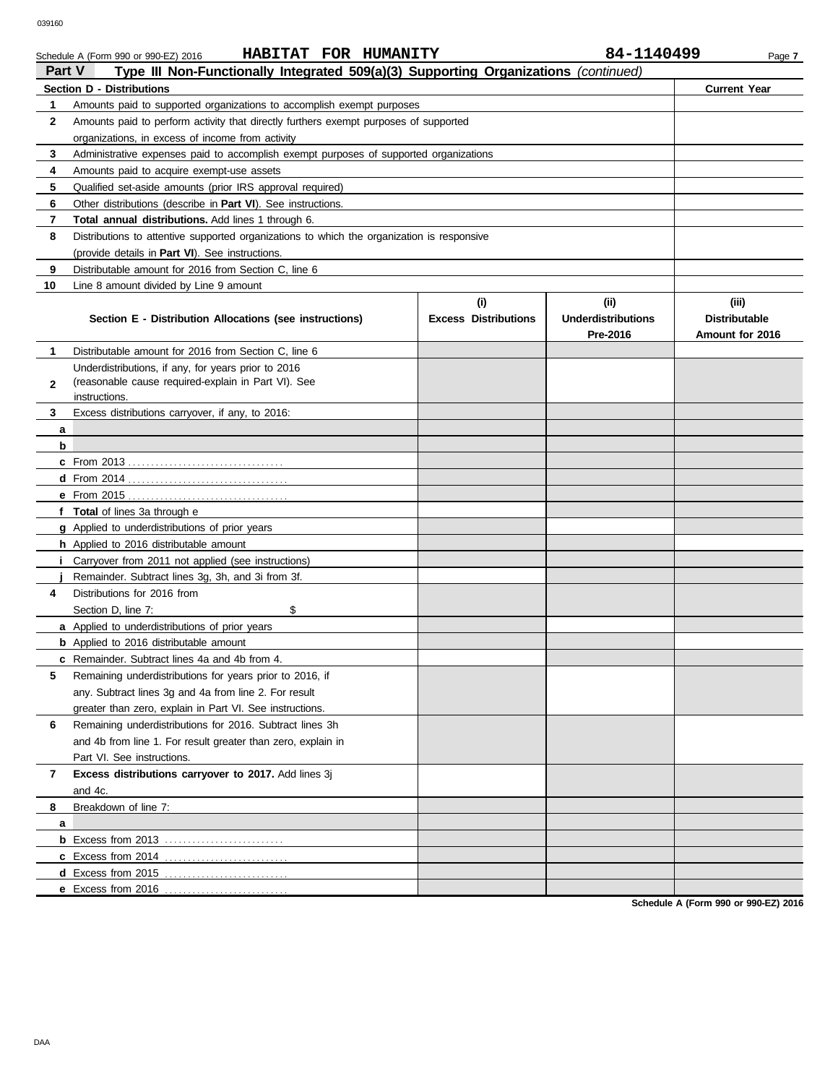| <b>Part V</b> | Type III Non-Functionally Integrated 509(a)(3) Supporting Organizations (continued)        |                             |                           |                      |
|---------------|--------------------------------------------------------------------------------------------|-----------------------------|---------------------------|----------------------|
|               | Section D - Distributions                                                                  |                             |                           | <b>Current Year</b>  |
| 1             | Amounts paid to supported organizations to accomplish exempt purposes                      |                             |                           |                      |
| 2             | Amounts paid to perform activity that directly furthers exempt purposes of supported       |                             |                           |                      |
|               | organizations, in excess of income from activity                                           |                             |                           |                      |
| 3             | Administrative expenses paid to accomplish exempt purposes of supported organizations      |                             |                           |                      |
| 4             | Amounts paid to acquire exempt-use assets                                                  |                             |                           |                      |
| 5             | Qualified set-aside amounts (prior IRS approval required)                                  |                             |                           |                      |
| 6             | Other distributions (describe in Part VI). See instructions.                               |                             |                           |                      |
| 7             | Total annual distributions. Add lines 1 through 6.                                         |                             |                           |                      |
| 8             | Distributions to attentive supported organizations to which the organization is responsive |                             |                           |                      |
|               | (provide details in Part VI). See instructions.                                            |                             |                           |                      |
| 9             | Distributable amount for 2016 from Section C, line 6                                       |                             |                           |                      |
| 10            | Line 8 amount divided by Line 9 amount                                                     |                             |                           |                      |
|               |                                                                                            | (i)                         | (iii)                     | (iii)                |
|               | Section E - Distribution Allocations (see instructions)                                    | <b>Excess Distributions</b> | <b>Underdistributions</b> | <b>Distributable</b> |
|               |                                                                                            |                             | Pre-2016                  | Amount for 2016      |
|               | Distributable amount for 2016 from Section C, line 6                                       |                             |                           |                      |
|               | Underdistributions, if any, for years prior to 2016                                        |                             |                           |                      |
| $\mathbf{2}$  | (reasonable cause required-explain in Part VI). See                                        |                             |                           |                      |
|               | instructions.                                                                              |                             |                           |                      |
| 3             | Excess distributions carryover, if any, to 2016:                                           |                             |                           |                      |
| a             |                                                                                            |                             |                           |                      |
| b             |                                                                                            |                             |                           |                      |
|               |                                                                                            |                             |                           |                      |
|               |                                                                                            |                             |                           |                      |
|               | e From 2015<br>. <u>.</u>                                                                  |                             |                           |                      |
|               | f Total of lines 3a through e                                                              |                             |                           |                      |
|               | g Applied to underdistributions of prior years                                             |                             |                           |                      |
|               | <b>h</b> Applied to 2016 distributable amount                                              |                             |                           |                      |
|               | Carryover from 2011 not applied (see instructions)                                         |                             |                           |                      |
|               | Remainder. Subtract lines 3g, 3h, and 3i from 3f.                                          |                             |                           |                      |
|               | Distributions for 2016 from                                                                |                             |                           |                      |
|               | \$<br>Section D, line 7:                                                                   |                             |                           |                      |
|               | <b>a</b> Applied to underdistributions of prior years                                      |                             |                           |                      |
|               | <b>b</b> Applied to 2016 distributable amount                                              |                             |                           |                      |
|               | <b>c</b> Remainder. Subtract lines 4a and 4b from 4.                                       |                             |                           |                      |
| 5             | Remaining underdistributions for years prior to 2016, if                                   |                             |                           |                      |
|               | any. Subtract lines 3g and 4a from line 2. For result                                      |                             |                           |                      |
|               | greater than zero, explain in Part VI. See instructions.                                   |                             |                           |                      |
| 6             | Remaining underdistributions for 2016. Subtract lines 3h                                   |                             |                           |                      |
|               | and 4b from line 1. For result greater than zero, explain in                               |                             |                           |                      |
|               | Part VI. See instructions.                                                                 |                             |                           |                      |

**Schedule A (Form 990 or 990-EZ) 2016**

**8** Breakdown of line 7:

and 4c.

**b** Excess from 2013 . . . . . . . . . . . . . . . . . . . . . . . . . . **c** Excess from 2014 . . . . . . . . . . . . . . . . . . . . . . . . . . . **d** Excess from 2015 . . . . . . . . . . . . . . . . . . . . . . . . . . . **e** Excess from 2016 . . . . . . . . . . . . . . . . . . . . . . . . . . .

**Excess distributions carryover to 2017.** Add lines 3j

**7**

**a**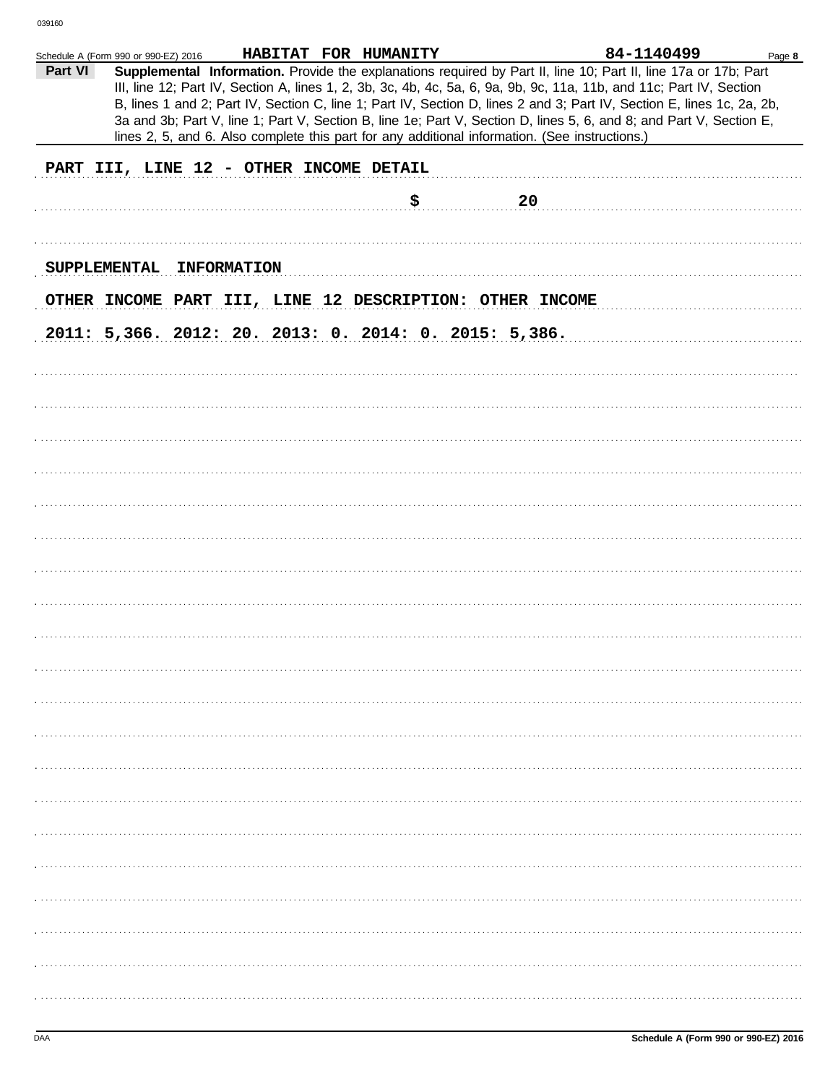|                     | Schedule A (Form 990 or 990-EZ) 2016                                                                                                                                                                                                                                                                                                                                                                                                                                                                                                                                                       | HABITAT FOR HUMANITY |          | 84-1140499 | Page 8 |
|---------------------|--------------------------------------------------------------------------------------------------------------------------------------------------------------------------------------------------------------------------------------------------------------------------------------------------------------------------------------------------------------------------------------------------------------------------------------------------------------------------------------------------------------------------------------------------------------------------------------------|----------------------|----------|------------|--------|
| Part VI             | Supplemental Information. Provide the explanations required by Part II, line 10; Part II, line 17a or 17b; Part<br>III, line 12; Part IV, Section A, lines 1, 2, 3b, 3c, 4b, 4c, 5a, 6, 9a, 9b, 9c, 11a, 11b, and 11c; Part IV, Section<br>B, lines 1 and 2; Part IV, Section C, line 1; Part IV, Section D, lines 2 and 3; Part IV, Section E, lines 1c, 2a, 2b,<br>3a and 3b; Part V, line 1; Part V, Section B, line 1e; Part V, Section D, lines 5, 6, and 8; and Part V, Section E,<br>lines 2, 5, and 6. Also complete this part for any additional information. (See instructions.) |                      |          |            |        |
|                     | PART III, LINE 12 - OTHER INCOME DETAIL                                                                                                                                                                                                                                                                                                                                                                                                                                                                                                                                                    |                      |          |            |        |
|                     |                                                                                                                                                                                                                                                                                                                                                                                                                                                                                                                                                                                            |                      | \$<br>20 |            |        |
|                     |                                                                                                                                                                                                                                                                                                                                                                                                                                                                                                                                                                                            |                      |          |            |        |
| <b>SUPPLEMENTAL</b> | <b>INFORMATION</b>                                                                                                                                                                                                                                                                                                                                                                                                                                                                                                                                                                         |                      |          |            |        |
|                     | OTHER INCOME PART III, LINE 12 DESCRIPTION: OTHER INCOME                                                                                                                                                                                                                                                                                                                                                                                                                                                                                                                                   |                      |          |            |        |
|                     | 2011: 5,366. 2012: 20. 2013: 0. 2014: 0. 2015: 5,386.                                                                                                                                                                                                                                                                                                                                                                                                                                                                                                                                      |                      |          |            |        |
|                     |                                                                                                                                                                                                                                                                                                                                                                                                                                                                                                                                                                                            |                      |          |            |        |
|                     |                                                                                                                                                                                                                                                                                                                                                                                                                                                                                                                                                                                            |                      |          |            |        |
|                     |                                                                                                                                                                                                                                                                                                                                                                                                                                                                                                                                                                                            |                      |          |            |        |
|                     |                                                                                                                                                                                                                                                                                                                                                                                                                                                                                                                                                                                            |                      |          |            |        |
|                     |                                                                                                                                                                                                                                                                                                                                                                                                                                                                                                                                                                                            |                      |          |            |        |
|                     |                                                                                                                                                                                                                                                                                                                                                                                                                                                                                                                                                                                            |                      |          |            |        |
|                     |                                                                                                                                                                                                                                                                                                                                                                                                                                                                                                                                                                                            |                      |          |            |        |
|                     |                                                                                                                                                                                                                                                                                                                                                                                                                                                                                                                                                                                            |                      |          |            |        |
|                     |                                                                                                                                                                                                                                                                                                                                                                                                                                                                                                                                                                                            |                      |          |            |        |
|                     |                                                                                                                                                                                                                                                                                                                                                                                                                                                                                                                                                                                            |                      |          |            |        |
|                     |                                                                                                                                                                                                                                                                                                                                                                                                                                                                                                                                                                                            |                      |          |            |        |
|                     |                                                                                                                                                                                                                                                                                                                                                                                                                                                                                                                                                                                            |                      |          |            |        |
|                     |                                                                                                                                                                                                                                                                                                                                                                                                                                                                                                                                                                                            |                      |          |            |        |
|                     |                                                                                                                                                                                                                                                                                                                                                                                                                                                                                                                                                                                            |                      |          |            |        |
|                     |                                                                                                                                                                                                                                                                                                                                                                                                                                                                                                                                                                                            |                      |          |            |        |
|                     |                                                                                                                                                                                                                                                                                                                                                                                                                                                                                                                                                                                            |                      |          |            |        |
|                     |                                                                                                                                                                                                                                                                                                                                                                                                                                                                                                                                                                                            |                      |          |            |        |
|                     |                                                                                                                                                                                                                                                                                                                                                                                                                                                                                                                                                                                            |                      |          |            |        |
|                     |                                                                                                                                                                                                                                                                                                                                                                                                                                                                                                                                                                                            |                      |          |            |        |
|                     |                                                                                                                                                                                                                                                                                                                                                                                                                                                                                                                                                                                            |                      |          |            |        |
|                     |                                                                                                                                                                                                                                                                                                                                                                                                                                                                                                                                                                                            |                      |          |            |        |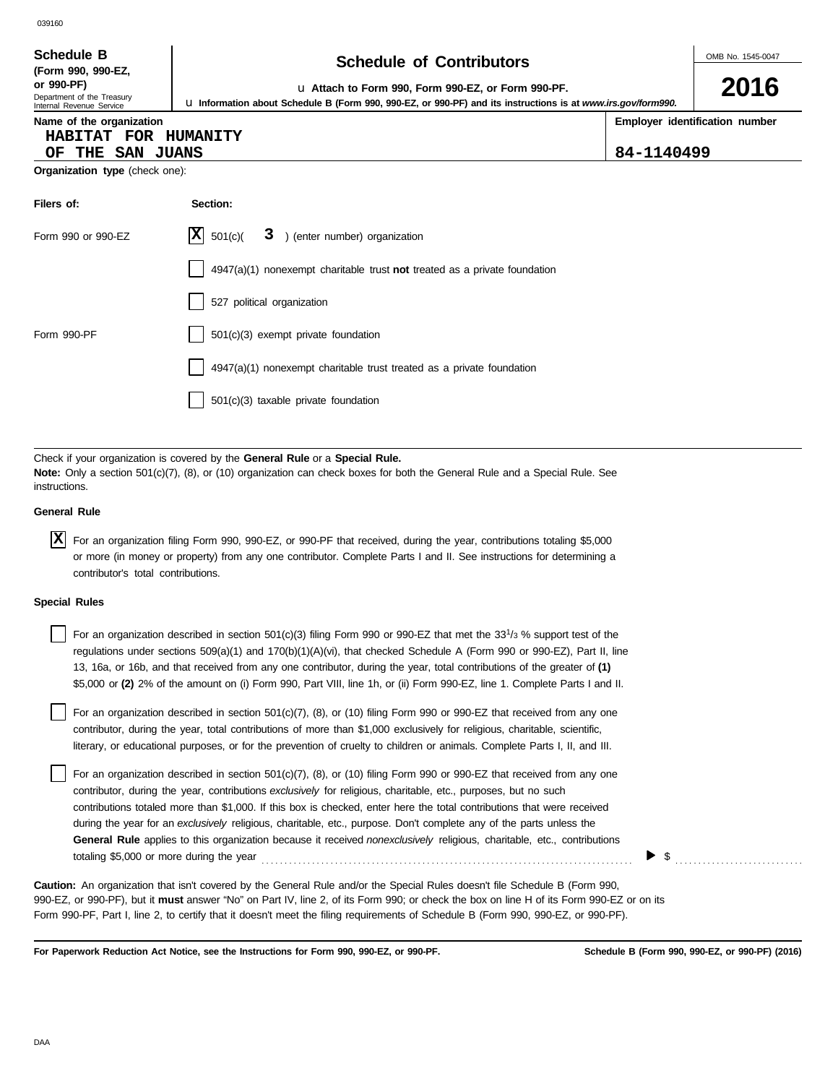## OMB No. 1545-0047 Department of the Treasury Internal Revenue Service **Name of the organization 2016 Schedule of Contributors Schedule B (Form 990, 990-EZ, or 990-PF)** u **Attach to Form 990, Form 990-EZ, or Form 990-PF. Employer identification number Organization type** (check one): **Filers of: Section:** Form 990 or 990-EZ  $|\mathbf{X}|$  501(c)(  $\mathbf{3}$  ) (enter number) organization 4947(a)(1) nonexempt charitable trust **not** treated as a private foundation 527 political organization u **Information about Schedule B (Form 990, 990-EZ, or 990-PF) and its instructions is at** *www.irs.gov/form990.* **HABITAT FOR HUMANITY OF THE SAN JUANS 84-1140499**  $\overline{X}$  **501(c)( 3**

| Filers of:         | Section:                                                                    |
|--------------------|-----------------------------------------------------------------------------|
| Form 990 or 990-EZ | $ \mathbf{X} $ 501(c)(<br>3 ) (enter number) organization                   |
|                    | $4947(a)(1)$ nonexempt charitable trust not treated as a private foundation |
|                    | 527 political organization                                                  |
| Form 990-PF        | 501(c)(3) exempt private foundation                                         |
|                    | 4947(a)(1) nonexempt charitable trust treated as a private foundation       |
|                    | $501(c)(3)$ taxable private foundation                                      |
|                    |                                                                             |

Check if your organization is covered by the **General Rule** or a **Special Rule. Note:** Only a section 501(c)(7), (8), or (10) organization can check boxes for both the General Rule and a Special Rule. See instructions.

### **General Rule**

For an organization filing Form 990, 990-EZ, or 990-PF that received, during the year, contributions totaling \$5,000 **X** or more (in money or property) from any one contributor. Complete Parts I and II. See instructions for determining a contributor's total contributions.

#### **Special Rules**

| For an organization described in section $501(c)(3)$ filing Form 990 or 990-EZ that met the 33 <sup>1</sup> / <sub>3</sub> % support test of the<br>regulations under sections 509(a)(1) and 170(b)(1)(A)(vi), that checked Schedule A (Form 990 or 990-EZ), Part II, line<br>13, 16a, or 16b, and that received from any one contributor, during the year, total contributions of the greater of (1)<br>\$5,000 or (2) 2% of the amount on (i) Form 990, Part VIII, line 1h, or (ii) Form 990-EZ, line 1. Complete Parts I and II.                                                                                                                             |  |  |
|-----------------------------------------------------------------------------------------------------------------------------------------------------------------------------------------------------------------------------------------------------------------------------------------------------------------------------------------------------------------------------------------------------------------------------------------------------------------------------------------------------------------------------------------------------------------------------------------------------------------------------------------------------------------|--|--|
| For an organization described in section 501(c)(7), (8), or (10) filing Form 990 or 990-EZ that received from any one<br>contributor, during the year, total contributions of more than \$1,000 exclusively for religious, charitable, scientific,<br>literary, or educational purposes, or for the prevention of cruelty to children or animals. Complete Parts I, II, and III.                                                                                                                                                                                                                                                                                |  |  |
| For an organization described in section 501(c)(7), (8), or (10) filing Form 990 or 990-EZ that received from any one<br>contributor, during the year, contributions exclusively for religious, charitable, etc., purposes, but no such<br>contributions totaled more than \$1,000. If this box is checked, enter here the total contributions that were received<br>during the year for an exclusively religious, charitable, etc., purpose. Don't complete any of the parts unless the<br>General Rule applies to this organization because it received nonexclusively religious, charitable, etc., contributions<br>totaling \$5,000 or more during the year |  |  |

990-EZ, or 990-PF), but it **must** answer "No" on Part IV, line 2, of its Form 990; or check the box on line H of its Form 990-EZ or on its Form 990-PF, Part I, line 2, to certify that it doesn't meet the filing requirements of Schedule B (Form 990, 990-EZ, or 990-PF). **Caution:** An organization that isn't covered by the General Rule and/or the Special Rules doesn't file Schedule B (Form 990,

**For Paperwork Reduction Act Notice, see the Instructions for Form 990, 990-EZ, or 990-PF.**

\$ . . . . . . . . . . . . . . . . . . . . . . . . . . . .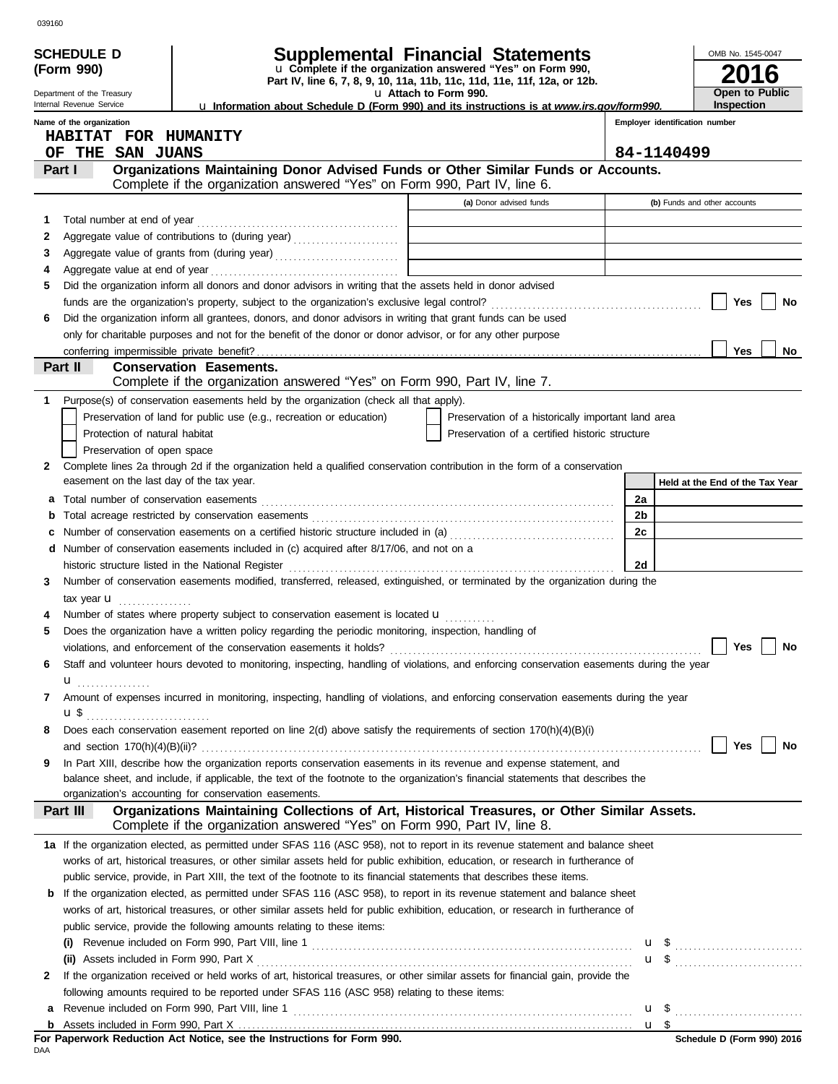|     | <b>SCHEDULE D</b>                                                                                                                                      | Supplemental Financial Statements                                                                                                                                                                                                                         |                |                | OMB No. 1545-0047               |  |
|-----|--------------------------------------------------------------------------------------------------------------------------------------------------------|-----------------------------------------------------------------------------------------------------------------------------------------------------------------------------------------------------------------------------------------------------------|----------------|----------------|---------------------------------|--|
|     | u Complete if the organization answered "Yes" on Form 990,<br>(Form 990)<br>Part IV, line 6, 7, 8, 9, 10, 11a, 11b, 11c, 11d, 11e, 11f, 12a, or 12b.   |                                                                                                                                                                                                                                                           |                |                |                                 |  |
|     | Department of the Treasury                                                                                                                             | u Attach to Form 990.                                                                                                                                                                                                                                     |                |                | Open to Public                  |  |
|     | Internal Revenue Service                                                                                                                               | Lu Information about Schedule D (Form 990) and its instructions is at www.irs.gov/form990.                                                                                                                                                                |                |                | <b>Inspection</b>               |  |
|     | Name of the organization<br>HABITAT FOR HUMANITY                                                                                                       |                                                                                                                                                                                                                                                           |                |                | Employer identification number  |  |
|     | OF THE SAN JUANS                                                                                                                                       |                                                                                                                                                                                                                                                           |                | 84-1140499     |                                 |  |
|     | Part I                                                                                                                                                 | Organizations Maintaining Donor Advised Funds or Other Similar Funds or Accounts.                                                                                                                                                                         |                |                |                                 |  |
|     |                                                                                                                                                        | Complete if the organization answered "Yes" on Form 990, Part IV, line 6.                                                                                                                                                                                 |                |                |                                 |  |
|     |                                                                                                                                                        | (a) Donor advised funds                                                                                                                                                                                                                                   |                |                | (b) Funds and other accounts    |  |
| 1   |                                                                                                                                                        |                                                                                                                                                                                                                                                           |                |                |                                 |  |
| 2   |                                                                                                                                                        |                                                                                                                                                                                                                                                           |                |                |                                 |  |
| 3   |                                                                                                                                                        |                                                                                                                                                                                                                                                           |                |                |                                 |  |
| 4   |                                                                                                                                                        |                                                                                                                                                                                                                                                           |                |                |                                 |  |
| 5   |                                                                                                                                                        | Did the organization inform all donors and donor advisors in writing that the assets held in donor advised                                                                                                                                                |                |                |                                 |  |
| 6   |                                                                                                                                                        | Did the organization inform all grantees, donors, and donor advisors in writing that grant funds can be used                                                                                                                                              |                |                | Yes<br>No                       |  |
|     |                                                                                                                                                        | only for charitable purposes and not for the benefit of the donor or donor advisor, or for any other purpose                                                                                                                                              |                |                |                                 |  |
|     | conferring impermissible private benefit?                                                                                                              |                                                                                                                                                                                                                                                           |                |                | <b>Yes</b><br>No                |  |
|     | Part II                                                                                                                                                | <b>Conservation Easements.</b>                                                                                                                                                                                                                            |                |                |                                 |  |
|     |                                                                                                                                                        | Complete if the organization answered "Yes" on Form 990, Part IV, line 7.                                                                                                                                                                                 |                |                |                                 |  |
| 1.  |                                                                                                                                                        | Purpose(s) of conservation easements held by the organization (check all that apply).                                                                                                                                                                     |                |                |                                 |  |
|     |                                                                                                                                                        | Preservation of land for public use (e.g., recreation or education)<br>Preservation of a historically important land area                                                                                                                                 |                |                |                                 |  |
|     | Protection of natural habitat                                                                                                                          | Preservation of a certified historic structure                                                                                                                                                                                                            |                |                |                                 |  |
|     | Preservation of open space                                                                                                                             |                                                                                                                                                                                                                                                           |                |                |                                 |  |
| 2   |                                                                                                                                                        | Complete lines 2a through 2d if the organization held a qualified conservation contribution in the form of a conservation                                                                                                                                 |                |                |                                 |  |
|     | easement on the last day of the tax year.                                                                                                              |                                                                                                                                                                                                                                                           |                |                | Held at the End of the Tax Year |  |
| а   | Total number of conservation easements                                                                                                                 |                                                                                                                                                                                                                                                           | 2a             |                |                                 |  |
| b   |                                                                                                                                                        |                                                                                                                                                                                                                                                           | 2 <sub>b</sub> |                |                                 |  |
|     | 2c<br>Number of conservation easements on a certified historic structure included in (a) [[[[[[[[[[[[[[[[[[[[[[[[[]]]]]]]<br>c                         |                                                                                                                                                                                                                                                           |                |                |                                 |  |
|     | Number of conservation easements included in (c) acquired after 8/17/06, and not on a<br>d<br>2d<br>historic structure listed in the National Register |                                                                                                                                                                                                                                                           |                |                |                                 |  |
| 3   |                                                                                                                                                        | Number of conservation easements modified, transferred, released, extinguished, or terminated by the organization during the                                                                                                                              |                |                |                                 |  |
|     | tax year <b>u</b><br>.                                                                                                                                 |                                                                                                                                                                                                                                                           |                |                |                                 |  |
|     |                                                                                                                                                        | Number of states where property subject to conservation easement is located u                                                                                                                                                                             |                |                |                                 |  |
| 5   |                                                                                                                                                        | Does the organization have a written policy regarding the periodic monitoring, inspection, handling of                                                                                                                                                    |                |                |                                 |  |
|     |                                                                                                                                                        |                                                                                                                                                                                                                                                           |                |                | $\Box$ Yes $\Box$ No            |  |
| 6   |                                                                                                                                                        | Staff and volunteer hours devoted to monitoring, inspecting, handling of violations, and enforcing conservation easements during the year                                                                                                                 |                |                |                                 |  |
|     | <b>u</b>                                                                                                                                               |                                                                                                                                                                                                                                                           |                |                |                                 |  |
| 7   |                                                                                                                                                        | Amount of expenses incurred in monitoring, inspecting, handling of violations, and enforcing conservation easements during the year                                                                                                                       |                |                |                                 |  |
|     | u\$                                                                                                                                                    |                                                                                                                                                                                                                                                           |                |                |                                 |  |
| 8   |                                                                                                                                                        | Does each conservation easement reported on line 2(d) above satisfy the requirements of section 170(h)(4)(B)(i)                                                                                                                                           |                |                |                                 |  |
|     |                                                                                                                                                        |                                                                                                                                                                                                                                                           |                |                | Yes<br>No                       |  |
| 9   |                                                                                                                                                        | In Part XIII, describe how the organization reports conservation easements in its revenue and expense statement, and<br>balance sheet, and include, if applicable, the text of the footnote to the organization's financial statements that describes the |                |                |                                 |  |
|     |                                                                                                                                                        | organization's accounting for conservation easements.                                                                                                                                                                                                     |                |                |                                 |  |
|     | Part III                                                                                                                                               | Organizations Maintaining Collections of Art, Historical Treasures, or Other Similar Assets.                                                                                                                                                              |                |                |                                 |  |
|     |                                                                                                                                                        | Complete if the organization answered "Yes" on Form 990, Part IV, line 8.                                                                                                                                                                                 |                |                |                                 |  |
|     |                                                                                                                                                        | 1a If the organization elected, as permitted under SFAS 116 (ASC 958), not to report in its revenue statement and balance sheet                                                                                                                           |                |                |                                 |  |
|     |                                                                                                                                                        | works of art, historical treasures, or other similar assets held for public exhibition, education, or research in furtherance of                                                                                                                          |                |                |                                 |  |
|     |                                                                                                                                                        | public service, provide, in Part XIII, the text of the footnote to its financial statements that describes these items.                                                                                                                                   |                |                |                                 |  |
|     |                                                                                                                                                        | <b>b</b> If the organization elected, as permitted under SFAS 116 (ASC 958), to report in its revenue statement and balance sheet                                                                                                                         |                |                |                                 |  |
|     |                                                                                                                                                        | works of art, historical treasures, or other similar assets held for public exhibition, education, or research in furtherance of                                                                                                                          |                |                |                                 |  |
|     |                                                                                                                                                        | public service, provide the following amounts relating to these items:                                                                                                                                                                                    |                |                |                                 |  |
|     |                                                                                                                                                        |                                                                                                                                                                                                                                                           |                |                | $\mathbf{u}$ \$                 |  |
|     |                                                                                                                                                        |                                                                                                                                                                                                                                                           |                |                |                                 |  |
| 2   |                                                                                                                                                        | If the organization received or held works of art, historical treasures, or other similar assets for financial gain, provide the                                                                                                                          |                |                |                                 |  |
| a   |                                                                                                                                                        | following amounts required to be reported under SFAS 116 (ASC 958) relating to these items:                                                                                                                                                               |                | u <sub>s</sub> |                                 |  |
| b   |                                                                                                                                                        |                                                                                                                                                                                                                                                           |                | u \$           |                                 |  |
|     |                                                                                                                                                        | For Paperwork Reduction Act Notice, see the Instructions for Form 990.                                                                                                                                                                                    |                |                | Schedule D (Form 990) 2016      |  |
| DAA |                                                                                                                                                        |                                                                                                                                                                                                                                                           |                |                |                                 |  |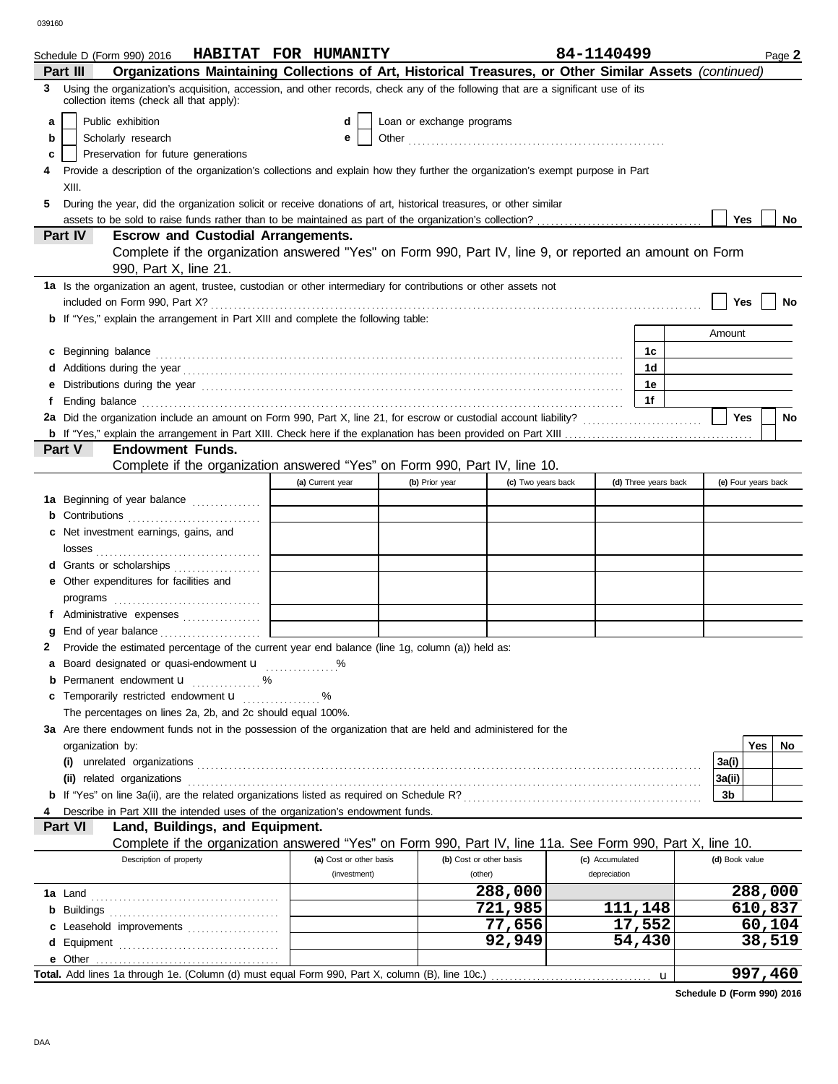|        | Schedule D (Form 990) 2016 HABITAT FOR HUMANITY<br>Organizations Maintaining Collections of Art, Historical Treasures, or Other Similar Assets (continued)<br>Part III                                                               |                         |                           |                         | 84-1140499      |                      |                | Page 2              |
|--------|--------------------------------------------------------------------------------------------------------------------------------------------------------------------------------------------------------------------------------------|-------------------------|---------------------------|-------------------------|-----------------|----------------------|----------------|---------------------|
|        | 3 Using the organization's acquisition, accession, and other records, check any of the following that are a significant use of its                                                                                                   |                         |                           |                         |                 |                      |                |                     |
|        | collection items (check all that apply):                                                                                                                                                                                             |                         |                           |                         |                 |                      |                |                     |
| a      | Public exhibition                                                                                                                                                                                                                    | d                       | Loan or exchange programs |                         |                 |                      |                |                     |
| b      | Scholarly research<br>Preservation for future generations                                                                                                                                                                            | е                       |                           |                         |                 |                      |                |                     |
| c<br>4 | Provide a description of the organization's collections and explain how they further the organization's exempt purpose in Part                                                                                                       |                         |                           |                         |                 |                      |                |                     |
|        | XIII.                                                                                                                                                                                                                                |                         |                           |                         |                 |                      |                |                     |
| 5      | During the year, did the organization solicit or receive donations of art, historical treasures, or other similar                                                                                                                    |                         |                           |                         |                 |                      |                |                     |
|        |                                                                                                                                                                                                                                      |                         |                           |                         |                 |                      | Yes            | No                  |
|        | Part IV<br><b>Escrow and Custodial Arrangements.</b>                                                                                                                                                                                 |                         |                           |                         |                 |                      |                |                     |
|        | Complete if the organization answered "Yes" on Form 990, Part IV, line 9, or reported an amount on Form                                                                                                                              |                         |                           |                         |                 |                      |                |                     |
|        | 990, Part X, line 21.                                                                                                                                                                                                                |                         |                           |                         |                 |                      |                |                     |
|        | 1a Is the organization an agent, trustee, custodian or other intermediary for contributions or other assets not                                                                                                                      |                         |                           |                         |                 |                      |                |                     |
|        |                                                                                                                                                                                                                                      |                         |                           |                         |                 |                      | Yes            | No                  |
|        | <b>b</b> If "Yes," explain the arrangement in Part XIII and complete the following table:                                                                                                                                            |                         |                           |                         |                 |                      |                |                     |
|        |                                                                                                                                                                                                                                      |                         |                           |                         |                 |                      | Amount         |                     |
|        | c Beginning balance <b>contract the contract of the contract of the contract of the contract of the contract of the contract of the contract of the contract of the contract of the contract of the contract of the contract of </b> |                         |                           |                         |                 | 1c                   |                |                     |
|        |                                                                                                                                                                                                                                      |                         |                           |                         |                 | 1d                   |                |                     |
|        |                                                                                                                                                                                                                                      |                         |                           |                         |                 | 1е                   |                |                     |
| f      |                                                                                                                                                                                                                                      |                         |                           |                         |                 | 1f                   |                |                     |
|        |                                                                                                                                                                                                                                      |                         |                           |                         |                 |                      | <b>Yes</b>     | No                  |
|        | <b>Endowment Funds.</b><br><b>Part V</b>                                                                                                                                                                                             |                         |                           |                         |                 |                      |                |                     |
|        | Complete if the organization answered "Yes" on Form 990, Part IV, line 10.                                                                                                                                                           |                         |                           |                         |                 |                      |                |                     |
|        |                                                                                                                                                                                                                                      | (a) Current year        | (b) Prior year            | (c) Two years back      |                 | (d) Three years back |                | (e) Four years back |
|        | 1a Beginning of year balance                                                                                                                                                                                                         |                         |                           |                         |                 |                      |                |                     |
|        |                                                                                                                                                                                                                                      |                         |                           |                         |                 |                      |                |                     |
|        | c Net investment earnings, gains, and                                                                                                                                                                                                |                         |                           |                         |                 |                      |                |                     |
|        |                                                                                                                                                                                                                                      |                         |                           |                         |                 |                      |                |                     |
|        | d Grants or scholarships                                                                                                                                                                                                             |                         |                           |                         |                 |                      |                |                     |
|        | e Other expenditures for facilities and                                                                                                                                                                                              |                         |                           |                         |                 |                      |                |                     |
|        |                                                                                                                                                                                                                                      |                         |                           |                         |                 |                      |                |                     |
|        | f Administrative expenses                                                                                                                                                                                                            |                         |                           |                         |                 |                      |                |                     |
|        |                                                                                                                                                                                                                                      |                         |                           |                         |                 |                      |                |                     |
|        | 2 Provide the estimated percentage of the current year end balance (line 1g, column (a)) held as:                                                                                                                                    |                         |                           |                         |                 |                      |                |                     |
|        | a Board designated or quasi-endowment <b>u</b> %                                                                                                                                                                                     |                         |                           |                         |                 |                      |                |                     |
|        | b Permanent endowment <b>u</b> %                                                                                                                                                                                                     |                         |                           |                         |                 |                      |                |                     |
|        | c Temporarily restricted endowment <b>u</b> %                                                                                                                                                                                        |                         |                           |                         |                 |                      |                |                     |
|        | The percentages on lines 2a, 2b, and 2c should equal 100%.                                                                                                                                                                           |                         |                           |                         |                 |                      |                |                     |
|        | 3a Are there endowment funds not in the possession of the organization that are held and administered for the                                                                                                                        |                         |                           |                         |                 |                      |                |                     |
|        | organization by:                                                                                                                                                                                                                     |                         |                           |                         |                 |                      |                | Yes<br>No           |
|        |                                                                                                                                                                                                                                      |                         |                           |                         |                 |                      | 3a(i)          |                     |
|        |                                                                                                                                                                                                                                      |                         |                           |                         |                 |                      | 3a(ii)         |                     |
|        |                                                                                                                                                                                                                                      |                         |                           |                         |                 |                      | 3b             |                     |
| 4      | Describe in Part XIII the intended uses of the organization's endowment funds.<br>Part VI<br>Land, Buildings, and Equipment.                                                                                                         |                         |                           |                         |                 |                      |                |                     |
|        | Complete if the organization answered "Yes" on Form 990, Part IV, line 11a. See Form 990, Part X, line 10.                                                                                                                           |                         |                           |                         |                 |                      |                |                     |
|        | Description of property                                                                                                                                                                                                              | (a) Cost or other basis |                           | (b) Cost or other basis | (c) Accumulated |                      | (d) Book value |                     |
|        |                                                                                                                                                                                                                                      | (investment)            |                           | (other)                 | depreciation    |                      |                |                     |
|        |                                                                                                                                                                                                                                      |                         |                           | 288,000                 |                 |                      |                | 288,000             |
|        |                                                                                                                                                                                                                                      |                         |                           | 721,985                 |                 | 111,148              |                | 610,837             |
|        | c Leasehold improvements                                                                                                                                                                                                             |                         |                           | 77,656                  |                 | 17,552               |                | 60,104              |
|        |                                                                                                                                                                                                                                      |                         |                           | 92,949                  |                 | 54,430               |                | 38,519              |
|        |                                                                                                                                                                                                                                      |                         |                           |                         |                 |                      |                |                     |
|        |                                                                                                                                                                                                                                      |                         |                           |                         |                 | $\mathbf u$          |                | 997,460             |

**Schedule D (Form 990) 2016**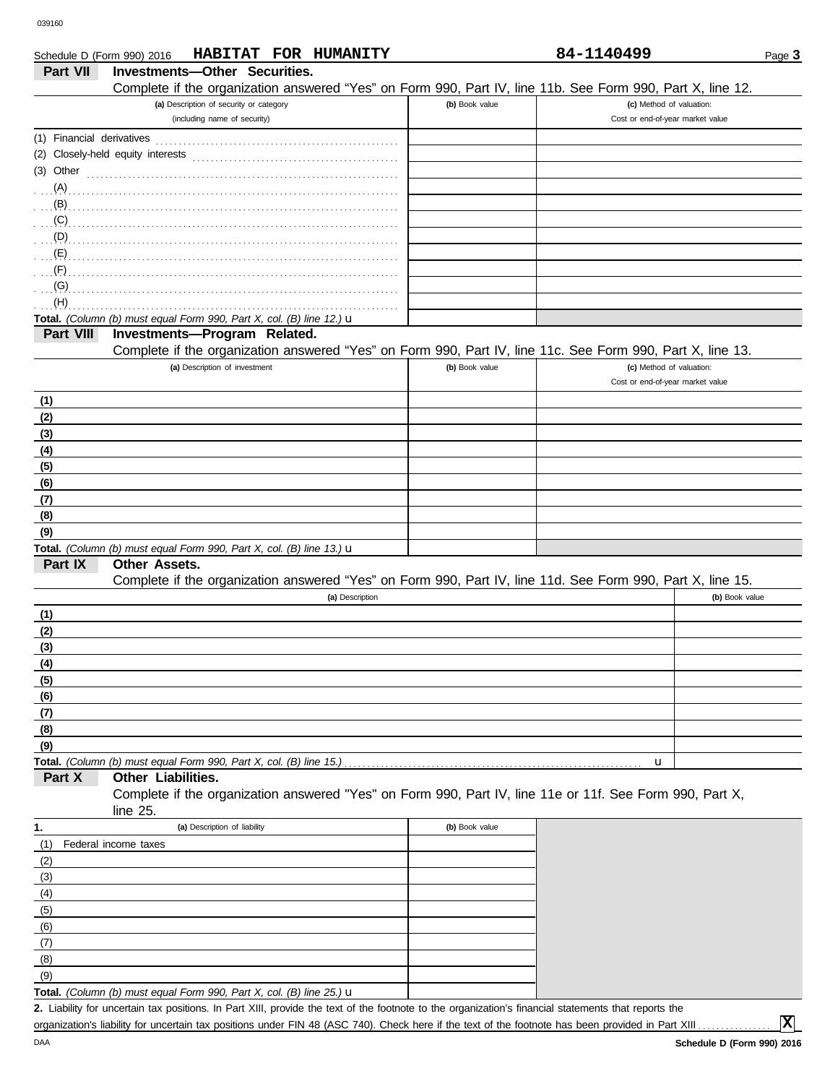| Investments-Other Securities.<br>Part VII<br>Complete if the organization answered "Yes" on Form 990, Part IV, line 11b. See Form 990, Part X, line 12.<br>(a) Description of security or category<br>(b) Book value<br>(c) Method of valuation:<br>(including name of security)<br>Cost or end-of-year market value<br>(1) Financial derivatives<br>(2) Closely-held equity interests<br>(3) Other<br>$(A)$ .<br>(B)<br>(C)<br>(D)<br>$\cdot$ (E)<br>(F)<br>(G)<br>(H)<br>Total. (Column (b) must equal Form 990, Part X, col. (B) line 12.) $\mathbf u$<br>Investments-Program Related.<br>Part VIII<br>Complete if the organization answered "Yes" on Form 990, Part IV, line 11c. See Form 990, Part X, line 13.<br>(a) Description of investment<br>(b) Book value<br>(c) Method of valuation:<br>Cost or end-of-year market value<br>(1)<br>(2)<br>(3)<br>(4)<br>(5)<br>(6)<br>(7)<br>(8)<br>(9)<br>Total. (Column (b) must equal Form 990, Part X, col. (B) line 13.) $\mathbf u$<br>Part IX<br><b>Other Assets.</b><br>Complete if the organization answered "Yes" on Form 990, Part IV, line 11d. See Form 990, Part X, line 15.<br>(a) Description<br>(b) Book value<br>(1) | HABITAT FOR HUMANITY<br>Schedule D (Form 990) 2016 | 84-1140499 | Page 3 |
|---------------------------------------------------------------------------------------------------------------------------------------------------------------------------------------------------------------------------------------------------------------------------------------------------------------------------------------------------------------------------------------------------------------------------------------------------------------------------------------------------------------------------------------------------------------------------------------------------------------------------------------------------------------------------------------------------------------------------------------------------------------------------------------------------------------------------------------------------------------------------------------------------------------------------------------------------------------------------------------------------------------------------------------------------------------------------------------------------------------------------------------------------------------------------------------|----------------------------------------------------|------------|--------|
|                                                                                                                                                                                                                                                                                                                                                                                                                                                                                                                                                                                                                                                                                                                                                                                                                                                                                                                                                                                                                                                                                                                                                                                       |                                                    |            |        |
|                                                                                                                                                                                                                                                                                                                                                                                                                                                                                                                                                                                                                                                                                                                                                                                                                                                                                                                                                                                                                                                                                                                                                                                       |                                                    |            |        |
|                                                                                                                                                                                                                                                                                                                                                                                                                                                                                                                                                                                                                                                                                                                                                                                                                                                                                                                                                                                                                                                                                                                                                                                       |                                                    |            |        |
|                                                                                                                                                                                                                                                                                                                                                                                                                                                                                                                                                                                                                                                                                                                                                                                                                                                                                                                                                                                                                                                                                                                                                                                       |                                                    |            |        |
|                                                                                                                                                                                                                                                                                                                                                                                                                                                                                                                                                                                                                                                                                                                                                                                                                                                                                                                                                                                                                                                                                                                                                                                       |                                                    |            |        |
|                                                                                                                                                                                                                                                                                                                                                                                                                                                                                                                                                                                                                                                                                                                                                                                                                                                                                                                                                                                                                                                                                                                                                                                       |                                                    |            |        |
|                                                                                                                                                                                                                                                                                                                                                                                                                                                                                                                                                                                                                                                                                                                                                                                                                                                                                                                                                                                                                                                                                                                                                                                       |                                                    |            |        |
|                                                                                                                                                                                                                                                                                                                                                                                                                                                                                                                                                                                                                                                                                                                                                                                                                                                                                                                                                                                                                                                                                                                                                                                       |                                                    |            |        |
|                                                                                                                                                                                                                                                                                                                                                                                                                                                                                                                                                                                                                                                                                                                                                                                                                                                                                                                                                                                                                                                                                                                                                                                       |                                                    |            |        |
|                                                                                                                                                                                                                                                                                                                                                                                                                                                                                                                                                                                                                                                                                                                                                                                                                                                                                                                                                                                                                                                                                                                                                                                       |                                                    |            |        |
|                                                                                                                                                                                                                                                                                                                                                                                                                                                                                                                                                                                                                                                                                                                                                                                                                                                                                                                                                                                                                                                                                                                                                                                       |                                                    |            |        |
|                                                                                                                                                                                                                                                                                                                                                                                                                                                                                                                                                                                                                                                                                                                                                                                                                                                                                                                                                                                                                                                                                                                                                                                       |                                                    |            |        |
|                                                                                                                                                                                                                                                                                                                                                                                                                                                                                                                                                                                                                                                                                                                                                                                                                                                                                                                                                                                                                                                                                                                                                                                       |                                                    |            |        |
|                                                                                                                                                                                                                                                                                                                                                                                                                                                                                                                                                                                                                                                                                                                                                                                                                                                                                                                                                                                                                                                                                                                                                                                       |                                                    |            |        |
|                                                                                                                                                                                                                                                                                                                                                                                                                                                                                                                                                                                                                                                                                                                                                                                                                                                                                                                                                                                                                                                                                                                                                                                       |                                                    |            |        |
|                                                                                                                                                                                                                                                                                                                                                                                                                                                                                                                                                                                                                                                                                                                                                                                                                                                                                                                                                                                                                                                                                                                                                                                       |                                                    |            |        |
|                                                                                                                                                                                                                                                                                                                                                                                                                                                                                                                                                                                                                                                                                                                                                                                                                                                                                                                                                                                                                                                                                                                                                                                       |                                                    |            |        |
|                                                                                                                                                                                                                                                                                                                                                                                                                                                                                                                                                                                                                                                                                                                                                                                                                                                                                                                                                                                                                                                                                                                                                                                       |                                                    |            |        |
|                                                                                                                                                                                                                                                                                                                                                                                                                                                                                                                                                                                                                                                                                                                                                                                                                                                                                                                                                                                                                                                                                                                                                                                       |                                                    |            |        |
|                                                                                                                                                                                                                                                                                                                                                                                                                                                                                                                                                                                                                                                                                                                                                                                                                                                                                                                                                                                                                                                                                                                                                                                       |                                                    |            |        |
|                                                                                                                                                                                                                                                                                                                                                                                                                                                                                                                                                                                                                                                                                                                                                                                                                                                                                                                                                                                                                                                                                                                                                                                       |                                                    |            |        |
|                                                                                                                                                                                                                                                                                                                                                                                                                                                                                                                                                                                                                                                                                                                                                                                                                                                                                                                                                                                                                                                                                                                                                                                       |                                                    |            |        |
|                                                                                                                                                                                                                                                                                                                                                                                                                                                                                                                                                                                                                                                                                                                                                                                                                                                                                                                                                                                                                                                                                                                                                                                       |                                                    |            |        |
|                                                                                                                                                                                                                                                                                                                                                                                                                                                                                                                                                                                                                                                                                                                                                                                                                                                                                                                                                                                                                                                                                                                                                                                       |                                                    |            |        |
|                                                                                                                                                                                                                                                                                                                                                                                                                                                                                                                                                                                                                                                                                                                                                                                                                                                                                                                                                                                                                                                                                                                                                                                       |                                                    |            |        |
|                                                                                                                                                                                                                                                                                                                                                                                                                                                                                                                                                                                                                                                                                                                                                                                                                                                                                                                                                                                                                                                                                                                                                                                       |                                                    |            |        |
|                                                                                                                                                                                                                                                                                                                                                                                                                                                                                                                                                                                                                                                                                                                                                                                                                                                                                                                                                                                                                                                                                                                                                                                       |                                                    |            |        |
|                                                                                                                                                                                                                                                                                                                                                                                                                                                                                                                                                                                                                                                                                                                                                                                                                                                                                                                                                                                                                                                                                                                                                                                       |                                                    |            |        |
|                                                                                                                                                                                                                                                                                                                                                                                                                                                                                                                                                                                                                                                                                                                                                                                                                                                                                                                                                                                                                                                                                                                                                                                       |                                                    |            |        |
|                                                                                                                                                                                                                                                                                                                                                                                                                                                                                                                                                                                                                                                                                                                                                                                                                                                                                                                                                                                                                                                                                                                                                                                       |                                                    |            |        |
|                                                                                                                                                                                                                                                                                                                                                                                                                                                                                                                                                                                                                                                                                                                                                                                                                                                                                                                                                                                                                                                                                                                                                                                       |                                                    |            |        |
|                                                                                                                                                                                                                                                                                                                                                                                                                                                                                                                                                                                                                                                                                                                                                                                                                                                                                                                                                                                                                                                                                                                                                                                       |                                                    |            |        |
|                                                                                                                                                                                                                                                                                                                                                                                                                                                                                                                                                                                                                                                                                                                                                                                                                                                                                                                                                                                                                                                                                                                                                                                       |                                                    |            |        |
| (2)                                                                                                                                                                                                                                                                                                                                                                                                                                                                                                                                                                                                                                                                                                                                                                                                                                                                                                                                                                                                                                                                                                                                                                                   |                                                    |            |        |
| (3)                                                                                                                                                                                                                                                                                                                                                                                                                                                                                                                                                                                                                                                                                                                                                                                                                                                                                                                                                                                                                                                                                                                                                                                   |                                                    |            |        |
| <u>(4)</u>                                                                                                                                                                                                                                                                                                                                                                                                                                                                                                                                                                                                                                                                                                                                                                                                                                                                                                                                                                                                                                                                                                                                                                            |                                                    |            |        |
| (5)                                                                                                                                                                                                                                                                                                                                                                                                                                                                                                                                                                                                                                                                                                                                                                                                                                                                                                                                                                                                                                                                                                                                                                                   |                                                    |            |        |
| (6)                                                                                                                                                                                                                                                                                                                                                                                                                                                                                                                                                                                                                                                                                                                                                                                                                                                                                                                                                                                                                                                                                                                                                                                   |                                                    |            |        |
| (7)                                                                                                                                                                                                                                                                                                                                                                                                                                                                                                                                                                                                                                                                                                                                                                                                                                                                                                                                                                                                                                                                                                                                                                                   |                                                    |            |        |
| (8)                                                                                                                                                                                                                                                                                                                                                                                                                                                                                                                                                                                                                                                                                                                                                                                                                                                                                                                                                                                                                                                                                                                                                                                   |                                                    |            |        |
| (9)                                                                                                                                                                                                                                                                                                                                                                                                                                                                                                                                                                                                                                                                                                                                                                                                                                                                                                                                                                                                                                                                                                                                                                                   |                                                    |            |        |
| Total. (Column (b) must equal Form 990, Part X, col. (B) line 15.)<br>u                                                                                                                                                                                                                                                                                                                                                                                                                                                                                                                                                                                                                                                                                                                                                                                                                                                                                                                                                                                                                                                                                                               |                                                    |            |        |
| Other Liabilities.<br>Part X                                                                                                                                                                                                                                                                                                                                                                                                                                                                                                                                                                                                                                                                                                                                                                                                                                                                                                                                                                                                                                                                                                                                                          |                                                    |            |        |
| Complete if the organization answered "Yes" on Form 990, Part IV, line 11e or 11f. See Form 990, Part X,                                                                                                                                                                                                                                                                                                                                                                                                                                                                                                                                                                                                                                                                                                                                                                                                                                                                                                                                                                                                                                                                              |                                                    |            |        |
| line 25.                                                                                                                                                                                                                                                                                                                                                                                                                                                                                                                                                                                                                                                                                                                                                                                                                                                                                                                                                                                                                                                                                                                                                                              |                                                    |            |        |
| (a) Description of liability<br>(b) Book value<br>1.                                                                                                                                                                                                                                                                                                                                                                                                                                                                                                                                                                                                                                                                                                                                                                                                                                                                                                                                                                                                                                                                                                                                  |                                                    |            |        |
| (1)<br>Federal income taxes                                                                                                                                                                                                                                                                                                                                                                                                                                                                                                                                                                                                                                                                                                                                                                                                                                                                                                                                                                                                                                                                                                                                                           |                                                    |            |        |
| (2)                                                                                                                                                                                                                                                                                                                                                                                                                                                                                                                                                                                                                                                                                                                                                                                                                                                                                                                                                                                                                                                                                                                                                                                   |                                                    |            |        |
| (3)                                                                                                                                                                                                                                                                                                                                                                                                                                                                                                                                                                                                                                                                                                                                                                                                                                                                                                                                                                                                                                                                                                                                                                                   |                                                    |            |        |
| (4)                                                                                                                                                                                                                                                                                                                                                                                                                                                                                                                                                                                                                                                                                                                                                                                                                                                                                                                                                                                                                                                                                                                                                                                   |                                                    |            |        |
| (5)                                                                                                                                                                                                                                                                                                                                                                                                                                                                                                                                                                                                                                                                                                                                                                                                                                                                                                                                                                                                                                                                                                                                                                                   |                                                    |            |        |
| (6)<br>(7)                                                                                                                                                                                                                                                                                                                                                                                                                                                                                                                                                                                                                                                                                                                                                                                                                                                                                                                                                                                                                                                                                                                                                                            |                                                    |            |        |

Liability for uncertain tax positions. In Part XIII, provide the text of the footnote to the organization's financial statements that reports the **2.** organization's liability for uncertain tax positions under FIN 48 (ASC 740). Check here if the text of the footnote has been provided in Part XIII .

**X**

(8)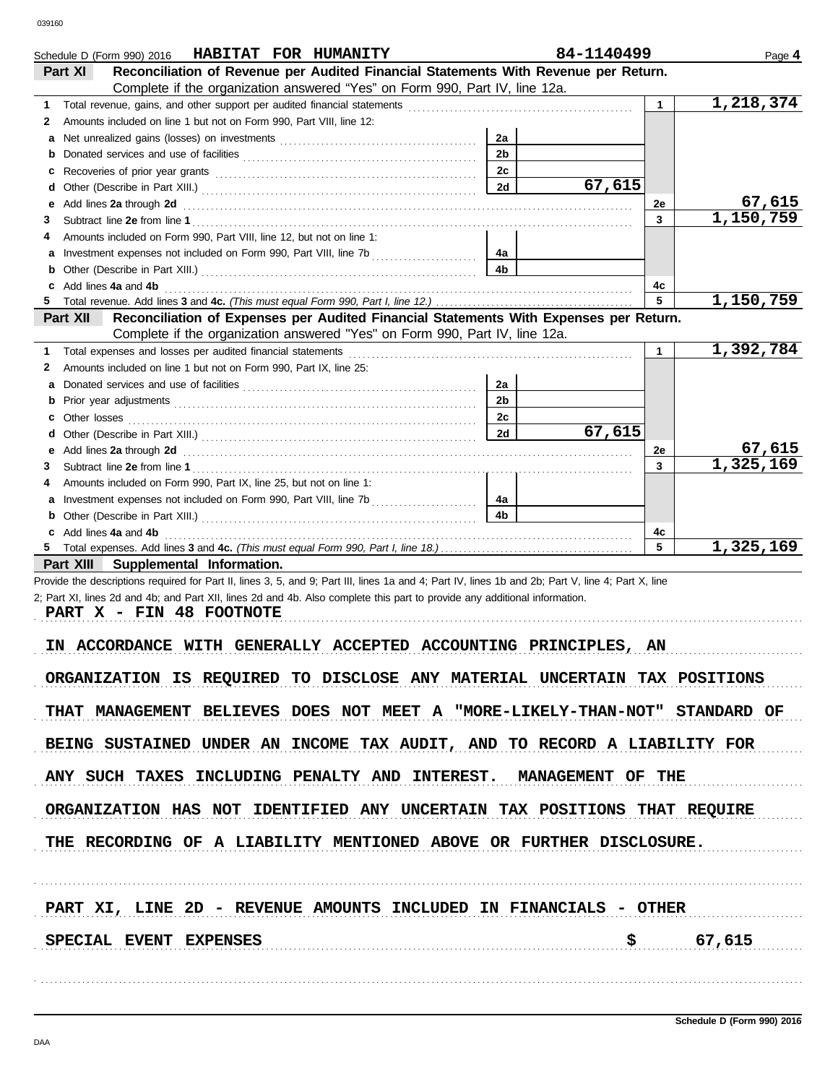| Schedule D (Form 990) 2016 HABITAT FOR HUMANITY                                                                                                                                                                                          |                      | 84-1140499 |              | Page 4                    |
|------------------------------------------------------------------------------------------------------------------------------------------------------------------------------------------------------------------------------------------|----------------------|------------|--------------|---------------------------|
| Reconciliation of Revenue per Audited Financial Statements With Revenue per Return.<br>Part XI                                                                                                                                           |                      |            |              |                           |
| Complete if the organization answered "Yes" on Form 990, Part IV, line 12a.                                                                                                                                                              |                      |            |              |                           |
| 1                                                                                                                                                                                                                                        |                      |            | $\mathbf{1}$ | $\overline{1}$ , 218, 374 |
| Amounts included on line 1 but not on Form 990, Part VIII, line 12:<br>2                                                                                                                                                                 |                      |            |              |                           |
| а                                                                                                                                                                                                                                        | 2a<br>2 <sub>b</sub> |            |              |                           |
| b                                                                                                                                                                                                                                        | 2 <sub>c</sub>       |            |              |                           |
| c                                                                                                                                                                                                                                        | 2d                   | 67,615     |              |                           |
| d                                                                                                                                                                                                                                        |                      |            |              | 67,615                    |
| Add lines 2a through 2d [11] March 2014 [12] March 2014 [12] March 2014 [12] March 2014 [12] March 2014 [12] March 2014 [12] March 2014 [12] March 2014 [12] March 2014 [12] March 2014 [12] March 2014 [12] March 2014 [12] M<br>е<br>3 |                      |            | 2e<br>3      | 1,150,759                 |
| Amounts included on Form 990, Part VIII, line 12, but not on line 1:<br>4                                                                                                                                                                |                      |            |              |                           |
|                                                                                                                                                                                                                                          | 4a                   |            |              |                           |
| b                                                                                                                                                                                                                                        | 4b                   |            |              |                           |
| c Add lines 4a and 4b                                                                                                                                                                                                                    |                      |            | 4c           |                           |
| 5.                                                                                                                                                                                                                                       |                      |            | 5            | 1,150,759                 |
| Reconciliation of Expenses per Audited Financial Statements With Expenses per Return.<br>Part XII                                                                                                                                        |                      |            |              |                           |
| Complete if the organization answered "Yes" on Form 990, Part IV, line 12a.                                                                                                                                                              |                      |            |              |                           |
| 1.                                                                                                                                                                                                                                       |                      |            | 1            | 1,392,784                 |
| Amounts included on line 1 but not on Form 990, Part IX, line 25:<br>2                                                                                                                                                                   |                      |            |              |                           |
| а                                                                                                                                                                                                                                        | 2a                   |            |              |                           |
| b                                                                                                                                                                                                                                        | 2 <sub>b</sub>       |            |              |                           |
|                                                                                                                                                                                                                                          | 2c                   |            |              |                           |
| d                                                                                                                                                                                                                                        | 2d                   | 67,615     |              |                           |
| Add lines 2a through 2d [11] Additional Property and Property and Property and Property and Property and Property and Property and Property and Property and Property and Property and Property and Property and Property and<br>е       |                      |            | 2e           | 67,615                    |
| 3                                                                                                                                                                                                                                        |                      |            | 3            | 1,325,169                 |
| Amounts included on Form 990, Part IX, line 25, but not on line 1:<br>4                                                                                                                                                                  |                      |            |              |                           |
|                                                                                                                                                                                                                                          | 4a                   |            |              |                           |
| b                                                                                                                                                                                                                                        | 4 <sub>b</sub>       |            |              |                           |
| c Add lines 4a and 4b                                                                                                                                                                                                                    |                      |            | 4с           |                           |
| 5                                                                                                                                                                                                                                        |                      |            | 5            | 1,325,169                 |
| Part XIII Supplemental Information.                                                                                                                                                                                                      |                      |            |              |                           |
| Provide the descriptions required for Part II, lines 3, 5, and 9; Part III, lines 1a and 4; Part IV, lines 1b and 2b; Part V, line 4; Part X, line                                                                                       |                      |            |              |                           |
| 2; Part XI, lines 2d and 4b; and Part XII, lines 2d and 4b. Also complete this part to provide any additional information.                                                                                                               |                      |            |              |                           |
| PART X - FIN 48 FOOTNOTE                                                                                                                                                                                                                 |                      |            |              |                           |
|                                                                                                                                                                                                                                          |                      |            |              |                           |
| IN ACCORDANCE WITH GENERALLY ACCEPTED ACCOUNTING PRINCIPLES, AN                                                                                                                                                                          |                      |            |              |                           |
|                                                                                                                                                                                                                                          |                      |            |              |                           |
| ORGANIZATION IS REQUIRED TO DISCLOSE ANY MATERIAL UNCERTAIN TAX POSITIONS                                                                                                                                                                |                      |            |              |                           |
|                                                                                                                                                                                                                                          |                      |            |              |                           |
| THAT MANAGEMENT BELIEVES DOES NOT MEET A "MORE-LIKELY-THAN-NOT" STANDARD OF                                                                                                                                                              |                      |            |              |                           |
|                                                                                                                                                                                                                                          |                      |            |              |                           |
| BEING SUSTAINED UNDER AN INCOME TAX AUDIT, AND TO RECORD A LIABILITY FOR                                                                                                                                                                 |                      |            |              |                           |
|                                                                                                                                                                                                                                          |                      |            |              |                           |
| ANY SUCH TAXES INCLUDING PENALTY AND INTEREST. MANAGEMENT OF THE                                                                                                                                                                         |                      |            |              |                           |
|                                                                                                                                                                                                                                          |                      |            |              |                           |
| ORGANIZATION HAS NOT IDENTIFIED ANY UNCERTAIN TAX POSITIONS THAT REQUIRE                                                                                                                                                                 |                      |            |              |                           |
| THE RECORDING OF A LIABILITY MENTIONED ABOVE OR FURTHER DISCLOSURE.                                                                                                                                                                      |                      |            |              |                           |
|                                                                                                                                                                                                                                          |                      |            |              |                           |
|                                                                                                                                                                                                                                          |                      |            |              |                           |
|                                                                                                                                                                                                                                          |                      |            |              |                           |
| PART XI, LINE 2D - REVENUE AMOUNTS INCLUDED IN FINANCIALS - OTHER                                                                                                                                                                        |                      |            |              |                           |
|                                                                                                                                                                                                                                          |                      |            |              |                           |
| SPECIAL EVENT EXPENSES                                                                                                                                                                                                                   |                      |            |              | \$ 67,615                 |
|                                                                                                                                                                                                                                          |                      |            |              |                           |
|                                                                                                                                                                                                                                          |                      |            |              |                           |
|                                                                                                                                                                                                                                          |                      |            |              |                           |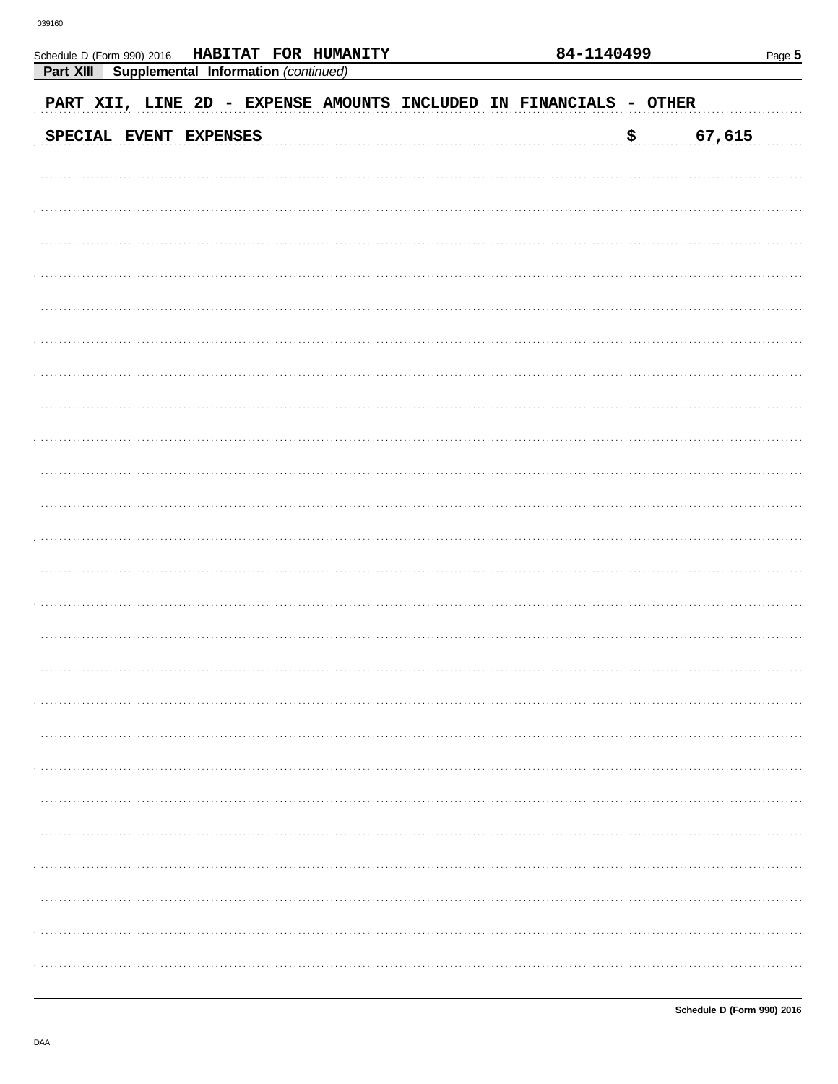| HABITAT FOR HUMANITY<br>Schedule D (Form 990) 2016                 | 84-1140499 | Page 5 |
|--------------------------------------------------------------------|------------|--------|
| Part XIII Supplemental Information (continued)                     |            |        |
| PART XII, LINE 2D - EXPENSE AMOUNTS INCLUDED IN FINANCIALS - OTHER |            |        |
| SPECIAL EVENT EXPENSES                                             | ₿.         | 67,615 |
|                                                                    |            |        |
|                                                                    |            |        |
|                                                                    |            |        |
|                                                                    |            |        |
|                                                                    |            |        |
|                                                                    |            |        |
|                                                                    |            |        |
|                                                                    |            |        |
|                                                                    |            |        |
|                                                                    |            |        |
|                                                                    |            |        |
|                                                                    |            |        |
|                                                                    |            |        |
|                                                                    |            |        |
|                                                                    |            |        |
|                                                                    |            |        |
|                                                                    |            |        |
|                                                                    |            |        |
|                                                                    |            |        |
|                                                                    |            |        |
|                                                                    |            |        |
|                                                                    |            |        |
|                                                                    |            |        |
|                                                                    |            |        |

HABITAT FOR HUMANITY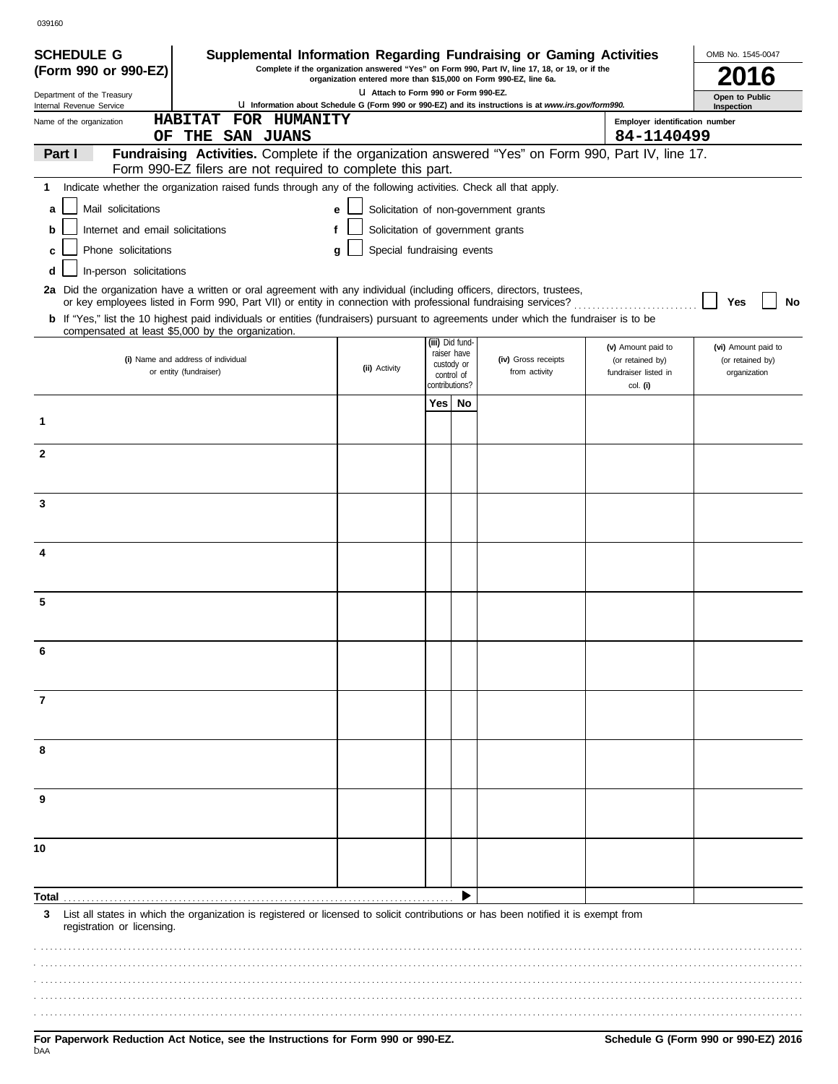| <b>SCHEDULE G</b>                                      | Supplemental Information Regarding Fundraising or Gaming Activities                                                                                                                        |                                        |                 |             |                                       |                                          | OMB No. 1545-0047                |
|--------------------------------------------------------|--------------------------------------------------------------------------------------------------------------------------------------------------------------------------------------------|----------------------------------------|-----------------|-------------|---------------------------------------|------------------------------------------|----------------------------------|
| (Form 990 or 990-EZ)                                   | Complete if the organization answered "Yes" on Form 990, Part IV, line 17, 18, or 19, or if the<br>organization entered more than \$15,000 on Form 990-EZ, line 6a.                        |                                        |                 |             |                                       |                                          |                                  |
| Department of the Treasury<br>Internal Revenue Service | LI Attach to Form 990 or Form 990-EZ.<br>U Information about Schedule G (Form 990 or 990-EZ) and its instructions is at www.irs.gov/form990.                                               |                                        |                 |             |                                       |                                          | Open to Public<br>Inspection     |
| Name of the organization                               | <b>HABITAT</b><br>FOR HUMANITY                                                                                                                                                             |                                        |                 |             |                                       | Employer identification number           |                                  |
| OF.                                                    | THE SAN JUANS                                                                                                                                                                              |                                        |                 |             |                                       | 84-1140499                               |                                  |
| Part I                                                 | Fundraising Activities. Complete if the organization answered "Yes" on Form 990, Part IV, line 17.<br>Form 990-EZ filers are not required to complete this part.                           |                                        |                 |             |                                       |                                          |                                  |
| 1                                                      | Indicate whether the organization raised funds through any of the following activities. Check all that apply.                                                                              |                                        |                 |             |                                       |                                          |                                  |
| Mail solicitations<br>a                                |                                                                                                                                                                                            | e                                      |                 |             | Solicitation of non-government grants |                                          |                                  |
| Internet and email solicitations<br>b                  |                                                                                                                                                                                            | Solicitation of government grants<br>f |                 |             |                                       |                                          |                                  |
| Phone solicitations                                    |                                                                                                                                                                                            | Special fundraising events<br>a        |                 |             |                                       |                                          |                                  |
| In-person solicitations<br>d                           |                                                                                                                                                                                            |                                        |                 |             |                                       |                                          |                                  |
|                                                        | 2a Did the organization have a written or oral agreement with any individual (including officers, directors, trustees,                                                                     |                                        |                 |             |                                       |                                          |                                  |
|                                                        | or key employees listed in Form 990, Part VII) or entity in connection with professional fundraising services?                                                                             |                                        |                 |             |                                       |                                          | No<br>Yes                        |
|                                                        | b If "Yes," list the 10 highest paid individuals or entities (fundraisers) pursuant to agreements under which the fundraiser is to be<br>compensated at least \$5,000 by the organization. |                                        |                 |             |                                       |                                          |                                  |
|                                                        |                                                                                                                                                                                            |                                        | (iii) Did fund- | raiser have |                                       | (v) Amount paid to                       | (vi) Amount paid to              |
|                                                        | (i) Name and address of individual<br>or entity (fundraiser)                                                                                                                               | (ii) Activity                          | custody or      | control of  | (iv) Gross receipts<br>from activity  | (or retained by)<br>fundraiser listed in | (or retained by)<br>organization |
|                                                        |                                                                                                                                                                                            |                                        | contributions?  |             |                                       | col. (i)                                 |                                  |
|                                                        |                                                                                                                                                                                            |                                        | Yes l           | No          |                                       |                                          |                                  |
| 1                                                      |                                                                                                                                                                                            |                                        |                 |             |                                       |                                          |                                  |
| $\mathbf{2}$                                           |                                                                                                                                                                                            |                                        |                 |             |                                       |                                          |                                  |
|                                                        |                                                                                                                                                                                            |                                        |                 |             |                                       |                                          |                                  |
|                                                        |                                                                                                                                                                                            |                                        |                 |             |                                       |                                          |                                  |
| 3                                                      |                                                                                                                                                                                            |                                        |                 |             |                                       |                                          |                                  |
|                                                        |                                                                                                                                                                                            |                                        |                 |             |                                       |                                          |                                  |
| 4                                                      |                                                                                                                                                                                            |                                        |                 |             |                                       |                                          |                                  |
|                                                        |                                                                                                                                                                                            |                                        |                 |             |                                       |                                          |                                  |
|                                                        |                                                                                                                                                                                            |                                        |                 |             |                                       |                                          |                                  |
| 5                                                      |                                                                                                                                                                                            |                                        |                 |             |                                       |                                          |                                  |
|                                                        |                                                                                                                                                                                            |                                        |                 |             |                                       |                                          |                                  |
|                                                        |                                                                                                                                                                                            |                                        |                 |             |                                       |                                          |                                  |
|                                                        |                                                                                                                                                                                            |                                        |                 |             |                                       |                                          |                                  |
| 7                                                      |                                                                                                                                                                                            |                                        |                 |             |                                       |                                          |                                  |
|                                                        |                                                                                                                                                                                            |                                        |                 |             |                                       |                                          |                                  |
|                                                        |                                                                                                                                                                                            |                                        |                 |             |                                       |                                          |                                  |
| 8                                                      |                                                                                                                                                                                            |                                        |                 |             |                                       |                                          |                                  |
|                                                        |                                                                                                                                                                                            |                                        |                 |             |                                       |                                          |                                  |
| 9                                                      |                                                                                                                                                                                            |                                        |                 |             |                                       |                                          |                                  |
|                                                        |                                                                                                                                                                                            |                                        |                 |             |                                       |                                          |                                  |
|                                                        |                                                                                                                                                                                            |                                        |                 |             |                                       |                                          |                                  |
| 10                                                     |                                                                                                                                                                                            |                                        |                 |             |                                       |                                          |                                  |
|                                                        |                                                                                                                                                                                            |                                        |                 |             |                                       |                                          |                                  |
| Total                                                  |                                                                                                                                                                                            |                                        |                 |             |                                       |                                          |                                  |
| 3<br>registration or licensing.                        | List all states in which the organization is registered or licensed to solicit contributions or has been notified it is exempt from                                                        |                                        |                 |             |                                       |                                          |                                  |
|                                                        |                                                                                                                                                                                            |                                        |                 |             |                                       |                                          |                                  |
|                                                        |                                                                                                                                                                                            |                                        |                 |             |                                       |                                          |                                  |
|                                                        |                                                                                                                                                                                            |                                        |                 |             |                                       |                                          |                                  |
|                                                        |                                                                                                                                                                                            |                                        |                 |             |                                       |                                          |                                  |
|                                                        |                                                                                                                                                                                            |                                        |                 |             |                                       |                                          |                                  |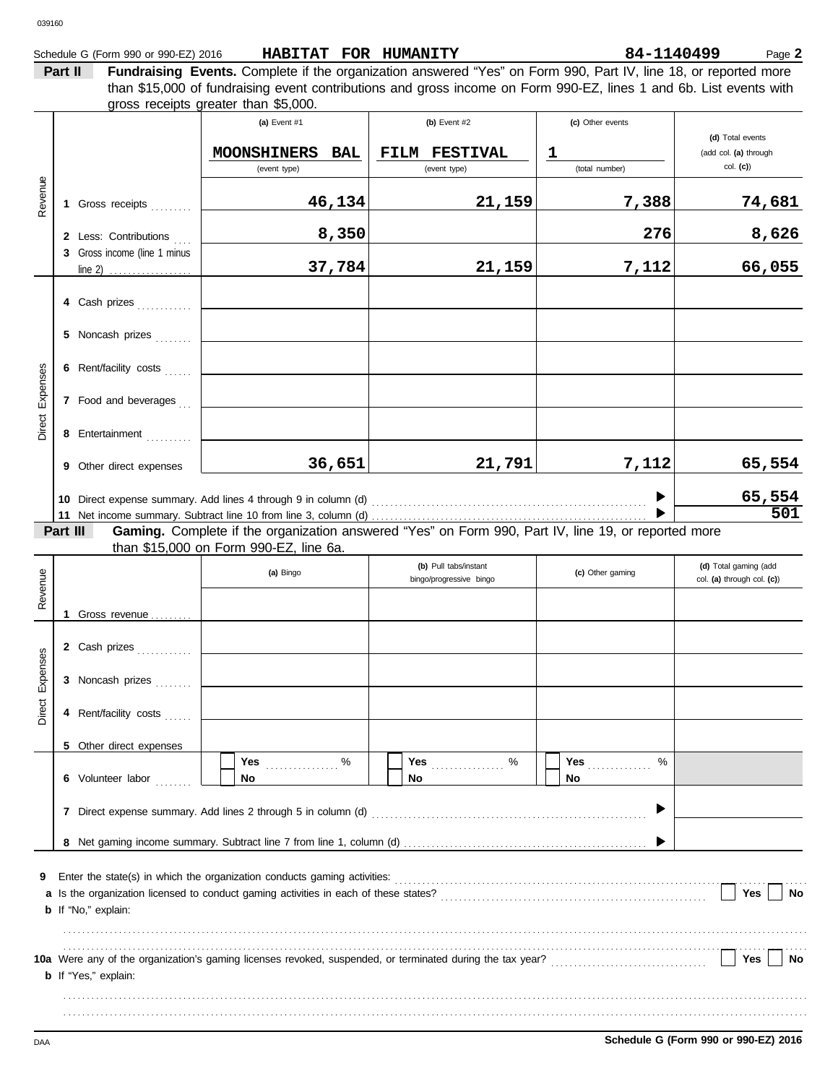| Schedule G (Form 990 or 990-EZ) 2016 | HABITAT FOR HUMANITY | 84-1140499 |
|--------------------------------------|----------------------|------------|
|                                      |                      |            |

84-1140499 Page 2

**Part II Fundraising Events.** Complete if the organization answered "Yes" on Form 990, Part IV, line 18, or reported more gross receipts greater than \$5,000. than \$15,000 of fundraising event contributions and gross income on Form 990-EZ, lines 1 and 6b. List events with

| Revenue         |                                         | 1 Gross receipts<br>2 Less: Contributions<br>3 Gross income (line 1 minus<br>$line 2)$<br>4 Cash prizes<br>5 Noncash prizes | (a) Event $#1$<br><b>MOONSHINERS</b><br>BAL<br>(event type)<br>46,134<br>8,350<br>37,784 | (b) Event $#2$<br><b>FILM FESTIVAL</b><br>(event type)<br>21,159<br>21,159                          | (c) Other events<br>1<br>(total number)<br>7,388<br>276<br>7,112 | (d) Total events<br>(add col. (a) through<br>$col.$ (c))<br>74,681<br>8,626<br>66,055 |  |  |  |
|-----------------|-----------------------------------------|-----------------------------------------------------------------------------------------------------------------------------|------------------------------------------------------------------------------------------|-----------------------------------------------------------------------------------------------------|------------------------------------------------------------------|---------------------------------------------------------------------------------------|--|--|--|
| Direct Expenses |                                         | 6 Rent/facility costs<br>7 Food and beverages<br>8 Entertainment<br>9 Other direct expenses                                 | 36,651                                                                                   | 21,791                                                                                              | 7,112                                                            | 65,554<br>65,554<br>501                                                               |  |  |  |
|                 | Part III                                |                                                                                                                             | than \$15,000 on Form 990-EZ, line 6a.                                                   | Gaming. Complete if the organization answered "Yes" on Form 990, Part IV, line 19, or reported more |                                                                  |                                                                                       |  |  |  |
| Revenue         |                                         | 1 Gross revenue                                                                                                             | (a) Bingo                                                                                | (b) Pull tabs/instant<br>bingo/progressive bingo                                                    | (c) Other gaming                                                 | (d) Total gaming (add<br>col. (a) through col. (c))                                   |  |  |  |
| Direct Expenses |                                         | 2 Cash prizes<br>3 Noncash prizes<br>4 Rent/facility costs                                                                  |                                                                                          |                                                                                                     |                                                                  |                                                                                       |  |  |  |
|                 |                                         | 5 Other direct expenses<br>6 Volunteer labor                                                                                | No<br>7 Direct expense summary. Add lines 2 through 5 in column (d)                      | No                                                                                                  | <b>Yes</b><br>%<br>No.                                           |                                                                                       |  |  |  |
| 9               | Yes<br>No<br><b>b</b> If "No," explain: |                                                                                                                             |                                                                                          |                                                                                                     |                                                                  |                                                                                       |  |  |  |
|                 |                                         | <b>b</b> If "Yes," explain:                                                                                                 |                                                                                          |                                                                                                     |                                                                  | Yes<br>No                                                                             |  |  |  |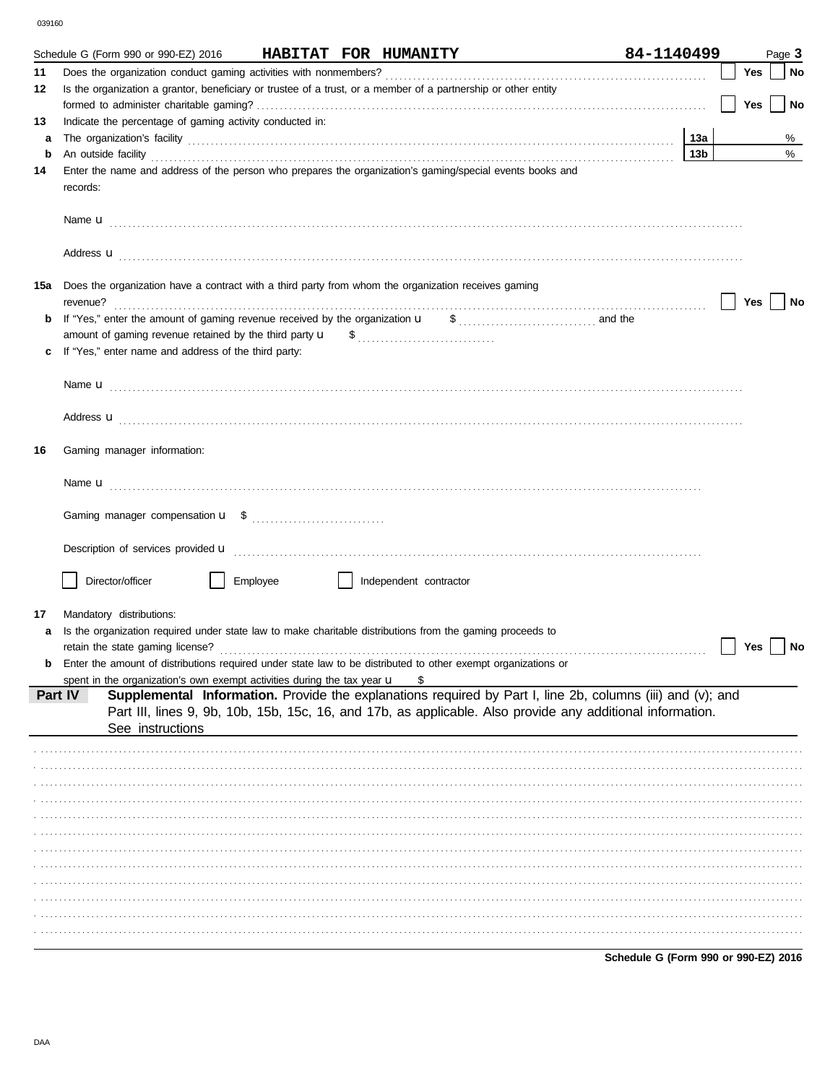|     | Schedule G (Form 990 or 990-EZ) 2016<br>HABITAT FOR HUMANITY                                                                                                                                                                       | 84-1140499                           |            | Page 3 |
|-----|------------------------------------------------------------------------------------------------------------------------------------------------------------------------------------------------------------------------------------|--------------------------------------|------------|--------|
| 11  |                                                                                                                                                                                                                                    |                                      | Yes        | No     |
| 12  | Is the organization a grantor, beneficiary or trustee of a trust, or a member of a partnership or other entity                                                                                                                     |                                      | <b>Yes</b> | No     |
| 13  | Indicate the percentage of gaming activity conducted in:                                                                                                                                                                           |                                      |            |        |
| a   |                                                                                                                                                                                                                                    | 13а                                  |            | %      |
| b   | An outside facility <b>contained an activity of the facility contained and activity of the contained and activity of the contained and activity of the contained activity of the contained activity of the contained activity </b> | 13 <sub>b</sub>                      |            | $\%$   |
| 14  | Enter the name and address of the person who prepares the organization's gaming/special events books and<br>records:                                                                                                               |                                      |            |        |
|     |                                                                                                                                                                                                                                    |                                      |            |        |
|     | Address <b>u</b>                                                                                                                                                                                                                   |                                      |            |        |
| 15a | Does the organization have a contract with a third party from whom the organization receives gaming<br>revenue?                                                                                                                    |                                      | Yes        | No     |
| b   |                                                                                                                                                                                                                                    |                                      |            |        |
|     |                                                                                                                                                                                                                                    |                                      |            |        |
|     | If "Yes," enter name and address of the third party:                                                                                                                                                                               |                                      |            |        |
|     |                                                                                                                                                                                                                                    |                                      |            |        |
|     |                                                                                                                                                                                                                                    |                                      |            |        |
|     |                                                                                                                                                                                                                                    |                                      |            |        |
|     | Address <b>u</b>                                                                                                                                                                                                                   |                                      |            |        |
|     |                                                                                                                                                                                                                                    |                                      |            |        |
| 16  | Gaming manager information:                                                                                                                                                                                                        |                                      |            |        |
|     |                                                                                                                                                                                                                                    |                                      |            |        |
|     |                                                                                                                                                                                                                                    |                                      |            |        |
|     |                                                                                                                                                                                                                                    |                                      |            |        |
|     |                                                                                                                                                                                                                                    |                                      |            |        |
|     |                                                                                                                                                                                                                                    |                                      |            |        |
|     | Director/officer<br>Employee<br>Independent contractor                                                                                                                                                                             |                                      |            |        |
|     |                                                                                                                                                                                                                                    |                                      |            |        |
| 17  | Mandatory distributions:                                                                                                                                                                                                           |                                      |            |        |
| a   | Is the organization required under state law to make charitable distributions from the gaming proceeds to                                                                                                                          |                                      |            |        |
|     |                                                                                                                                                                                                                                    |                                      | Yes        | No     |
| b   | Enter the amount of distributions required under state law to be distributed to other exempt organizations or                                                                                                                      |                                      |            |        |
|     | spent in the organization's own exempt activities during the tax year $\mathbf u$<br>Supplemental Information. Provide the explanations required by Part I, line 2b, columns (iii) and (v); and<br>Part IV                         |                                      |            |        |
|     | Part III, lines 9, 9b, 10b, 15b, 15c, 16, and 17b, as applicable. Also provide any additional information.<br>See instructions                                                                                                     |                                      |            |        |
|     |                                                                                                                                                                                                                                    |                                      |            |        |
|     |                                                                                                                                                                                                                                    |                                      |            |        |
|     |                                                                                                                                                                                                                                    |                                      |            |        |
|     |                                                                                                                                                                                                                                    |                                      |            |        |
|     |                                                                                                                                                                                                                                    |                                      |            |        |
|     |                                                                                                                                                                                                                                    |                                      |            |        |
|     |                                                                                                                                                                                                                                    |                                      |            |        |
|     |                                                                                                                                                                                                                                    |                                      |            |        |
|     |                                                                                                                                                                                                                                    |                                      |            |        |
|     |                                                                                                                                                                                                                                    |                                      |            |        |
|     |                                                                                                                                                                                                                                    |                                      |            |        |
|     |                                                                                                                                                                                                                                    |                                      |            |        |
|     |                                                                                                                                                                                                                                    | Schedule G (Form 990 or 990-EZ) 2016 |            |        |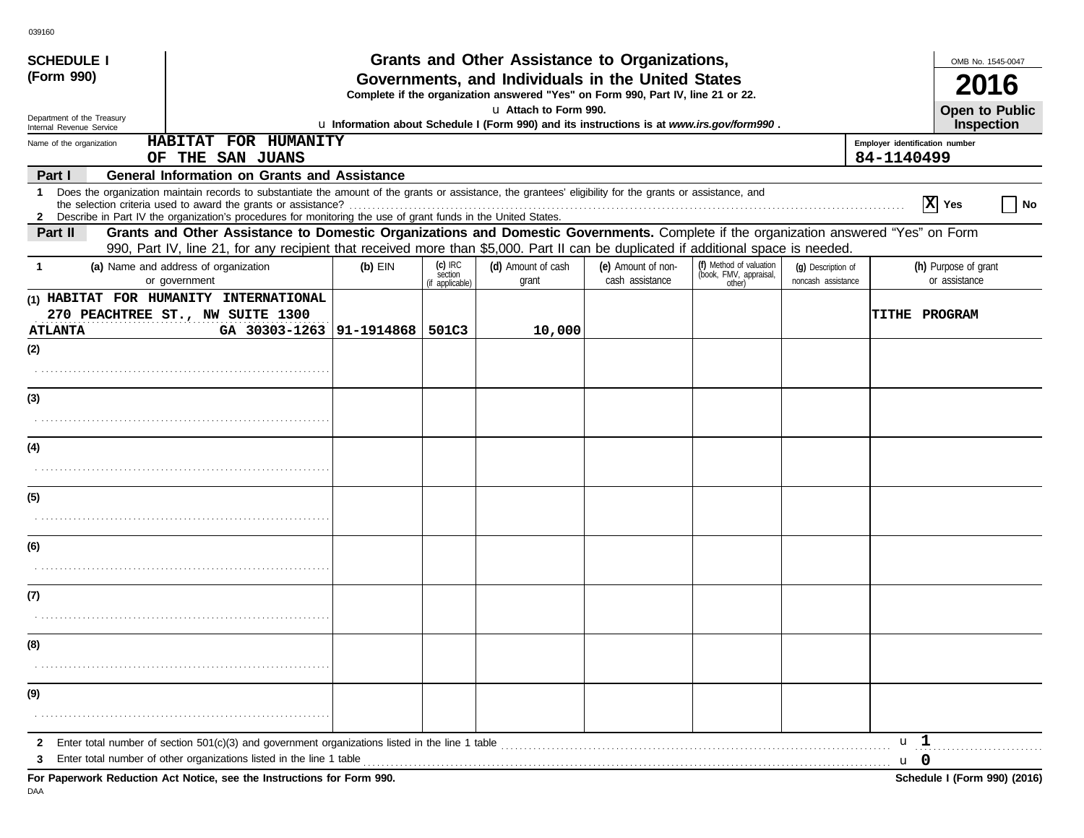| <b>SCHEDULE I</b><br>(Form 990)                        | Grants and Other Assistance to Organizations,<br>Governments, and Individuals in the United States<br>Complete if the organization answered "Yes" on Form 990, Part IV, line 21 or 22.                                                                                          |           |                                              |                             |                                       |                                                             |                                          |                                       |
|--------------------------------------------------------|---------------------------------------------------------------------------------------------------------------------------------------------------------------------------------------------------------------------------------------------------------------------------------|-----------|----------------------------------------------|-----------------------------|---------------------------------------|-------------------------------------------------------------|------------------------------------------|---------------------------------------|
| Department of the Treasury<br>Internal Revenue Service | u Attach to Form 990.<br><b>u Information about Schedule I (Form 990) and its instructions is at www.irs.gov/form990.</b>                                                                                                                                                       |           |                                              |                             |                                       |                                                             | Open to Public<br><b>Inspection</b>      |                                       |
| Name of the organization                               | HABITAT FOR HUMANITY<br>OF THE SAN JUANS                                                                                                                                                                                                                                        |           | Employer identification number<br>84-1140499 |                             |                                       |                                                             |                                          |                                       |
| Part I                                                 | <b>General Information on Grants and Assistance</b>                                                                                                                                                                                                                             |           |                                              |                             |                                       |                                                             |                                          |                                       |
|                                                        | 1 Does the organization maintain records to substantiate the amount of the grants or assistance, the grantees' eligibility for the grants or assistance, and<br>2 Describe in Part IV the organization's procedures for monitoring the use of grant funds in the United States. |           |                                              |                             |                                       |                                                             |                                          | $ \mathbf{X} $ Yes<br>  No            |
| Part II                                                | Grants and Other Assistance to Domestic Organizations and Domestic Governments. Complete if the organization answered "Yes" on Form<br>990, Part IV, line 21, for any recipient that received more than \$5,000. Part II can be duplicated if additional space is needed.       |           |                                              |                             |                                       |                                                             |                                          |                                       |
| $\mathbf 1$                                            | (a) Name and address of organization<br>or government                                                                                                                                                                                                                           | $(b)$ EIN | (c) IRC<br>section<br>(if applicable)        | (d) Amount of cash<br>grant | (e) Amount of non-<br>cash assistance | (f) Method of valuation<br>(book, FMV, appraisal,<br>other) | (q) Description of<br>noncash assistance | (h) Purpose of grant<br>or assistance |
| <b>ATLANTA</b>                                         | (1) HABITAT FOR HUMANITY INTERNATIONAL<br>270 PEACHTREE ST., NW SUITE 1300<br>GA 30303-1263 91-1914868                                                                                                                                                                          |           | 501C3                                        | 10,000                      |                                       |                                                             |                                          | <b>TITHE PROGRAM</b>                  |
| (2)                                                    |                                                                                                                                                                                                                                                                                 |           |                                              |                             |                                       |                                                             |                                          |                                       |
|                                                        |                                                                                                                                                                                                                                                                                 |           |                                              |                             |                                       |                                                             |                                          |                                       |
| (3)                                                    |                                                                                                                                                                                                                                                                                 |           |                                              |                             |                                       |                                                             |                                          |                                       |
| (4)                                                    |                                                                                                                                                                                                                                                                                 |           |                                              |                             |                                       |                                                             |                                          |                                       |
|                                                        |                                                                                                                                                                                                                                                                                 |           |                                              |                             |                                       |                                                             |                                          |                                       |
| (5)                                                    |                                                                                                                                                                                                                                                                                 |           |                                              |                             |                                       |                                                             |                                          |                                       |
|                                                        |                                                                                                                                                                                                                                                                                 |           |                                              |                             |                                       |                                                             |                                          |                                       |
| (6)                                                    |                                                                                                                                                                                                                                                                                 |           |                                              |                             |                                       |                                                             |                                          |                                       |
| (7)                                                    |                                                                                                                                                                                                                                                                                 |           |                                              |                             |                                       |                                                             |                                          |                                       |
|                                                        |                                                                                                                                                                                                                                                                                 |           |                                              |                             |                                       |                                                             |                                          |                                       |
| (8)                                                    |                                                                                                                                                                                                                                                                                 |           |                                              |                             |                                       |                                                             |                                          |                                       |
|                                                        |                                                                                                                                                                                                                                                                                 |           |                                              |                             |                                       |                                                             |                                          |                                       |
| (9)                                                    |                                                                                                                                                                                                                                                                                 |           |                                              |                             |                                       |                                                             |                                          |                                       |
|                                                        |                                                                                                                                                                                                                                                                                 |           |                                              |                             |                                       |                                                             |                                          |                                       |
| $\mathbf{2}$<br>З                                      | Enter total number of section 501(c)(3) and government organizations listed in the line 1 table enterpresent content to the line of the line 1 table                                                                                                                            |           |                                              |                             |                                       |                                                             |                                          | u <sub>1</sub><br>$\mathbf{u}$ 0      |
|                                                        | For Paperwork Reduction Act Notice, see the Instructions for Form 990.                                                                                                                                                                                                          |           |                                              |                             |                                       |                                                             |                                          | Schedule I (Form 990) (2016)          |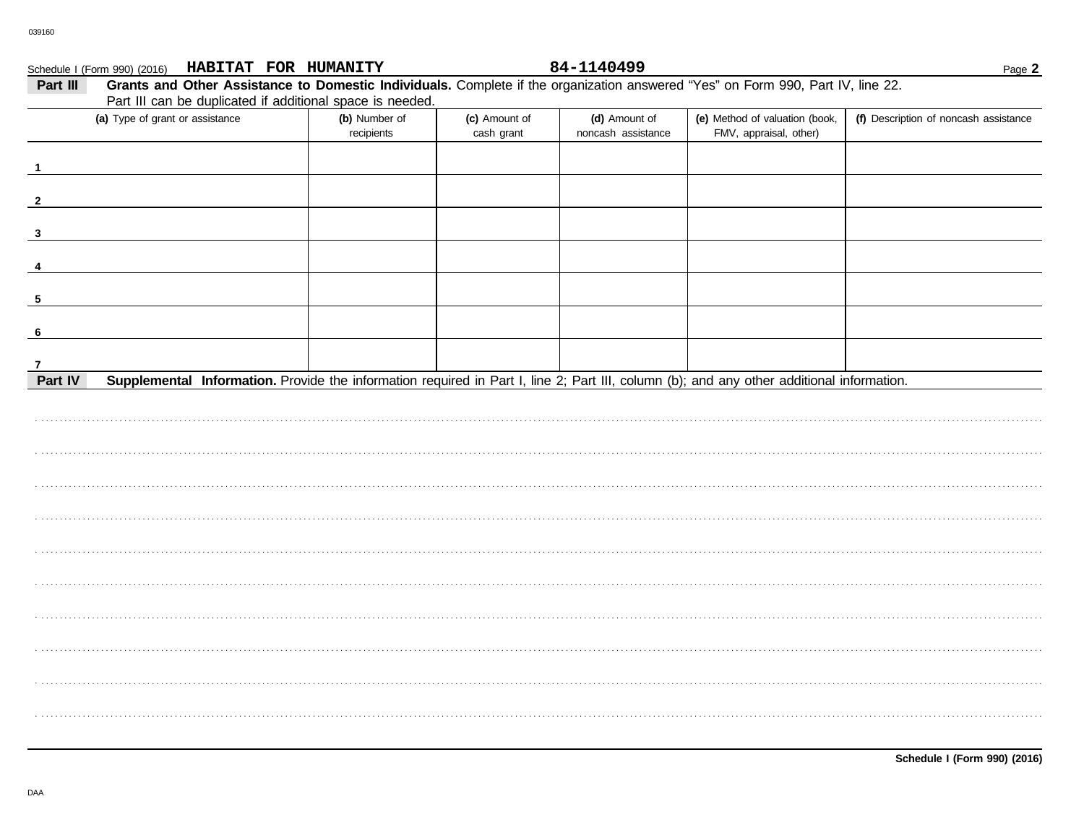|              | Schedule I (Form 990) (2016) HABITAT FOR HUMANITY                                                                                         |                             |                                                                                                                                 | 84-1140499                          |                                                          | Page 2                                |  |
|--------------|-------------------------------------------------------------------------------------------------------------------------------------------|-----------------------------|---------------------------------------------------------------------------------------------------------------------------------|-------------------------------------|----------------------------------------------------------|---------------------------------------|--|
| Part III     |                                                                                                                                           |                             | Grants and Other Assistance to Domestic Individuals. Complete if the organization answered "Yes" on Form 990, Part IV, line 22. |                                     |                                                          |                                       |  |
|              | Part III can be duplicated if additional space is needed.                                                                                 |                             |                                                                                                                                 |                                     |                                                          |                                       |  |
|              | (a) Type of grant or assistance                                                                                                           | (b) Number of<br>recipients | (c) Amount of<br>cash grant                                                                                                     | (d) Amount of<br>noncash assistance | (e) Method of valuation (book,<br>FMV, appraisal, other) | (f) Description of noncash assistance |  |
|              |                                                                                                                                           |                             |                                                                                                                                 |                                     |                                                          |                                       |  |
|              |                                                                                                                                           |                             |                                                                                                                                 |                                     |                                                          |                                       |  |
| $\mathbf{3}$ |                                                                                                                                           |                             |                                                                                                                                 |                                     |                                                          |                                       |  |
|              |                                                                                                                                           |                             |                                                                                                                                 |                                     |                                                          |                                       |  |
| 5            |                                                                                                                                           |                             |                                                                                                                                 |                                     |                                                          |                                       |  |
| 6            |                                                                                                                                           |                             |                                                                                                                                 |                                     |                                                          |                                       |  |
|              |                                                                                                                                           |                             |                                                                                                                                 |                                     |                                                          |                                       |  |
| Part IV      | Supplemental Information. Provide the information required in Part I, line 2; Part III, column (b); and any other additional information. |                             |                                                                                                                                 |                                     |                                                          |                                       |  |
|              |                                                                                                                                           |                             |                                                                                                                                 |                                     |                                                          |                                       |  |
|              |                                                                                                                                           |                             |                                                                                                                                 |                                     |                                                          |                                       |  |
|              |                                                                                                                                           |                             |                                                                                                                                 |                                     |                                                          |                                       |  |
|              |                                                                                                                                           |                             |                                                                                                                                 |                                     |                                                          |                                       |  |
|              |                                                                                                                                           |                             |                                                                                                                                 |                                     |                                                          |                                       |  |
|              |                                                                                                                                           |                             |                                                                                                                                 |                                     |                                                          |                                       |  |
|              |                                                                                                                                           |                             |                                                                                                                                 |                                     |                                                          |                                       |  |
|              |                                                                                                                                           |                             |                                                                                                                                 |                                     |                                                          |                                       |  |
|              |                                                                                                                                           |                             |                                                                                                                                 |                                     |                                                          |                                       |  |
|              |                                                                                                                                           |                             |                                                                                                                                 |                                     |                                                          |                                       |  |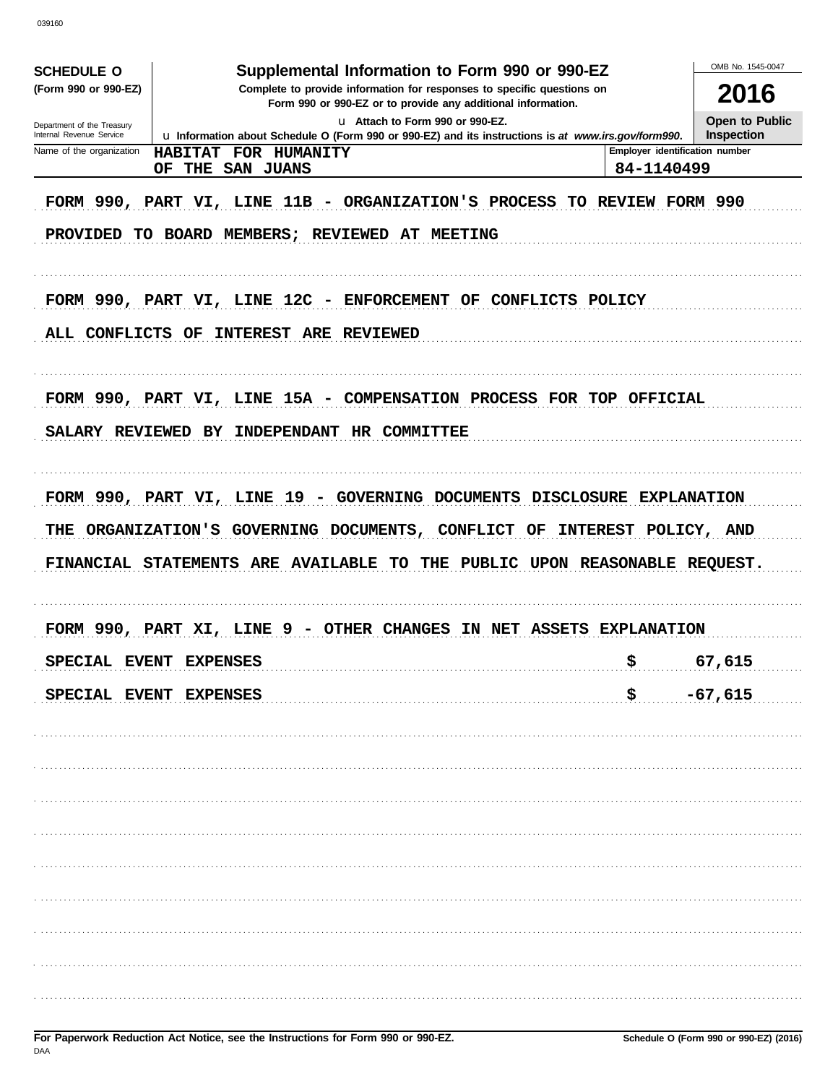| <b>SCHEDULE O</b><br>(Form 990 or 990-EZ)<br>Department of the Treasury<br>Internal Revenue Service | OMB No. 1545-0047<br>2016<br>Open to Public<br><b>Inspection</b>                                                                                                                           |                                              |           |
|-----------------------------------------------------------------------------------------------------|--------------------------------------------------------------------------------------------------------------------------------------------------------------------------------------------|----------------------------------------------|-----------|
| Name of the organization                                                                            | Lu Information about Schedule O (Form 990 or 990-EZ) and its instructions is at www.irs.gov/form990.<br>HABITAT FOR HUMANITY<br>OF THE SAN JUANS                                           | Employer identification number<br>84-1140499 |           |
|                                                                                                     | FORM 990, PART VI, LINE 11B - ORGANIZATION'S PROCESS<br>PROVIDED TO BOARD MEMBERS; REVIEWED AT MEETING                                                                                     | <b>TO REVIEW FORM 990</b>                    |           |
| ALL CONFLICTS OF                                                                                    | FORM 990, PART VI, LINE 12C - ENFORCEMENT OF CONFLICTS POLICY<br>INTEREST ARE REVIEWED                                                                                                     |                                              |           |
| SALARY REVIEWED BY                                                                                  | FORM 990, PART VI, LINE 15A - COMPENSATION PROCESS FOR TOP OFFICIAL<br>INDEPENDANT HR COMMITTEE                                                                                            |                                              |           |
| THE                                                                                                 | ORGANIZATION'S GOVERNING DOCUMENTS, CONFLICT OF<br>FINANCIAL STATEMENTS ARE AVAILABLE TO THE PUBLIC UPON REASONABLE REQUEST.<br>FORM 990, PART XI, LINE 9 - OTHER CHANGES<br>IN NET ASSETS | INTEREST POLICY, AND<br><b>EXPLANATION</b>   |           |
|                                                                                                     | SPECIAL EVENT EXPENSES                                                                                                                                                                     | \$                                           | 67,615    |
|                                                                                                     | SPECIAL EVENT EXPENSES                                                                                                                                                                     | \$                                           | $-67,615$ |
|                                                                                                     |                                                                                                                                                                                            |                                              |           |
|                                                                                                     |                                                                                                                                                                                            |                                              |           |
|                                                                                                     |                                                                                                                                                                                            |                                              |           |
|                                                                                                     |                                                                                                                                                                                            |                                              |           |
|                                                                                                     |                                                                                                                                                                                            |                                              |           |
|                                                                                                     |                                                                                                                                                                                            |                                              |           |
|                                                                                                     |                                                                                                                                                                                            |                                              |           |
|                                                                                                     |                                                                                                                                                                                            |                                              |           |